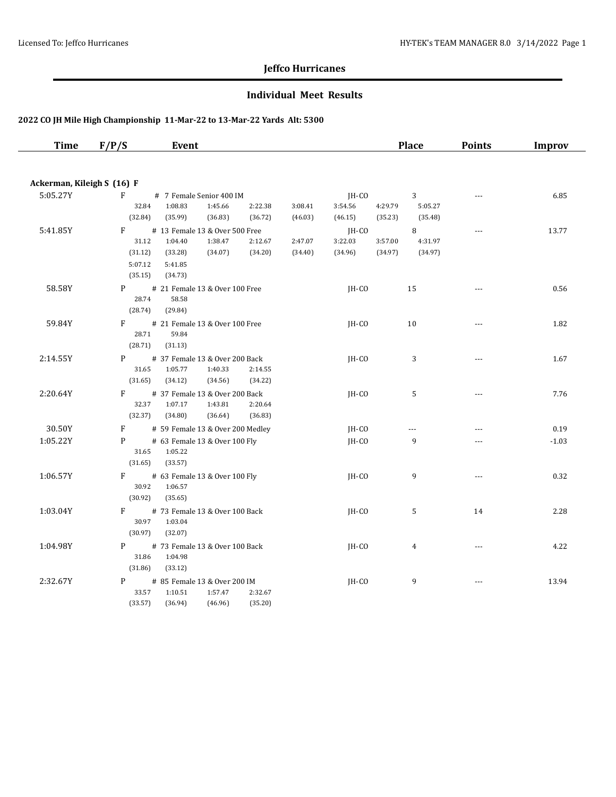#### **Individual Meet Results**

| <b>Time</b>                | F/P/S            | Event                                    |                    |                    |                    |                    | <b>Place</b>       | <b>Points</b>            | Improv  |
|----------------------------|------------------|------------------------------------------|--------------------|--------------------|--------------------|--------------------|--------------------|--------------------------|---------|
|                            |                  |                                          |                    |                    |                    |                    |                    |                          |         |
| Ackerman, Kileigh S (16) F |                  |                                          |                    |                    |                    |                    |                    |                          |         |
| 5:05.27Y                   | F                | # 7 Female Senior 400 IM                 |                    |                    | JH-CO              |                    | 3                  | $\cdots$                 | 6.85    |
|                            | 32.84            | 1:08.83<br>1:45.66                       | 2:22.38            | 3:08.41            | 3:54.56            | 4:29.79            | 5:05.27            |                          |         |
|                            | (32.84)          | (35.99)<br>(36.83)                       | (36.72)            | (46.03)            | (46.15)            | (35.23)            | (35.48)            |                          |         |
| 5:41.85Y                   | F                | # 13 Female 13 & Over 500 Free           |                    |                    | IH-CO              |                    | 8                  | $\overline{a}$           | 13.77   |
|                            | 31.12<br>(31.12) | 1:38.47<br>1:04.40<br>(34.07)<br>(33.28) | 2:12.67<br>(34.20) | 2:47.07<br>(34.40) | 3:22.03<br>(34.96) | 3:57.00<br>(34.97) | 4:31.97<br>(34.97) |                          |         |
|                            | 5:07.12          | 5:41.85                                  |                    |                    |                    |                    |                    |                          |         |
|                            | (35.15)          | (34.73)                                  |                    |                    |                    |                    |                    |                          |         |
| 58.58Y                     | P <sub>2</sub>   | # 21 Female 13 & Over 100 Free           |                    |                    | $IH-CO$            |                    | 15                 | $\scriptstyle\cdots$     | 0.56    |
|                            | 28.74            | 58.58                                    |                    |                    |                    |                    |                    |                          |         |
|                            | (28.74)          | (29.84)                                  |                    |                    |                    |                    |                    |                          |         |
| 59.84Y                     | $F =$            | # 21 Female 13 & Over 100 Free           |                    |                    | IH-CO              |                    | 10                 | $\overline{\phantom{a}}$ | 1.82    |
|                            | 28.71            | 59.84                                    |                    |                    |                    |                    |                    |                          |         |
|                            | (28.71)          | (31.13)                                  |                    |                    |                    |                    |                    |                          |         |
| 2:14.55Y                   | P                | # 37 Female 13 & Over 200 Back           |                    |                    | $IH-CO$            |                    | 3                  | $\cdots$                 | 1.67    |
|                            | 31.65            | 1:05.77<br>1:40.33                       | 2:14.55            |                    |                    |                    |                    |                          |         |
|                            | (31.65)          | (34.12)<br>(34.56)                       | (34.22)            |                    |                    |                    |                    |                          |         |
| 2:20.64Y                   | F                | # 37 Female 13 & Over 200 Back           |                    |                    | JH-CO              |                    | 5                  | $\scriptstyle\cdots$     | 7.76    |
|                            | 32.37            | 1:07.17<br>1:43.81                       | 2:20.64            |                    |                    |                    |                    |                          |         |
|                            | (32.37)          | (36.64)<br>(34.80)                       | (36.83)            |                    |                    |                    |                    |                          |         |
| 30.50Y                     | F                | # 59 Female 13 & Over 200 Medley         |                    |                    | JH-CO              |                    | ---                | ---                      | 0.19    |
| 1:05.22Y                   | P                | # 63 Female 13 & Over 100 Fly            |                    |                    | JH-CO              |                    | 9                  | $---$                    | $-1.03$ |
|                            | 31.65<br>(31.65) | 1:05.22<br>(33.57)                       |                    |                    |                    |                    |                    |                          |         |
| 1:06.57Y                   | F.               | # 63 Female 13 & Over 100 Fly            |                    |                    | $IH-CO$            |                    | 9                  | $\cdots$                 | 0.32    |
|                            | 30.92            | 1:06.57                                  |                    |                    |                    |                    |                    |                          |         |
|                            | (30.92)          | (35.65)                                  |                    |                    |                    |                    |                    |                          |         |
| 1:03.04Y                   | F                | # 73 Female 13 & Over 100 Back           |                    |                    | JH-CO              |                    | 5                  | 14                       | 2.28    |
|                            | 30.97            | 1:03.04                                  |                    |                    |                    |                    |                    |                          |         |
|                            | (30.97)          | (32.07)                                  |                    |                    |                    |                    |                    |                          |         |
| 1:04.98Y                   | P                | # 73 Female 13 & Over 100 Back           |                    |                    | IH-CO              |                    | $\overline{4}$     | $\sim$                   | 4.22    |
|                            | 31.86            | 1:04.98                                  |                    |                    |                    |                    |                    |                          |         |
|                            | (31.86)          | (33.12)                                  |                    |                    |                    |                    |                    |                          |         |
| 2:32.67Y                   | P                | # 85 Female 13 & Over 200 IM             |                    |                    | $IH-CO$            |                    | 9                  | $\sim$ $\sim$ $\sim$     | 13.94   |
|                            | 33.57            | 1:10.51<br>1:57.47                       | 2:32.67            |                    |                    |                    |                    |                          |         |
|                            | (33.57)          | (36.94)<br>(46.96)                       | (35.20)            |                    |                    |                    |                    |                          |         |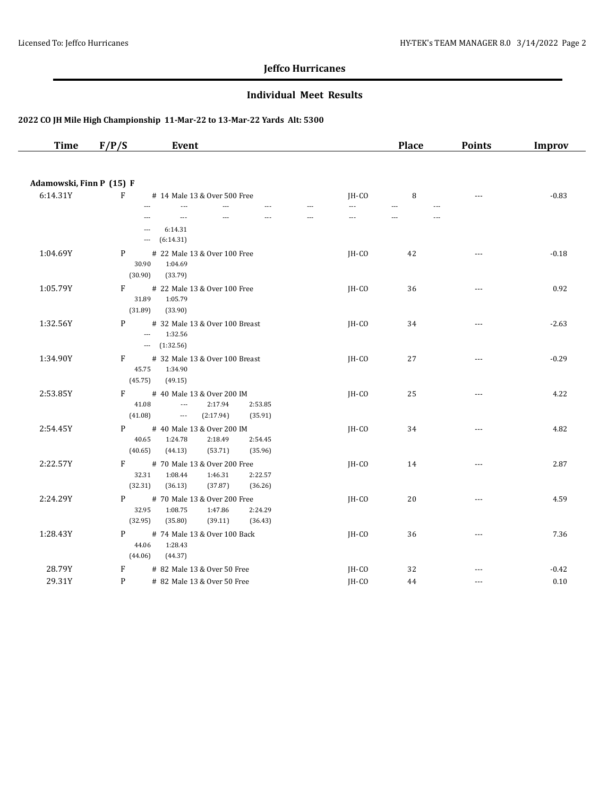#### **Individual Meet Results**

| <b>Time</b>                          | F/P/S                        | Event                                                                                                            |                          | <b>Place</b>                     | <b>Points</b>        | Improv  |
|--------------------------------------|------------------------------|------------------------------------------------------------------------------------------------------------------|--------------------------|----------------------------------|----------------------|---------|
|                                      |                              |                                                                                                                  |                          |                                  |                      |         |
| Adamowski, Finn P (15) F<br>6:14.31Y | $\mathbf{F}$                 | # 14 Male 13 & Over 500 Free                                                                                     | $IH-CO$                  | 8                                | $\sim$ $\sim$ $\sim$ | $-0.83$ |
|                                      |                              | $\overline{a}$<br>$\overline{a}$<br>$\sim$                                                                       | $\overline{a}$<br>$\sim$ | $\overline{a}$<br>$\overline{a}$ |                      |         |
|                                      |                              | $\overline{a}$<br>---<br>6:14.31<br>$\overline{\phantom{a}}$<br>(6:14.31)<br>$\ldots$                            | ---                      | $\overline{a}$                   |                      |         |
| 1:04.69Y                             | P<br>30.90<br>(30.90)        | # 22 Male 13 & Over 100 Free<br>1:04.69<br>(33.79)                                                               | $IH-CO$                  | 42                               | $---$                | $-0.18$ |
| 1:05.79Y                             | F<br>31.89<br>(31.89)        | # 22 Male 13 & Over 100 Free<br>1:05.79<br>(33.90)                                                               | $IH-CO$                  | 36                               | $\sim$ $\sim$ $\sim$ | 0.92    |
| 1:32.56Y                             | P                            | # 32 Male 13 & Over 100 Breast<br>1:32.56<br>$\overline{\phantom{a}}$<br>$ (1:32.56)$                            | IH-CO                    | 34                               | $\cdots$             | $-2.63$ |
| 1:34.90Y                             | F<br>45.75<br>(45.75)        | # 32 Male 13 & Over 100 Breast<br>1:34.90<br>(49.15)                                                             | JH-CO                    | 27                               | $---$                | $-0.29$ |
| 2:53.85Y                             | F<br>41.08<br>(41.08)        | # 40 Male 13 & Over 200 IM<br>$\overline{\phantom{a}}$<br>2:17.94<br>2:53.85<br>(2:17.94)<br>(35.91)<br>$\ldots$ | $IH-CO$                  | 25                               | $---$                | 4.22    |
| 2:54.45Y                             | P.<br>40.65<br>(40.65)       | # 40 Male 13 & Over 200 IM<br>2:18.49<br>1:24.78<br>2:54.45<br>(53.71)<br>(44.13)<br>(35.96)                     | $IH-CO$                  | 34                               | $\sim$ $\sim$ $\sim$ | 4.82    |
| 2:22.57Y                             | $F \sim$<br>32.31<br>(32.31) | # 70 Male 13 & Over 200 Free<br>1:08.44<br>1:46.31<br>2:22.57<br>(36.13)<br>(37.87)<br>(36.26)                   | $IH-CO$                  | 14                               | $---$                | 2.87    |
| 2:24.29Y                             | P<br>32.95<br>(32.95)        | # 70 Male 13 & Over 200 Free<br>1:08.75<br>1:47.86<br>2:24.29<br>(35.80)<br>(39.11)<br>(36.43)                   | JH-CO                    | 20                               | $\overline{a}$       | 4.59    |
| 1:28.43Y                             | P<br>44.06<br>(44.06)        | # 74 Male 13 & Over 100 Back<br>1:28.43<br>(44.37)                                                               | $IH-CO$                  | 36                               | $\sim$ $\sim$ $\sim$ | 7.36    |
| 28.79Y                               | F                            | # 82 Male 13 & Over 50 Free                                                                                      | JH-CO                    | 32                               | ---                  | $-0.42$ |
| 29.31Y                               | P                            | # 82 Male 13 & Over 50 Free                                                                                      | JH-CO                    | 44                               | $---$                | 0.10    |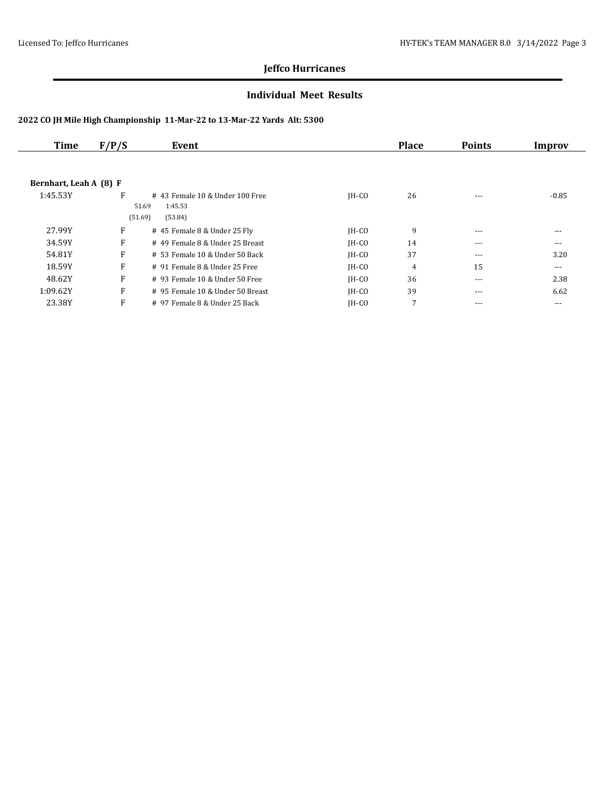#### **Individual Meet Results**

| <b>Time</b>            | F/P/S | Event                             |         | <b>Place</b> | <b>Points</b> | Improv  |
|------------------------|-------|-----------------------------------|---------|--------------|---------------|---------|
|                        |       |                                   |         |              |               |         |
| Bernhart, Leah A (8) F |       |                                   |         |              |               |         |
| 1:45.53Y               | F     | $#$ 43 Female 10 & Under 100 Free | $IH-CO$ | 26           | $---$         | $-0.85$ |
|                        |       | 51.69<br>1:45.53                  |         |              |               |         |
|                        |       | (51.69)<br>(53.84)                |         |              |               |         |
| 27.99Y                 | F     | # 45 Female 8 & Under 25 Fly      | $IH-CO$ | 9            | $---$         | $---$   |
| 34.59Y                 | F     | # 49 Female 8 & Under 25 Breast   | $IH-CO$ | 14           | $- - -$       | $---$   |
| 54.81Y                 | F     | $# 53$ Female 10 & Under 50 Back  | $IH-CO$ | 37           | $- - -$       | 3.20    |
| 18.59Y                 | F     | # 91 Female 8 & Under 25 Free     | $IH-CO$ | 4            | 15            | ---     |
| 48.62Y                 | F     | $#$ 93 Female 10 & Under 50 Free  | $IH-CO$ | 36           | ---           | 2.38    |
| 1:09.62Y               | F     | # 95 Female 10 & Under 50 Breast  | $IH-CO$ | 39           | $---$         | 6.62    |
| 23.38Y                 | F     | # 97 Female 8 & Under 25 Back     | $IH-CO$ | 7            | $- - -$       | ---     |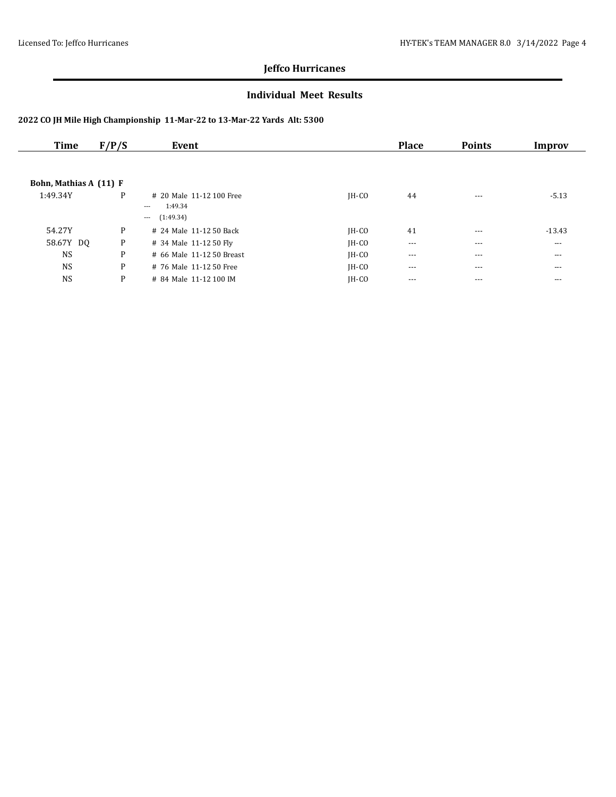#### **Individual Meet Results**

| Time                   | F/P/S | Event                     |         | <b>Place</b> | <b>Points</b> | Improv   |
|------------------------|-------|---------------------------|---------|--------------|---------------|----------|
|                        |       |                           |         |              |               |          |
| Bohn, Mathias A (11) F |       |                           |         |              |               |          |
| 1:49.34Y               | P     | # 20 Male 11-12 100 Free  | $IH-CO$ | 44           | $- - -$       | $-5.13$  |
|                        |       | 1:49.34<br>$---$          |         |              |               |          |
|                        |       | (1:49.34)<br>$\cdots$     |         |              |               |          |
| 54.27Y                 | P     | # 24 Male 11-12 50 Back   | $IH-CO$ | 41           | $---$         | $-13.43$ |
| 58.67Y DQ              | P     | # 34 Male 11-12 50 Fly    | $IH-CO$ | $\cdots$     | $- - -$       | $\cdots$ |
| <b>NS</b>              | P     | # 66 Male 11-12 50 Breast | $IH-CO$ | $---$        | $---$         | $\cdots$ |
| <b>NS</b>              | P     | # 76 Male 11-12 50 Free   | $IH-CO$ | $---$        | $---$         | $---$    |
| <b>NS</b>              | P     | # 84 Male 11-12 100 IM    | $IH-CO$ | ---          | $--$          | $--$     |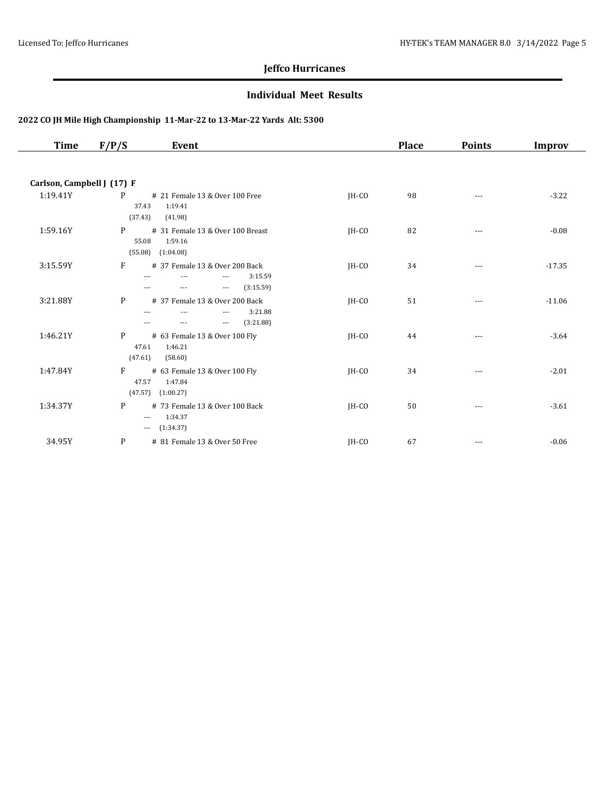#### **Individual Meet Results**

| Time                       | F/P/S<br>Event                                                                                                                    |         | <b>Place</b> | <b>Points</b> | <b>Improv</b> |
|----------------------------|-----------------------------------------------------------------------------------------------------------------------------------|---------|--------------|---------------|---------------|
|                            |                                                                                                                                   |         |              |               |               |
| Carlson, Campbell J (17) F |                                                                                                                                   |         |              |               |               |
| 1:19.41Y                   | P<br># 21 Female 13 & Over 100 Free<br>37.43<br>1:19.41<br>(37.43)<br>(41.98)                                                     | $IH-CO$ | 98           | $---$         | $-3.22$       |
| 1:59.16Y                   | P<br># 31 Female 13 & Over 100 Breast<br>55.08<br>1:59.16<br>$(55.08)$ $(1:04.08)$                                                | $IH-CO$ | 82           | $---$         | $-0.08$       |
| 3:15.59Y                   | F<br># 37 Female 13 & Over 200 Back<br>3:15.59<br>---<br>---<br>$- - -$<br>(3:15.59)<br>$\qquad \qquad -\qquad -$<br>$---$<br>--- | JH-CO   | 34           | ---           | $-17.35$      |
| 3:21.88Y                   | P<br># 37 Female 13 & Over 200 Back<br>3:21.88<br>$\overline{a}$<br>---<br>$---$<br>(3:21.88)<br>$\cdots$<br>$\cdots$<br>---      | $IH-CO$ | 51           | $\cdots$      | $-11.06$      |
| 1:46.21Y                   | P<br># 63 Female 13 & Over 100 Fly<br>1:46.21<br>47.61<br>(47.61)<br>(58.60)                                                      | $IH-CO$ | 44           |               | $-3.64$       |
| 1:47.84Y                   | $F \sim$<br># 63 Female 13 & Over 100 Fly<br>1:47.84<br>47.57<br>$(47.57)$ $(1:00.27)$                                            | $IH-CO$ | 34           | $---$         | $-2.01$       |
| 1:34.37Y                   | P<br># 73 Female 13 & Over 100 Back<br>1:34.37<br>$\cdots$<br>$-$ (1:34.37)                                                       | $IH-CO$ | 50           | $---$         | $-3.61$       |
| 34.95Y                     | P<br># 81 Female 13 & Over 50 Free                                                                                                | JH-CO   | 67           | $---$         | $-0.06$       |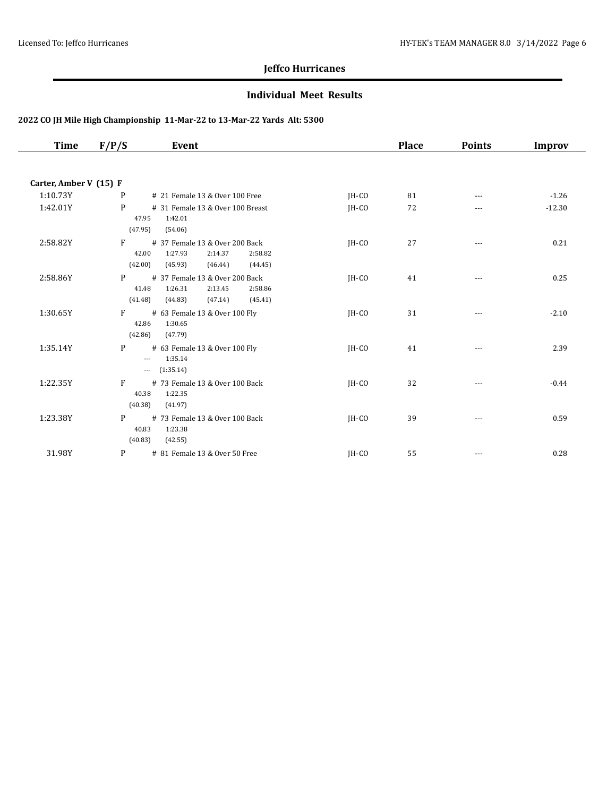#### **Individual Meet Results**

| Time                   | F/P/S                     | Event                                                                                            |         | <b>Place</b> | <b>Points</b> | <b>Improv</b> |
|------------------------|---------------------------|--------------------------------------------------------------------------------------------------|---------|--------------|---------------|---------------|
|                        |                           |                                                                                                  |         |              |               |               |
| Carter, Amber V (15) F |                           |                                                                                                  |         |              |               |               |
| 1:10.73Y               | P                         | # 21 Female 13 & Over 100 Free                                                                   | JH-CO   | 81           | $---$         | $-1.26$       |
| 1:42.01Y               | P<br>47.95<br>(47.95)     | # 31 Female 13 & Over 100 Breast<br>1:42.01<br>(54.06)                                           | $IH-CO$ | 72           |               | $-12.30$      |
| 2:58.82Y               | F<br>42.00<br>(42.00)     | # 37 Female 13 & Over 200 Back<br>1:27.93<br>2:14.37<br>2:58.82<br>(45.93)<br>(46.44)<br>(44.45) | IH-CO   | 27           |               | 0.21          |
| 2:58.86Y               | P<br>41.48<br>(41.48)     | # 37 Female 13 & Over 200 Back<br>1:26.31<br>2:13.45<br>2:58.86<br>(47.14)<br>(45.41)<br>(44.83) | IH-CO   | 41           |               | 0.25          |
| 1:30.65Y               | F<br>42.86<br>(42.86)     | # 63 Female 13 & Over 100 Fly<br>1:30.65<br>(47.79)                                              | IH-CO   | 31           | $---$         | $-2.10$       |
| 1:35.14Y               | P<br>$\cdots$<br>$\cdots$ | # 63 Female 13 & Over 100 Fly<br>1:35.14<br>(1:35.14)                                            | IH-CO   | 41           | $\cdots$      | 2.39          |
| 1:22.35Y               | F<br>40.38<br>(40.38)     | # 73 Female 13 & Over 100 Back<br>1:22.35<br>(41.97)                                             | JH-CO   | 32           | $\cdots$      | $-0.44$       |
| 1:23.38Y               | P<br>40.83<br>(40.83)     | # 73 Female 13 & Over 100 Back<br>1:23.38<br>(42.55)                                             | IH-CO   | 39           | ---           | 0.59          |
| 31.98Y                 | P                         | # 81 Female 13 & Over 50 Free                                                                    | IH-CO   | 55           | $---$         | 0.28          |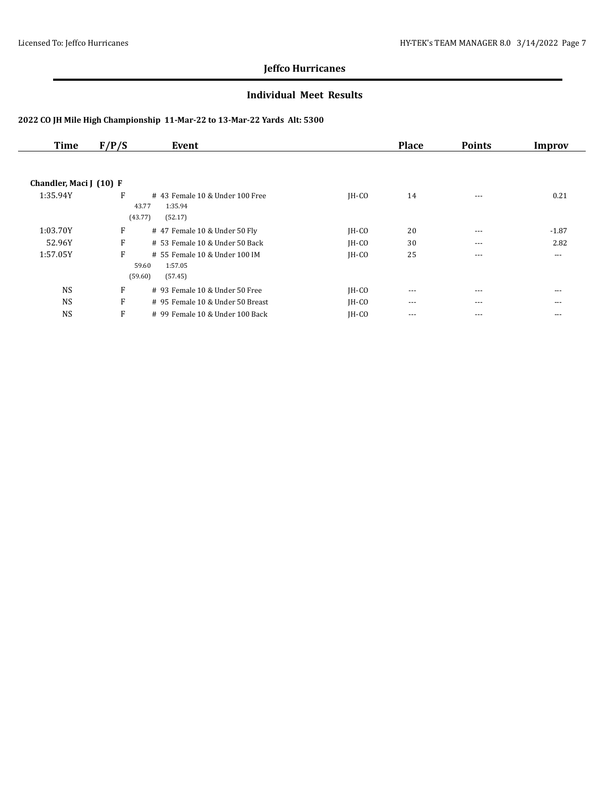#### **Individual Meet Results**

| <b>Time</b>             | F/P/S | Event                                                                    |         | <b>Place</b> | <b>Points</b> | Improv  |
|-------------------------|-------|--------------------------------------------------------------------------|---------|--------------|---------------|---------|
|                         |       |                                                                          |         |              |               |         |
| Chandler, Maci J (10) F |       |                                                                          |         |              |               |         |
| 1:35.94Y                | F     | #43 Female 10 & Under 100 Free<br>43.77<br>1:35.94<br>(43.77)<br>(52.17) | $IH-CO$ | 14           | $---$         | 0.21    |
| 1:03.70Y                | F     | # 47 Female 10 & Under 50 Fly                                            | $IH-CO$ | 20           | $- - -$       | $-1.87$ |
| 52.96Y                  | F     | # 53 Female 10 & Under 50 Back                                           | IH-CO   | 30           | $---$         | 2.82    |
| 1:57.05Y                | F     | # 55 Female 10 & Under 100 IM<br>59.60<br>1:57.05<br>(59.60)<br>(57.45)  | $IH-CO$ | 25           | $- - -$       | $---$   |
| <b>NS</b>               | F     | # 93 Female 10 & Under 50 Free                                           | $IH-CO$ | $---$        | $- - -$       | $- - -$ |
| <b>NS</b>               | F     | # 95 Female 10 & Under 50 Breast                                         | $IH-CO$ | $\cdots$     | $---$         | $---$   |
| <b>NS</b>               | F     | # 99 Female 10 & Under 100 Back                                          | $IH-CO$ | ---          | $- - -$       | $- - -$ |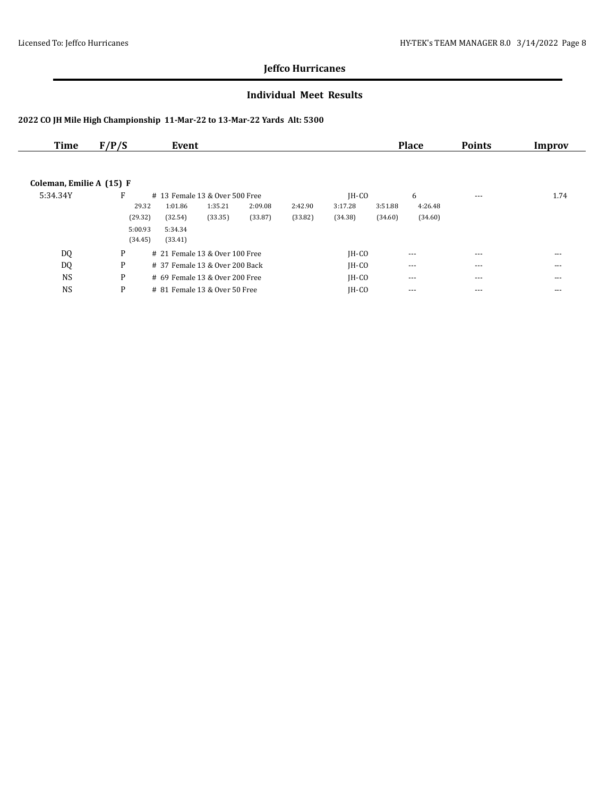#### **Individual Meet Results**

| Time                     | F/P/S   | Event                           |         |         |         |         |         | <b>Place</b> | <b>Points</b> | Improv   |
|--------------------------|---------|---------------------------------|---------|---------|---------|---------|---------|--------------|---------------|----------|
|                          |         |                                 |         |         |         |         |         |              |               |          |
| Coleman, Emilie A (15) F |         |                                 |         |         |         |         |         |              |               |          |
| 5:34.34Y                 | F       | # 13 Female 13 & Over 500 Free  |         |         |         | $IH-CO$ |         | 6            | $\cdots$      | 1.74     |
|                          | 29.32   | 1:01.86                         | 1:35.21 | 2:09.08 | 2:42.90 | 3:17.28 | 3:51.88 | 4:26.48      |               |          |
|                          | (29.32) | (32.54)                         | (33.35) | (33.87) | (33.82) | (34.38) | (34.60) | (34.60)      |               |          |
|                          | 5:00.93 | 5:34.34                         |         |         |         |         |         |              |               |          |
|                          | (34.45) | (33.41)                         |         |         |         |         |         |              |               |          |
| DQ                       | P       | # 21 Female 13 & Over 100 Free  |         |         |         | $IH-CO$ |         | $---$        | ---           | $---$    |
| DQ                       | P       | # 37 Female 13 & Over 200 Back  |         |         |         | $IH-CO$ |         | $\cdots$     | $\cdots$      | $\cdots$ |
| <b>NS</b>                | P       | # 69 Female 13 & Over 200 Free  |         |         |         | $IH-CO$ |         | $- - -$      | ---           | $---$    |
| <b>NS</b>                | P       | $# 81$ Female 13 & Over 50 Free |         |         |         | $IH-CO$ |         | ---          | ---           | ---      |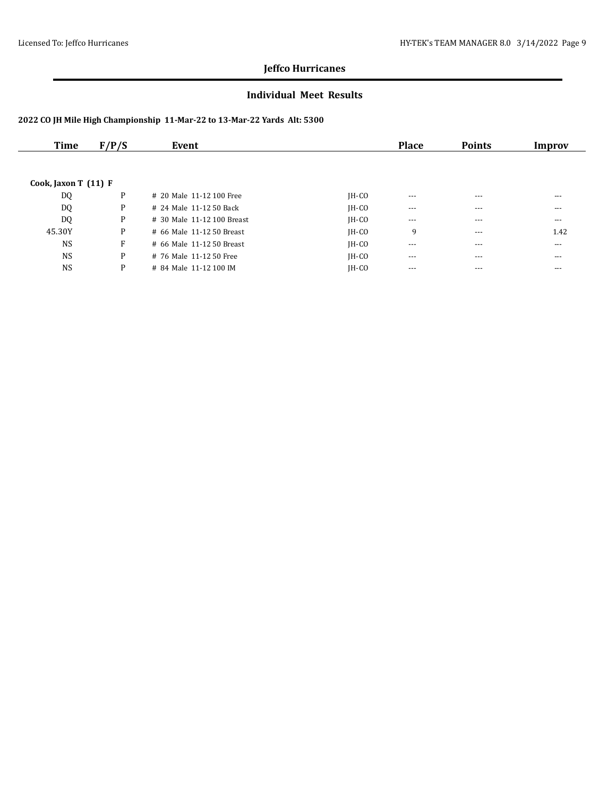#### **Individual Meet Results**

| Time                 | F/P/S | Event                      |         | <b>Place</b> | <b>Points</b> | Improv   |
|----------------------|-------|----------------------------|---------|--------------|---------------|----------|
|                      |       |                            |         |              |               |          |
| Cook, Jaxon T (11) F |       |                            |         |              |               |          |
| DQ                   | P     | # 20 Male 11-12 100 Free   | $IH-CO$ | $---$        | $---$         | ---      |
| DQ                   | P     | # 24 Male 11-12 50 Back    | $IH-CO$ | $---$        | $---$         | ---      |
| <b>DQ</b>            | P     | # 30 Male 11-12 100 Breast | $IH-CO$ | $\cdots$     | $---$         | $\cdots$ |
| 45.30Y               | P     | # 66 Male 11-12 50 Breast  | $IH-CO$ | 9            | $---$         | 1.42     |
| <b>NS</b>            | F     | # 66 Male 11-12 50 Breast  | $IH-CO$ | $\cdots$     | $---$         | $\cdots$ |
| <b>NS</b>            | P     | # 76 Male 11-12 50 Free    | $IH-CO$ | $- - -$      | $---$         | ---      |
| <b>NS</b>            | P     | # 84 Male 11-12 100 IM     | $IH-CO$ | $- - -$      | $---$         | ---      |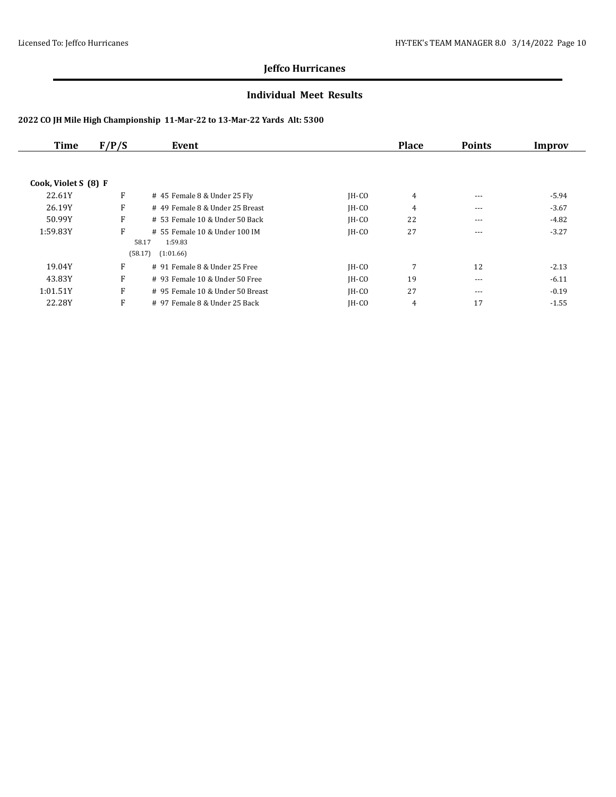#### **Individual Meet Results**

| Time                 | F/P/S | Event                                             |         | <b>Place</b> | <b>Points</b> | Improv  |
|----------------------|-------|---------------------------------------------------|---------|--------------|---------------|---------|
| Cook, Violet S (8) F |       |                                                   |         |              |               |         |
| 22.61Y               | F     | # 45 Female 8 & Under 25 Fly                      | $IH-CO$ | 4            | $---$         | $-5.94$ |
| 26.19Y               | F     | # 49 Female 8 & Under 25 Breast                   | $IH-CO$ | 4            | $- - -$       | $-3.67$ |
| 50.99Y               | F     | $# 53$ Female 10 & Under 50 Back                  | $IH-CO$ | 22           | $- - -$       | $-4.82$ |
| 1:59.83Y             | F     | # 55 Female 10 & Under 100 IM<br>58.17<br>1:59.83 | $IH-CO$ | 27           | $---$         | $-3.27$ |
|                      |       | (58.17)<br>(1:01.66)                              |         |              |               |         |
| 19.04Y               | F     | # 91 Female 8 & Under 25 Free                     | $IH-CO$ | 7            | 12            | $-2.13$ |
| 43.83Y               | F     | $#$ 93 Female 10 & Under 50 Free                  | $IH-CO$ | 19           | $- - -$       | $-6.11$ |
| 1:01.51Y             | F     | # 95 Female 10 & Under 50 Breast                  | $IH-CO$ | 27           | $---$         | $-0.19$ |
| 22.28Y               | F     | # 97 Female 8 & Under 25 Back                     | $IH-CO$ | 4            | 17            | $-1.55$ |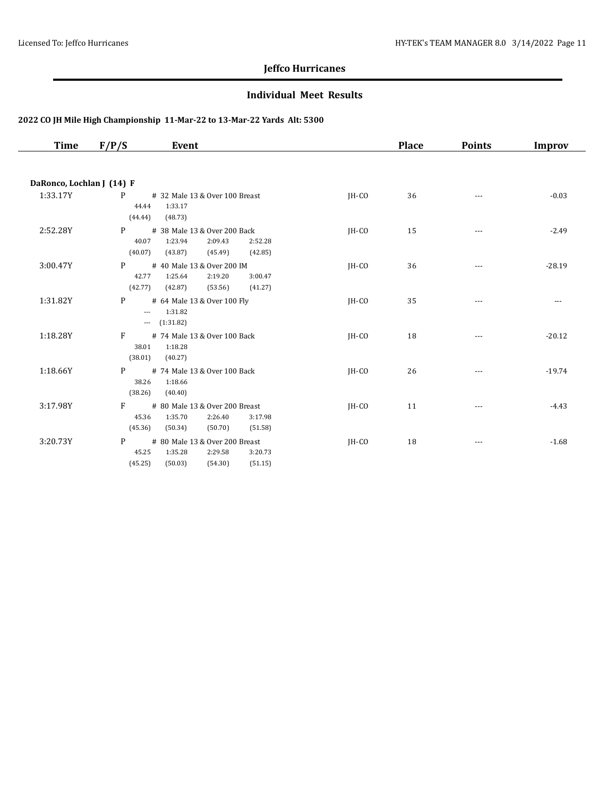#### **Individual Meet Results**

| <b>Time</b>               | F/P/S<br>Event                                                                                                            |       | <b>Place</b> | <b>Points</b> | Improv   |
|---------------------------|---------------------------------------------------------------------------------------------------------------------------|-------|--------------|---------------|----------|
|                           |                                                                                                                           |       |              |               |          |
| DaRonco, Lochlan J (14) F |                                                                                                                           |       |              |               |          |
| 1:33.17Y                  | P<br># 32 Male 13 & Over 100 Breast<br>44.44<br>1:33.17<br>(48.73)<br>(44.44)                                             | IH-CO | 36           | $---$         | $-0.03$  |
| 2:52.28Y                  | P<br># 38 Male 13 & Over 200 Back<br>1:23.94<br>40.07<br>2:09.43<br>2:52.28<br>(40.07)<br>(43.87)<br>(45.49)<br>(42.85)   | IH-CO | 15           | $---$         | $-2.49$  |
| 3:00.47Y                  | # 40 Male 13 & Over 200 IM<br>P<br>42.77<br>1:25.64<br>2:19.20<br>3:00.47<br>(42.77)<br>(42.87)<br>(53.56)<br>(41.27)     | IH-CO | 36           | $---$         | $-28.19$ |
| 1:31.82Y                  | P<br># 64 Male 13 & Over 100 Fly<br>1:31.82<br>$\cdots$<br>(1:31.82)<br>$\cdots$                                          | JH-CO | 35           | $---$         | $---$    |
| 1:18.28Y                  | F<br># 74 Male 13 & Over 100 Back<br>1:18.28<br>38.01<br>(38.01)<br>(40.27)                                               | JH-CO | 18           | $---$         | $-20.12$ |
| 1:18.66Y                  | # 74 Male 13 & Over 100 Back<br>P<br>38.26<br>1:18.66<br>(38.26)<br>(40.40)                                               | JH-CO | 26           | $---$         | $-19.74$ |
| 3:17.98Y                  | F<br># 80 Male 13 & Over 200 Breast<br>45.36<br>1:35.70<br>2:26.40<br>3:17.98<br>(45.36)<br>(50.34)<br>(50.70)<br>(51.58) | IH-CO | 11           | $---$         | $-4.43$  |
| 3:20.73Y                  | P<br># 80 Male 13 & Over 200 Breast<br>1:35.28<br>45.25<br>2:29.58<br>3:20.73<br>(45.25)<br>(50.03)<br>(54.30)<br>(51.15) | IH-CO | 18           | $---$         | $-1.68$  |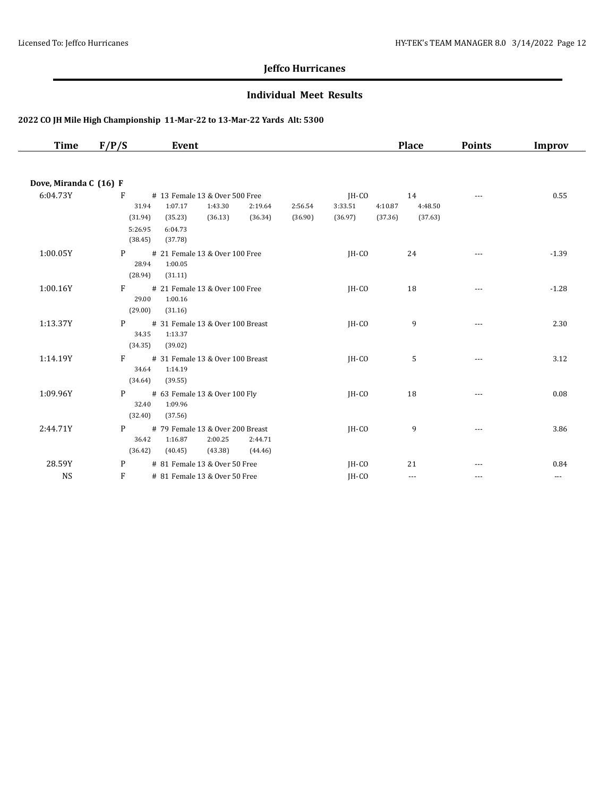#### **Individual Meet Results**

| Time                   | F/P/S                              | Event                                                             |                                |                    |                             |                    | <b>Place</b>             | <b>Points</b> | Improv   |
|------------------------|------------------------------------|-------------------------------------------------------------------|--------------------------------|--------------------|-----------------------------|--------------------|--------------------------|---------------|----------|
| Dove, Miranda C (16) F |                                    |                                                                   |                                |                    |                             |                    |                          |               |          |
| 6:04.73Y               | F<br>31.94<br>(31.94)              | # 13 Female 13 & Over 500 Free<br>1:07.17<br>1:43.30<br>(36.13)   | 2:19.64<br>(36.34)             | 2:56.54<br>(36.90) | IH-CO<br>3:33.51<br>(36.97) | 4:10.87<br>(37.36) | 14<br>4:48.50<br>(37.63) | $\cdots$      | 0.55     |
|                        | 5:26.95<br>(38.45)                 | (35.23)<br>6:04.73<br>(37.78)                                     |                                |                    |                             |                    |                          |               |          |
| 1:00.05Y               | P<br>28.94<br>(28.94)              | # 21 Female 13 & Over 100 Free<br>1:00.05<br>(31.11)              |                                |                    | IH-CO                       |                    | 24                       |               | $-1.39$  |
| 1:00.16Y               | F<br>29.00<br>(29.00)              | # 21 Female 13 & Over 100 Free<br>1:00.16<br>(31.16)              |                                |                    | $IH-CO$                     |                    | 18                       | $- - -$       | $-1.28$  |
| 1:13.37Y               | P <sub>2</sub><br>34.35<br>(34.35) | # 31 Female 13 & Over 100 Breast<br>1:13.37<br>(39.02)            |                                |                    | $IH-CO$                     |                    | 9                        | $\cdots$      | 2.30     |
| 1:14.19Y               | F<br>34.64<br>(34.64)              | # 31 Female 13 & Over 100 Breast<br>1:14.19<br>(39.55)            |                                |                    | $IH-CO$                     |                    | 5                        | ---           | 3.12     |
| 1:09.96Y               | P <sub>2</sub><br>32.40<br>(32.40) | # 63 Female 13 & Over 100 Fly<br>1:09.96<br>(37.56)               |                                |                    | $IH-CO$                     |                    | 18                       | ---           | 0.08     |
| 2:44.71Y               | P<br>36.42<br>(36.42)              | # 79 Female 13 & Over 200 Breast<br>1:16.87<br>2:00.25<br>(40.45) | 2:44.71<br>$(43.38)$ $(44.46)$ |                    | $IH-CO$                     |                    | 9                        |               | 3.86     |
| 28.59Y                 | P                                  | # 81 Female 13 & Over 50 Free                                     |                                |                    | $IH-CO$                     |                    | 21                       | ---           | 0.84     |
| <b>NS</b>              | F                                  | # 81 Female 13 & Over 50 Free                                     |                                |                    | IH-CO                       |                    | $\cdots$                 | $---$         | $\cdots$ |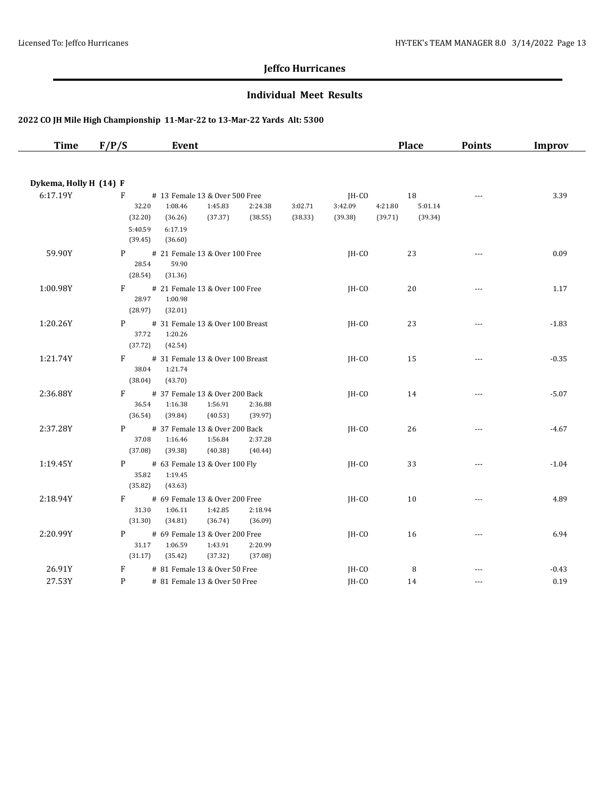#### **Individual Meet Results**

| <b>Time</b>                        | F/P/S                                       | Event                                                                                            |                    |                    |                             |                    | <b>Place</b>             | <b>Points</b>        | Improv  |
|------------------------------------|---------------------------------------------|--------------------------------------------------------------------------------------------------|--------------------|--------------------|-----------------------------|--------------------|--------------------------|----------------------|---------|
|                                    |                                             |                                                                                                  |                    |                    |                             |                    |                          |                      |         |
| Dykema, Holly H (14) F<br>6:17.19Y | F<br>32.20<br>(32.20)<br>5:40.59<br>(39.45) | # 13 Female 13 & Over 500 Free<br>1:08.46<br>1:45.83<br>(36.26)<br>(37.37)<br>6:17.19<br>(36.60) | 2:24.38<br>(38.55) | 3:02.71<br>(38.33) | JH-CO<br>3:42.09<br>(39.38) | 4:21.80<br>(39.71) | 18<br>5:01.14<br>(39.34) | $\sim$ $\sim$ $\sim$ | 3.39    |
| 59.90Y                             | P<br>28.54<br>(28.54)                       | # 21 Female 13 & Over 100 Free<br>59.90<br>(31.36)                                               |                    |                    | JH-CO                       |                    | 23                       | $\overline{a}$       | 0.09    |
| 1:00.98Y                           | F<br>28.97<br>(28.97)                       | # 21 Female 13 & Over 100 Free<br>1:00.98<br>(32.01)                                             |                    |                    | $IH-CO$                     |                    | 20                       | $\sim$ $\sim$ $\sim$ | 1.17    |
| 1:20.26Y                           | P<br>37.72<br>(37.72)                       | # 31 Female 13 & Over 100 Breast<br>1:20.26<br>(42.54)                                           |                    |                    | JH-CO                       |                    | 23                       | $---$                | $-1.83$ |
| 1:21.74Y                           | F<br>38.04<br>(38.04)                       | # 31 Female 13 & Over 100 Breast<br>1:21.74<br>(43.70)                                           |                    |                    | $IH-CO$                     |                    | 15                       | $\cdots$             | $-0.35$ |
| 2:36.88Y                           | F<br>36.54<br>(36.54)                       | # 37 Female 13 & Over 200 Back<br>1:56.91<br>1:16.38<br>(39.84)<br>(40.53)                       | 2:36.88<br>(39.97) |                    | IH-CO                       |                    | 14                       | $\cdots$             | $-5.07$ |
| 2:37.28Y                           | P<br>37.08<br>(37.08)                       | # 37 Female 13 & Over 200 Back<br>1:56.84<br>1:16.46<br>(39.38)<br>(40.38)                       | 2:37.28<br>(40.44) |                    | $IH-CO$                     |                    | 26                       | $\sim$ $\sim$ $\sim$ | $-4.67$ |
| 1:19.45Y                           | P <sub>2</sub><br>35.82<br>(35.82)          | # 63 Female 13 & Over 100 Fly<br>1:19.45<br>(43.63)                                              |                    |                    | $IH-CO$                     |                    | 33                       | $---$                | $-1.04$ |
| 2:18.94Y                           | F<br>31.30<br>(31.30)                       | # 69 Female 13 & Over 200 Free<br>1:06.11<br>1:42.85<br>(34.81)<br>(36.74)                       | 2:18.94<br>(36.09) |                    | $IH-CO$                     |                    | 10                       | $\cdots$             | 4.89    |
| 2:20.99Y                           | P<br>31.17<br>(31.17)                       | # 69 Female 13 & Over 200 Free<br>1:06.59<br>1:43.91<br>(35.42)<br>(37.32)                       | 2:20.99<br>(37.08) |                    | $IH-CO$                     |                    | 16                       | $- - -$              | 6.94    |
| 26.91Y                             | F                                           | # 81 Female 13 & Over 50 Free                                                                    |                    |                    | JH-CO                       |                    | 8                        |                      | $-0.43$ |
| 27.53Y                             | P                                           | # 81 Female 13 & Over 50 Free                                                                    |                    |                    | JH-CO                       |                    | 14                       | $---$                | 0.19    |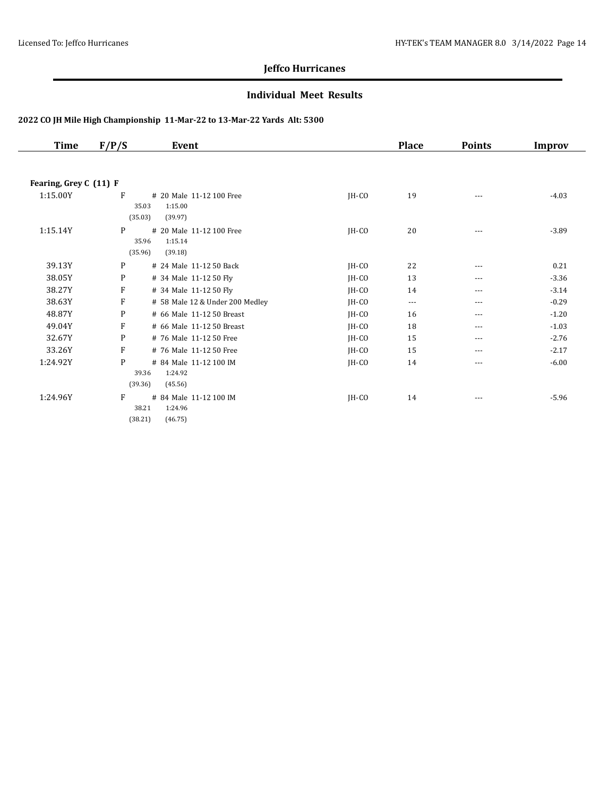#### **Individual Meet Results**

| <b>Time</b>            | F/P/S   | Event                           |         | <b>Place</b> | <b>Points</b> | <b>Improv</b> |
|------------------------|---------|---------------------------------|---------|--------------|---------------|---------------|
|                        |         |                                 |         |              |               |               |
| Fearing, Grey C (11) F |         |                                 |         |              |               |               |
| 1:15.00Y               | F       | # 20 Male 11-12 100 Free        | JH-CO   | 19           | $---$         | $-4.03$       |
|                        |         | 1:15.00<br>35.03                |         |              |               |               |
|                        | (35.03) | (39.97)                         |         |              |               |               |
| 1:15.14Y               | P       | # 20 Male 11-12 100 Free        | $IH-CO$ | 20           | ---           | $-3.89$       |
|                        |         | 1:15.14<br>35.96                |         |              |               |               |
|                        | (35.96) | (39.18)                         |         |              |               |               |
| 39.13Y                 | P       | # 24 Male 11-12 50 Back         | JH-CO   | 22           | $---$         | 0.21          |
| 38.05Y                 | P       | # 34 Male 11-12 50 Fly          | $IH-CO$ | 13           | ---           | $-3.36$       |
| 38.27Y                 | F       | # 34 Male 11-12 50 Fly          | JH-CO   | 14           | ---           | $-3.14$       |
| 38.63Y                 | F       | # 58 Male 12 & Under 200 Medley | JH-CO   | $\cdots$     | $---$         | $-0.29$       |
| 48.87Y                 | P       | # 66 Male 11-12 50 Breast       | JH-CO   | 16           | ---           | $-1.20$       |
| 49.04Y                 | F       | # 66 Male 11-12 50 Breast       | $IH-CO$ | 18           | ---           | $-1.03$       |
| 32.67Y                 | P       | # 76 Male 11-12 50 Free         | JH-CO   | 15           | $---$         | $-2.76$       |
| 33.26Y                 | F       | # 76 Male 11-12 50 Free         | JH-CO   | 15           | ---           | $-2.17$       |
| 1:24.92Y               | P       | # 84 Male 11-12 100 IM          | IH-CO   | 14           | $---$         | $-6.00$       |
|                        |         | 1:24.92<br>39.36                |         |              |               |               |
|                        | (39.36) | (45.56)                         |         |              |               |               |
| 1:24.96Y               | F       | # 84 Male 11-12 100 IM          | $IH-CO$ | 14           |               | $-5.96$       |
|                        |         | 1:24.96<br>38.21                |         |              |               |               |
|                        | (38.21) | (46.75)                         |         |              |               |               |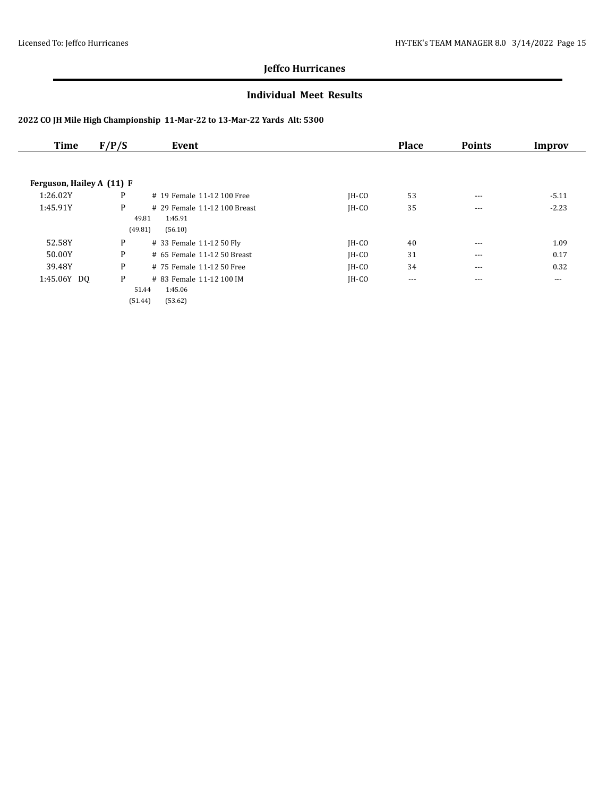#### **Individual Meet Results**

| <b>Time</b>               | F/P/S | Event                        |         | <b>Place</b> | <b>Points</b> | Improv   |
|---------------------------|-------|------------------------------|---------|--------------|---------------|----------|
|                           |       |                              |         |              |               |          |
| Ferguson, Hailey A (11) F |       |                              |         |              |               |          |
| 1:26.02Y                  | P     | # 19 Female 11-12 100 Free   | $IH-CO$ | 53           | $- - -$       | $-5.11$  |
| 1:45.91Y                  | P     | # 29 Female 11-12 100 Breast | $IH-CO$ | 35           | $- - -$       | $-2.23$  |
|                           |       | 1:45.91<br>49.81             |         |              |               |          |
|                           |       | (49.81)<br>(56.10)           |         |              |               |          |
| 52.58Y                    | P     | # 33 Female 11-12 50 Fly     | JH-CO   | 40           | $- - -$       | 1.09     |
| 50.00Y                    | P     | # 65 Female 11-12 50 Breast  | $IH-CO$ | 31           | $- - -$       | 0.17     |
| 39.48Y                    | P     | # 75 Female 11-12 50 Free    | $IH-CO$ | 34           | $- - -$       | 0.32     |
| 1:45.06Y DO               | P     | # 83 Female 11-12 100 IM     | $IH-CO$ | $\cdots$     | $\cdots$      | $\cdots$ |
|                           |       | 1:45.06<br>51.44             |         |              |               |          |
|                           |       | (51.44)<br>(53.62)           |         |              |               |          |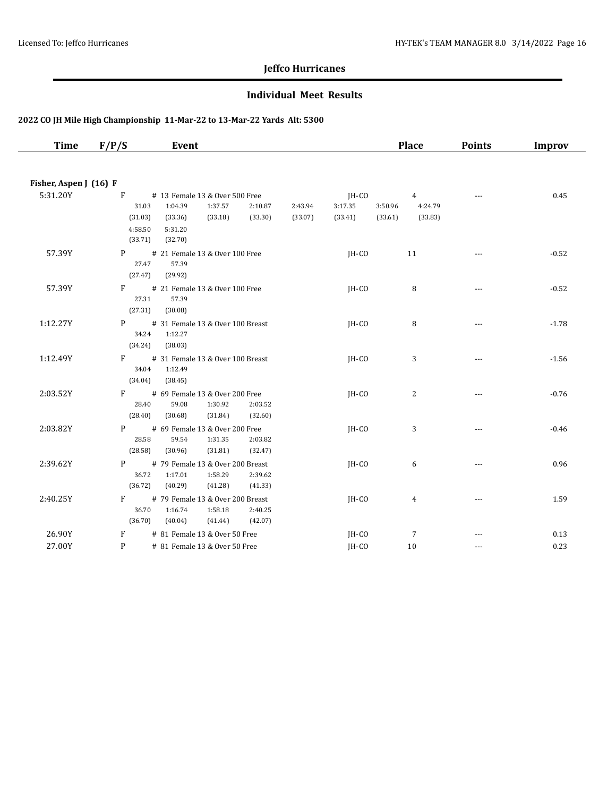#### **Individual Meet Results**

| <b>Time</b>            | F/P/S                                              | Event                                                                                                                  |                    |                             | <b>Place</b>                                               | <b>Points</b>        | Improv  |
|------------------------|----------------------------------------------------|------------------------------------------------------------------------------------------------------------------------|--------------------|-----------------------------|------------------------------------------------------------|----------------------|---------|
| Fisher, Aspen J (16) F |                                                    |                                                                                                                        |                    |                             |                                                            |                      |         |
| 5:31.20Y               | $F \sim$<br>31.03<br>(31.03)<br>4:58.50<br>(33.71) | # 13 Female 13 & Over 500 Free<br>1:37.57<br>1:04.39<br>2:10.87<br>(33.30)<br>(33.36)<br>(33.18)<br>5:31.20<br>(32.70) | 2:43.94<br>(33.07) | JH-CO<br>3:17.35<br>(33.41) | $\overline{4}$<br>3:50.96<br>4:24.79<br>(33.61)<br>(33.83) |                      | 0.45    |
| 57.39Y                 | P <sub>2</sub><br>27.47<br>(27.47)                 | # 21 Female 13 & Over 100 Free<br>57.39<br>(29.92)                                                                     |                    | JH-CO                       | 11                                                         |                      | $-0.52$ |
| 57.39Y                 | $F =$<br>27.31<br>(27.31)                          | # 21 Female 13 & Over 100 Free<br>57.39<br>(30.08)                                                                     |                    | IH-CO                       | 8                                                          | $- - -$              | $-0.52$ |
| 1:12.27Y               | P<br>34.24<br>(34.24)                              | # 31 Female 13 & Over 100 Breast<br>1:12.27<br>(38.03)                                                                 |                    | IH-CO                       | 8                                                          | $\overline{a}$       | $-1.78$ |
| 1:12.49Y               | $F \sim$<br>34.04<br>(34.04)                       | # 31 Female 13 & Over 100 Breast<br>1:12.49<br>(38.45)                                                                 |                    | IH-CO                       | 3                                                          | $\sim$ $\sim$ $\sim$ | $-1.56$ |
| 2:03.52Y               | $F =$<br>28.40<br>(28.40)                          | # 69 Female 13 & Over 200 Free<br>59.08<br>1:30.92<br>2:03.52<br>(30.68)<br>(31.84)<br>(32.60)                         |                    | $IH-CO$                     | $\overline{c}$                                             | $\cdots$             | $-0.76$ |
| 2:03.82Y               | P <sub>2</sub><br>28.58<br>(28.58)                 | # 69 Female 13 & Over 200 Free<br>59.54<br>1:31.35<br>2:03.82<br>(30.96)<br>(31.81)<br>(32.47)                         |                    | JH-CO                       | 3                                                          | $\sim$ $\sim$ $\sim$ | $-0.46$ |
| 2:39.62Y               | P<br>36.72<br>(36.72)                              | # 79 Female 13 & Over 200 Breast<br>1:17.01<br>1:58.29<br>2:39.62<br>(41.28)<br>(41.33)<br>(40.29)                     |                    | IH-CO                       | 6                                                          | ---                  | 0.96    |
| 2:40.25Y               | F.<br>36.70<br>(36.70)                             | # 79 Female 13 & Over 200 Breast<br>1:16.74<br>1:58.18<br>2:40.25<br>(40.04)<br>(41.44)<br>(42.07)                     |                    | IH-CO                       | 4                                                          |                      | 1.59    |
| 26.90Y                 | F                                                  | # 81 Female 13 & Over 50 Free                                                                                          |                    | JH-CO                       | $\overline{7}$                                             |                      | 0.13    |
| 27.00Y                 | P                                                  | # 81 Female 13 & Over 50 Free                                                                                          |                    | IH-CO                       | 10                                                         | $- - -$              | 0.23    |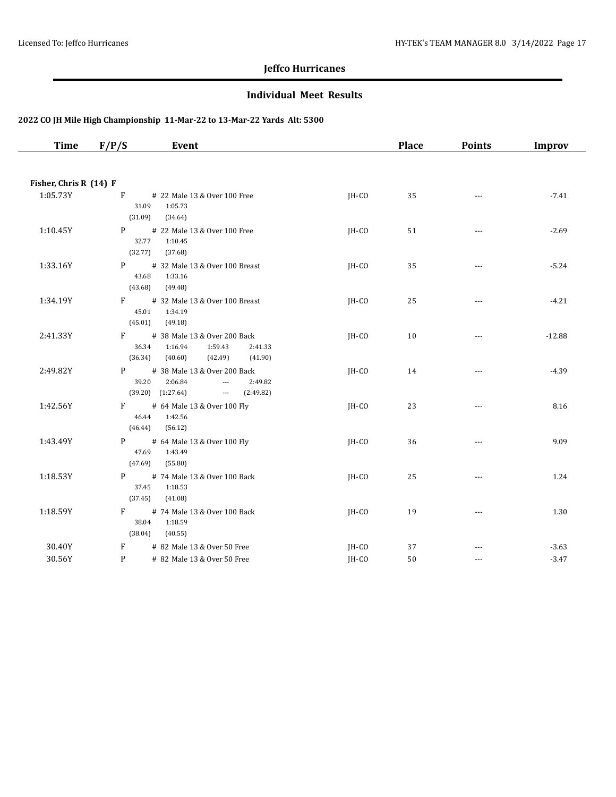#### **Individual Meet Results**

| <b>Time</b>            | F/P/S                     | Event                                                                                                                                          |         | <b>Place</b> | <b>Points</b>        | Improv   |
|------------------------|---------------------------|------------------------------------------------------------------------------------------------------------------------------------------------|---------|--------------|----------------------|----------|
|                        |                           |                                                                                                                                                |         |              |                      |          |
| Fisher, Chris R (14) F |                           |                                                                                                                                                |         |              |                      |          |
| 1:05.73Y               | F<br>(31.09)              | # 22 Male 13 & Over 100 Free<br>31.09<br>1:05.73<br>(34.64)                                                                                    | $IH-CO$ | 35           | $\sim$ $\sim$        | $-7.41$  |
| 1:10.45Y               | P <sub>2</sub><br>(32.77) | # 22 Male 13 & Over 100 Free<br>32.77<br>1:10.45<br>(37.68)                                                                                    | JH-CO   | 51           | $\cdots$             | $-2.69$  |
| 1:33.16Y               | P<br>(43.68)              | # 32 Male 13 & Over 100 Breast<br>43.68<br>1:33.16<br>(49.48)                                                                                  | IH-CO   | 35           | $\cdots$             | $-5.24$  |
| 1:34.19Y               | F<br>(45.01)              | # 32 Male 13 & Over 100 Breast<br>45.01<br>1:34.19<br>(49.18)                                                                                  | JH-CO   | 25           | $\cdots$             | $-4.21$  |
| 2:41.33Y               | F<br>(36.34)              | # 38 Male 13 & Over 200 Back<br>36.34<br>1:16.94<br>1:59.43<br>2:41.33<br>(40.60)<br>(42.49)<br>(41.90)                                        | JH-CO   | 10           | $\sim$ $\sim$ $\sim$ | $-12.88$ |
| 2:49.82Y               | P                         | # 38 Male 13 & Over 200 Back<br>39.20<br>2:06.84<br>2:49.82<br>$\scriptstyle \cdots$<br>$(39.20)$ $(1:27.64)$<br>and the state of<br>(2:49.82) | JH-CO   | 14           | $\scriptstyle\cdots$ | $-4.39$  |
| 1:42.56Y               | F<br>(46.44)              | # 64 Male 13 & Over 100 Fly<br>46.44<br>1:42.56<br>(56.12)                                                                                     | $IH-CO$ | 23           | $\sim$ $\sim$ $\sim$ | 8.16     |
| 1:43.49Y               | P <sub>2</sub><br>(47.69) | # 64 Male 13 & Over 100 Fly<br>47.69<br>1:43.49<br>(55.80)                                                                                     | JH-CO   | 36           | $\cdots$             | 9.09     |
| 1:18.53Y               | P =<br>(37.45)            | # 74 Male 13 & Over 100 Back<br>1:18.53<br>37.45<br>(41.08)                                                                                    | JH-CO   | 25           | $\cdots$             | 1.24     |
| 1:18.59Y               | $F =$<br>(38.04)          | # 74 Male 13 & Over 100 Back<br>38.04<br>1:18.59<br>(40.55)                                                                                    | IH-CO   | 19           | $\sim$ $\sim$ $\sim$ | 1.30     |
| 30.40Y                 | F                         | # 82 Male 13 & Over 50 Free                                                                                                                    | JH-CO   | 37           |                      | $-3.63$  |
| 30.56Y                 | P                         | # 82 Male 13 & Over 50 Free                                                                                                                    | IH-CO   | 50           | $\cdots$             | $-3.47$  |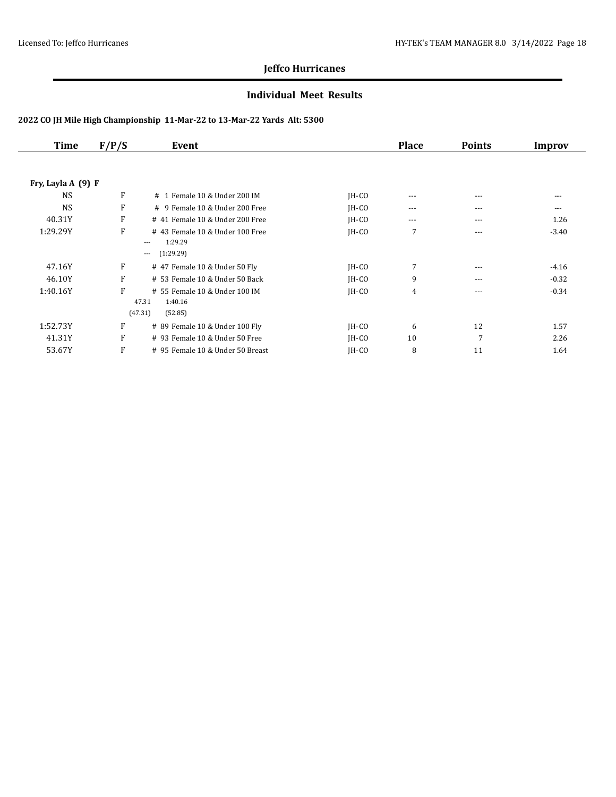#### **Individual Meet Results**

| <b>Time</b>        | F/P/S | Event                                                                   |         | <b>Place</b> | <b>Points</b> | Improv  |
|--------------------|-------|-------------------------------------------------------------------------|---------|--------------|---------------|---------|
|                    |       |                                                                         |         |              |               |         |
| Fry, Layla A (9) F |       |                                                                         |         |              |               |         |
| <b>NS</b>          | F     | # 1 Female 10 & Under 200 IM                                            | $IH-CO$ | $---$        | ---           | ---     |
| <b>NS</b>          | F     | # 9 Female 10 & Under 200 Free                                          | $IH-CO$ | $---$        | $- - -$       | $---$   |
| 40.31Y             | F     | # 41 Female 10 & Under 200 Free                                         | $IH-CO$ | $---$        | $---$         | 1.26    |
| 1:29.29Y           | F     | #43 Female 10 & Under 100 Free<br>1:29.29<br>$---$                      | $IH-CO$ | 7            | $---$         | $-3.40$ |
|                    |       | (1:29.29)<br>$\cdots$                                                   |         |              |               |         |
| 47.16Y             | F     | # 47 Female 10 & Under 50 Fly                                           | $IH-CO$ | 7            | $- - -$       | $-4.16$ |
| 46.10Y             | F     | # 53 Female 10 & Under 50 Back                                          | $IH-CO$ | 9            | $- - -$       | $-0.32$ |
| 1:40.16Y           | F     | # 55 Female 10 & Under 100 IM<br>47.31<br>1:40.16<br>(47.31)<br>(52.85) | $IH-CO$ | 4            | $---$         | $-0.34$ |
| 1:52.73Y           | F     | # 89 Female 10 & Under 100 Fly                                          | $IH-CO$ | 6            | 12            | 1.57    |
| 41.31Y             | F     | # 93 Female 10 & Under 50 Free                                          | $IH-CO$ | 10           | 7             | 2.26    |
| 53.67Y             | F     | # 95 Female 10 & Under 50 Breast                                        | JH-CO   | 8            | 11            | 1.64    |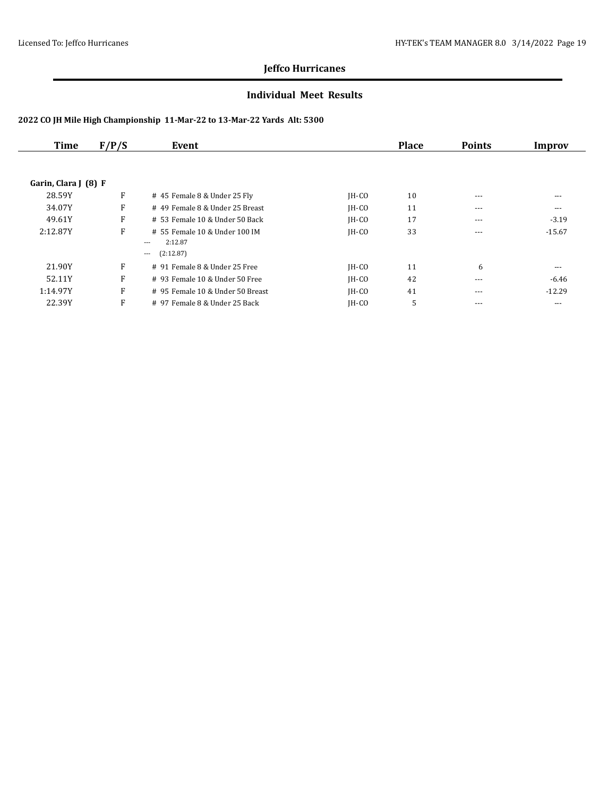#### **Individual Meet Results**

| Time                 | F/P/S | Event                            |         | <b>Place</b> | <b>Points</b> | Improv   |
|----------------------|-------|----------------------------------|---------|--------------|---------------|----------|
|                      |       |                                  |         |              |               |          |
| Garin, Clara J (8) F |       |                                  |         |              |               |          |
| 28.59Y               | F     | # 45 Female 8 & Under 25 Fly     | $IH-CO$ | 10           | $---$         | $---$    |
| 34.07Y               | F     | #49 Female 8 & Under 25 Breast   | $IH-CO$ | 11           | $- - -$       | $---$    |
| 49.61Y               | F     | $# 53$ Female 10 & Under 50 Back | $IH-CO$ | 17           | $---$         | $-3.19$  |
| 2:12.87Y             | F     | # 55 Female 10 & Under 100 IM    | $IH-CO$ | 33           | $---$         | $-15.67$ |
|                      |       | 2:12.87<br>$---$                 |         |              |               |          |
|                      |       | (2:12.87)<br>$---$               |         |              |               |          |
| 21.90Y               | F     | # 91 Female 8 & Under 25 Free    | $IH-CO$ | 11           | 6             | $---$    |
| 52.11Y               | F     | $#$ 93 Female 10 & Under 50 Free | $IH-CO$ | 42           | $- - -$       | -6.46    |
| 1:14.97Y             | F     | # 95 Female 10 & Under 50 Breast | $IH-CO$ | 41           | $---$         | $-12.29$ |
| 22.39Y               | F     | # 97 Female 8 & Under 25 Back    | $IH-CO$ | 5            | $- - -$       | ---      |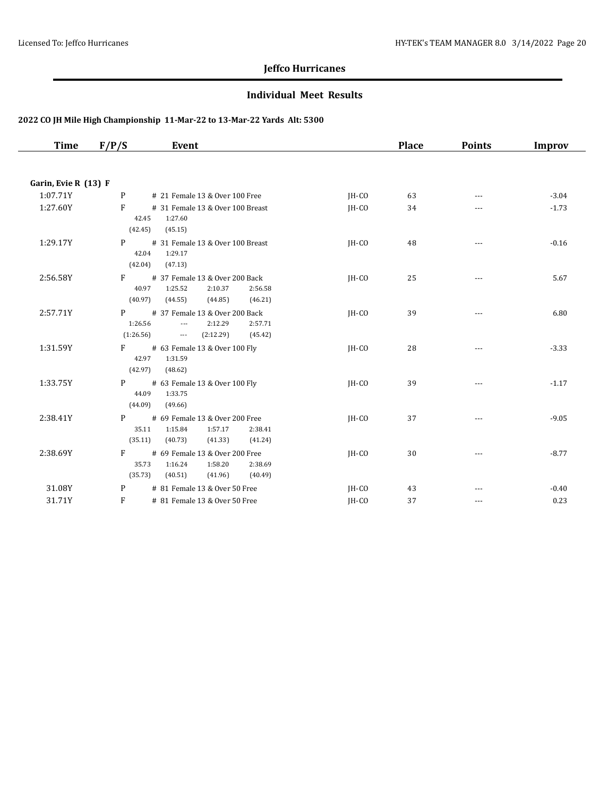#### **Individual Meet Results**

| Time                 | F/P/S<br>Event                                                                                                                      |                               | <b>Place</b> | <b>Points</b> | Improv  |
|----------------------|-------------------------------------------------------------------------------------------------------------------------------------|-------------------------------|--------------|---------------|---------|
|                      |                                                                                                                                     |                               |              |               |         |
| Garin, Evie R (13) F |                                                                                                                                     |                               |              |               |         |
| 1:07.71Y             | # 21 Female 13 & Over 100 Free<br>P                                                                                                 | IH-CO                         | 63           | $---$         | $-3.04$ |
| 1:27.60Y             | F<br># 31 Female 13 & Over 100 Breast<br>42.45<br>1:27.60<br>(42.45)<br>(45.15)                                                     | $IH-CO$                       | 34           | ---           | $-1.73$ |
| 1:29.17Y             | P<br># 31 Female 13 & Over 100 Breast<br>42.04<br>1:29.17<br>(42.04)<br>(47.13)                                                     | JH-CO                         | 48           | $\cdots$      | $-0.16$ |
| 2:56.58Y             | F<br># 37 Female 13 & Over 200 Back<br>40.97<br>1:25.52<br>2:10.37<br>(40.97)<br>(44.55)<br>(44.85)                                 | $IH-CO$<br>2:56.58<br>(46.21) | 25           |               | 5.67    |
| 2:57.71Y             | # 37 Female 13 & Over 200 Back<br>P.<br>1:26.56<br>2:12.29<br>$\overline{\phantom{a}}$<br>(1:26.56)<br>(2:12.29)<br>$\sim 10^{-10}$ | $IH-CO$<br>2:57.71<br>(45.42) | 39           | $\cdots$      | 6.80    |
| 1:31.59Y             | # 63 Female 13 & Over 100 Fly<br>$F =$<br>42.97<br>1:31.59<br>(42.97)<br>(48.62)                                                    | $IH-CO$                       | 28           | $---$         | $-3.33$ |
| 1:33.75Y             | # 63 Female 13 & Over 100 Fly<br>$P \qquad \qquad$<br>44.09<br>1:33.75<br>(44.09)<br>(49.66)                                        | $IH-CO$                       | 39           |               | $-1.17$ |
| 2:38.41Y             | P<br># 69 Female 13 & Over 200 Free<br>1:15.84<br>35.11<br>1:57.17<br>(35.11)<br>(40.73)<br>(41.33)                                 | IH-CO<br>2:38.41<br>(41.24)   | 37           | $\cdots$      | $-9.05$ |
| 2:38.69Y             | # 69 Female 13 & Over 200 Free<br>$F =$<br>35.73<br>1:58.20<br>1:16.24<br>(35.73)<br>(41.96)<br>(40.51)                             | $IH-CO$<br>2:38.69<br>(40.49) | 30           | $- - -$       | $-8.77$ |
| 31.08Y               | # 81 Female 13 & Over 50 Free<br>P                                                                                                  | IH-CO                         | 43           |               | $-0.40$ |
| 31.71Y               | F<br># 81 Female 13 & Over 50 Free                                                                                                  | IH-CO                         | 37           | $\cdots$      | 0.23    |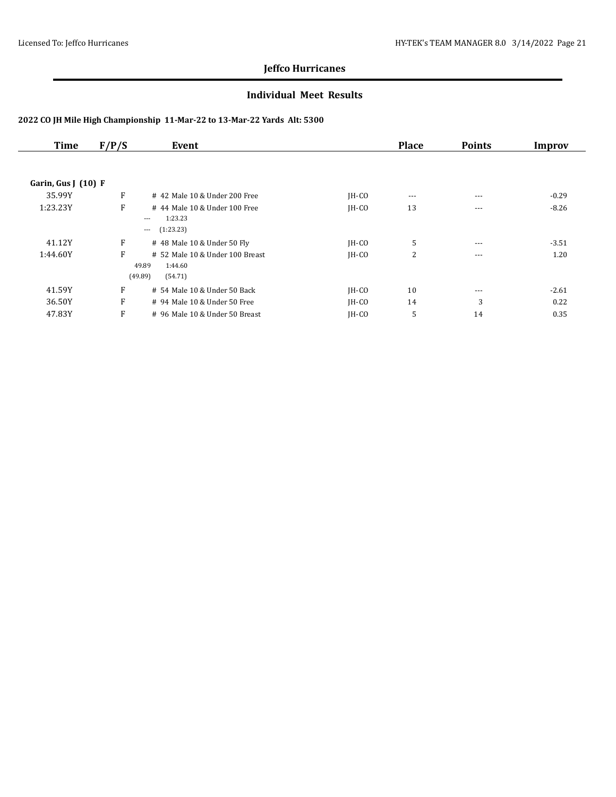#### **Individual Meet Results**

| <b>Time</b>         | F/P/S | Event                                                                     |         | <b>Place</b> | <b>Points</b> | Improv  |
|---------------------|-------|---------------------------------------------------------------------------|---------|--------------|---------------|---------|
|                     |       |                                                                           |         |              |               |         |
| Garin, Gus $(10)$ F |       |                                                                           |         |              |               |         |
| 35.99Y              | F     | #42 Male 10 & Under 200 Free                                              | $IH-CO$ | $\cdots$     | $---$         | $-0.29$ |
| 1:23.23Y            | F     | #44 Male 10 & Under 100 Free<br>1:23.23<br>$\cdots$<br>(1:23.23)<br>$---$ | $IH-CO$ | 13           | $- - -$       | $-8.26$ |
| 41.12Y              | F     | # 48 Male 10 & Under 50 Fly                                               | $IH-CO$ | 5            | $\cdots$      | $-3.51$ |
| 1:44.60Y            | F     | # 52 Male 10 & Under 100 Breast<br>49.89<br>1:44.60<br>(49.89)<br>(54.71) | $IH-CO$ | 2            | $- - -$       | 1.20    |
| 41.59Y              | F     | # 54 Male 10 & Under 50 Back                                              | $IH-CO$ | 10           | $---$         | $-2.61$ |
| 36.50Y              | F     | # 94 Male 10 & Under 50 Free                                              | $IH-CO$ | 14           | 3             | 0.22    |
| 47.83Y              | F     | # 96 Male 10 & Under 50 Breast                                            | $IH-CO$ | 5            | 14            | 0.35    |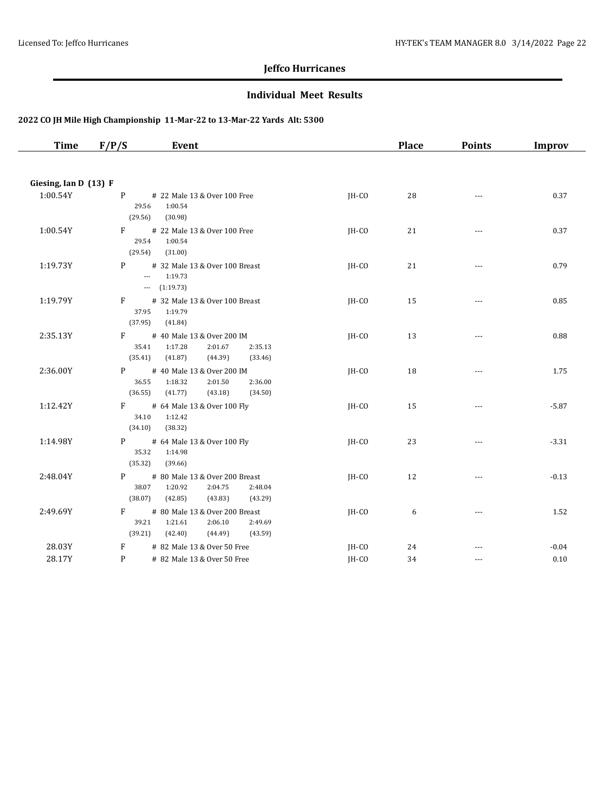#### **Individual Meet Results**

| <b>Time</b>           | F/P/S                 | Event                                                                                            |         | <b>Place</b> | <b>Points</b>            | Improv  |
|-----------------------|-----------------------|--------------------------------------------------------------------------------------------------|---------|--------------|--------------------------|---------|
|                       |                       |                                                                                                  |         |              |                          |         |
| Giesing, Ian D (13) F |                       |                                                                                                  |         |              |                          |         |
| 1:00.54Y              | P<br>29.56<br>(29.56) | # 22 Male 13 & Over 100 Free<br>1:00.54<br>(30.98)                                               | IH-CO   | 28           | $\cdots$                 | 0.37    |
| 1:00.54Y              | F<br>29.54<br>(29.54) | # 22 Male 13 & Over 100 Free<br>1:00.54<br>(31.00)                                               | IH-CO   | 21           | $\overline{a}$           | 0.37    |
| 1:19.73Y              | P                     | # 32 Male 13 & Over 100 Breast<br>$-1:19.73$<br>$-$ (1:19.73)                                    | JH-CO   | 21           | $\overline{a}$           | 0.79    |
| 1:19.79Y              | F<br>37.95<br>(37.95) | # 32 Male 13 & Over 100 Breast<br>1:19.79<br>(41.84)                                             | JH-CO   | 15           | $\cdots$                 | 0.85    |
| 2:35.13Y              | F<br>35.41<br>(35.41) | # 40 Male 13 & Over 200 IM<br>1:17.28<br>2:01.67<br>2:35.13<br>(41.87)<br>(44.39)<br>(33.46)     | $IH-CO$ | 13           | $\cdots$                 | 0.88    |
| 2:36.00Y              | P<br>36.55<br>(36.55) | # 40 Male 13 & Over 200 IM<br>2:36.00<br>1:18.32<br>2:01.50<br>(41.77)<br>(43.18)<br>(34.50)     | JH-CO   | 18           | $\cdots$                 | 1.75    |
| 1:12.42Y              | F<br>34.10<br>(34.10) | # 64 Male 13 & Over 100 Fly<br>1:12.42<br>(38.32)                                                | JH-CO   | 15           | $\cdots$                 | $-5.87$ |
| 1:14.98Y              | P<br>35.32<br>(35.32) | # 64 Male 13 & Over 100 Fly<br>1:14.98<br>(39.66)                                                | JH-CO   | 23           | $\cdots$                 | $-3.31$ |
| 2:48.04Y              | P<br>38.07<br>(38.07) | # 80 Male 13 & Over 200 Breast<br>1:20.92<br>2:04.75<br>2:48.04<br>(42.85)<br>(43.83)<br>(43.29) | JH-CO   | 12           | $\overline{\phantom{a}}$ | $-0.13$ |
| 2:49.69Y              | F<br>39.21<br>(39.21) | # 80 Male 13 & Over 200 Breast<br>1:21.61<br>2:06.10<br>2:49.69<br>(42.40)<br>(44.49)<br>(43.59) | IH-CO   | 6            | $\cdots$                 | 1.52    |
| 28.03Y                | F                     | # 82 Male 13 & Over 50 Free                                                                      | JH-CO   | 24           |                          | $-0.04$ |
| 28.17Y                | P                     | # 82 Male 13 & Over 50 Free                                                                      | IH-CO   | 34           | $\sim$ $\sim$ $\sim$     | 0.10    |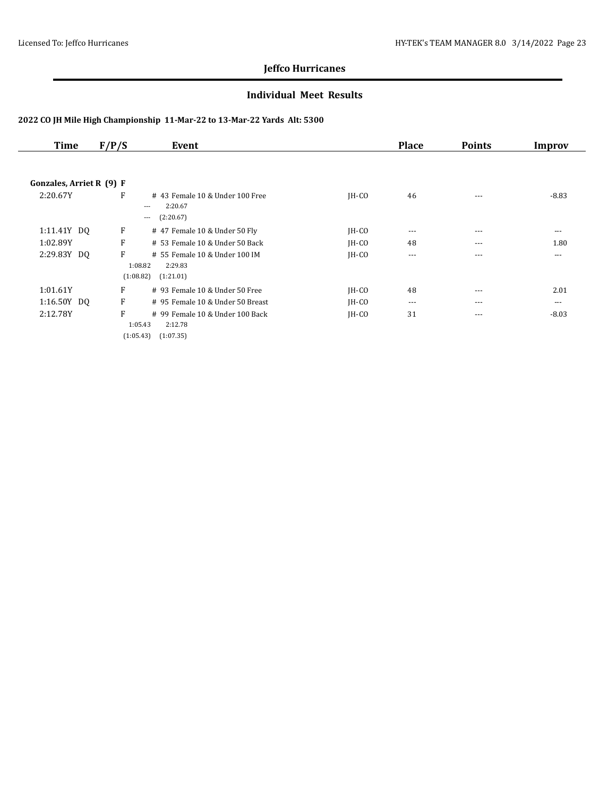#### **Individual Meet Results**

| <b>Time</b>              | F/P/S | Event                                                                           |         | <b>Place</b> | <b>Points</b> | Improv  |
|--------------------------|-------|---------------------------------------------------------------------------------|---------|--------------|---------------|---------|
|                          |       |                                                                                 |         |              |               |         |
| Gonzales, Arriet R (9) F |       |                                                                                 |         |              |               |         |
| 2:20.67Y                 | F     | # 43 Female 10 & Under 100 Free<br>2:20.67<br>$\cdots$<br>(2:20.67)<br>$---$    | $IH-CO$ | 46           | $---$         | $-8.83$ |
| 1:11.41Y DQ              | F     | # 47 Female 10 & Under 50 Fly                                                   | $IH-CO$ | $\cdots$     | $---$         | ---     |
| 1:02.89Y                 | F     | # 53 Female 10 & Under 50 Back                                                  | $IH-CO$ | 48           | $---$         | 1.80    |
| 2:29.83Y DQ              | F     | # 55 Female 10 & Under 100 IM<br>1:08.82<br>2:29.83                             | $IH-CO$ | $---$        | $---$         | ---     |
|                          |       | (1:08.82)<br>(1:21.01)                                                          |         |              |               |         |
| 1:01.61Y                 | F     | # 93 Female 10 & Under 50 Free                                                  | $IH-CO$ | 48           | $---$         | 2.01    |
| 1:16.50Y DQ              | F     | # 95 Female 10 & Under 50 Breast                                                | $IH-CO$ | $\cdots$     | $---$         | ---     |
| 2:12.78Y                 | F     | # 99 Female 10 & Under 100 Back<br>2:12.78<br>1:05.43<br>(1:05.43)<br>(1:07.35) | $IH-CO$ | 31           | $---$         | $-8.03$ |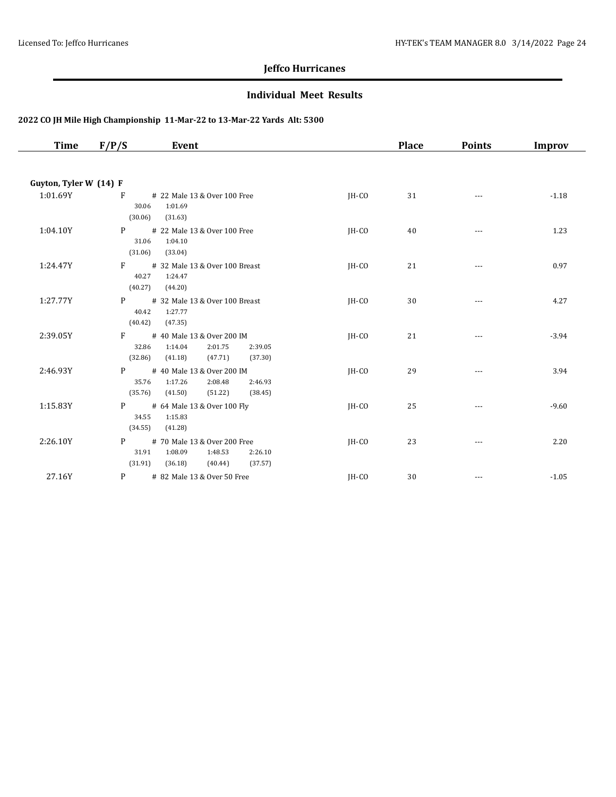#### **Individual Meet Results**

| Time                   | F/P/S                              | Event                                                                                          |         | <b>Place</b> | <b>Points</b> | <b>Improv</b> |
|------------------------|------------------------------------|------------------------------------------------------------------------------------------------|---------|--------------|---------------|---------------|
| Guyton, Tyler W (14) F |                                    |                                                                                                |         |              |               |               |
| 1:01.69Y               | F<br>30.06<br>(30.06)              | # 22 Male 13 & Over 100 Free<br>1:01.69<br>(31.63)                                             | $IH-CO$ | 31           | $\cdots$      | $-1.18$       |
| 1:04.10Y               | P <sub>1</sub><br>31.06<br>(31.06) | # 22 Male 13 & Over 100 Free<br>1:04.10<br>(33.04)                                             | $IH-CO$ | 40           | ---           | 1.23          |
| 1:24.47Y               | F<br>40.27<br>(40.27)              | # 32 Male 13 & Over 100 Breast<br>1:24.47<br>(44.20)                                           | JH-CO   | 21           | ---           | 0.97          |
| 1:27.77Y               | P<br>40.42<br>(40.42)              | # 32 Male 13 & Over 100 Breast<br>1:27.77<br>(47.35)                                           | JH-CO   | 30           |               | 4.27          |
| 2:39.05Y               | F<br>32.86<br>(32.86)              | # 40 Male 13 & Over 200 IM<br>1:14.04<br>2:01.75<br>2:39.05<br>(37.30)<br>(41.18)<br>(47.71)   | JH-CO   | 21           | ---           | $-3.94$       |
| 2:46.93Y               | P<br>35.76<br>(35.76)              | # 40 Male 13 & Over 200 IM<br>1:17.26<br>2:08.48<br>2:46.93<br>(41.50)<br>(51.22)<br>(38.45)   | IH-CO   | 29           |               | 3.94          |
| 1:15.83Y               | P <sub>2</sub><br>34.55<br>(34.55) | # 64 Male 13 & Over 100 Fly<br>1:15.83<br>(41.28)                                              | $IH-CO$ | 25           | $---$         | $-9.60$       |
| 2:26.10Y               | P <sub>2</sub><br>31.91<br>(31.91) | # 70 Male 13 & Over 200 Free<br>1:08.09<br>2:26.10<br>1:48.53<br>(36.18)<br>(40.44)<br>(37.57) | $IH-CO$ | 23           | $---$         | 2.20          |
| 27.16Y                 | P                                  | # 82 Male 13 & Over 50 Free                                                                    | IH-CO   | 30           | $\cdots$      | $-1.05$       |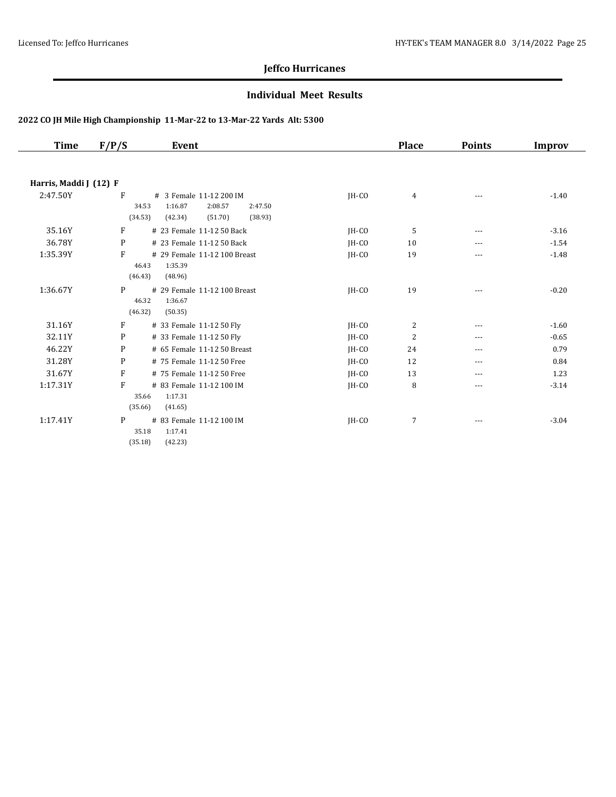#### **Individual Meet Results**

| Time                   | F/P/S<br>Event                                                                                                     |       | <b>Place</b>   | <b>Points</b> | Improv  |
|------------------------|--------------------------------------------------------------------------------------------------------------------|-------|----------------|---------------|---------|
|                        |                                                                                                                    |       |                |               |         |
| Harris, Maddi J (12) F |                                                                                                                    |       |                |               |         |
| 2:47.50Y               | F<br># 3 Female 11-12 200 IM<br>34.53<br>1:16.87<br>2:08.57<br>2:47.50<br>(34.53)<br>(42.34)<br>(51.70)<br>(38.93) | JH-CO | 4              | ---           | $-1.40$ |
| 35.16Y                 | F<br># 23 Female 11-12 50 Back                                                                                     | IH-CO | 5              | $- - -$       | $-3.16$ |
| 36.78Y                 | P<br># 23 Female 11-12 50 Back                                                                                     | IH-CO | 10             | ---           | $-1.54$ |
| 1:35.39Y               | F<br># 29 Female 11-12 100 Breast<br>1:35.39<br>46.43<br>(46.43)<br>(48.96)                                        | IH-CO | 19             | ---           | $-1.48$ |
| 1:36.67Y               | P<br># 29 Female 11-12 100 Breast<br>46.32<br>1:36.67<br>(46.32)<br>(50.35)                                        | IH-CO | 19             | ---           | $-0.20$ |
| 31.16Y                 | $\mathbf{F}$<br># 33 Female 11-12 50 Fly                                                                           | JH-CO | $\overline{2}$ | ---           | $-1.60$ |
| 32.11Y                 | P<br># 33 Female 11-12 50 Fly                                                                                      | IH-CO | $\overline{2}$ | ---           | $-0.65$ |
| 46.22Y                 | P<br># 65 Female 11-12 50 Breast                                                                                   | IH-CO | 24             | ---           | 0.79    |
| 31.28Y                 | P<br># 75 Female 11-12 50 Free                                                                                     | IH-CO | 12             | ---           | 0.84    |
| 31.67Y                 | F<br># 75 Female 11-12 50 Free                                                                                     | IH-CO | 13             | ---           | 1.23    |
| 1:17.31Y               | F<br># 83 Female 11-12 100 IM<br>35.66<br>1:17.31<br>(35.66)<br>(41.65)                                            | IH-CO | 8              |               | $-3.14$ |
| 1:17.41Y               | P<br># 83 Female 11-12 100 IM<br>35.18<br>1:17.41<br>(35.18)<br>(42.23)                                            | JH-CO | 7              | ---           | $-3.04$ |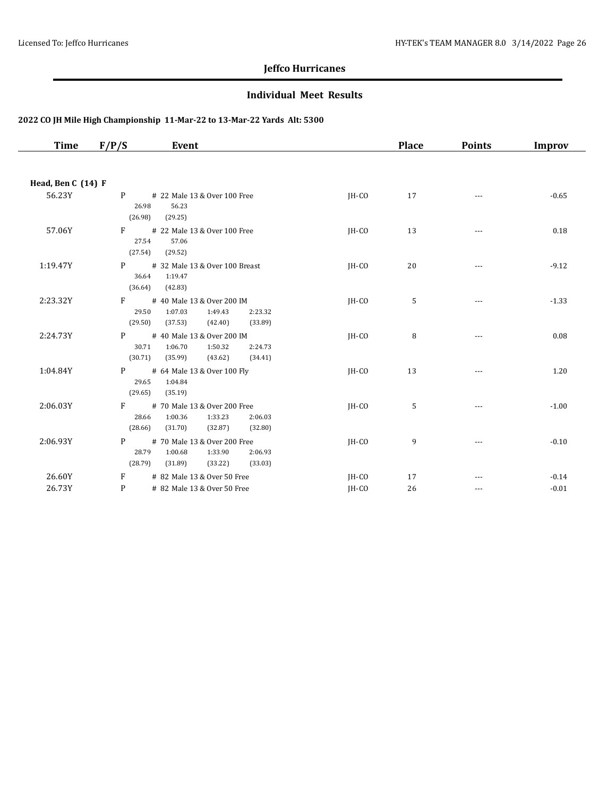#### **Individual Meet Results**

| Time               | F/P/S                              | Event                                                                                          |         | <b>Place</b> | <b>Points</b> | Improv  |
|--------------------|------------------------------------|------------------------------------------------------------------------------------------------|---------|--------------|---------------|---------|
|                    |                                    |                                                                                                |         |              |               |         |
| Head, Ben C (14) F |                                    |                                                                                                |         |              |               |         |
| 56.23Y             | P<br>26.98<br>(26.98)              | # 22 Male 13 & Over 100 Free<br>56.23<br>(29.25)                                               | $IH-CO$ | 17           | ---           | $-0.65$ |
| 57.06Y             | F<br>27.54<br>(27.54)              | # 22 Male 13 & Over 100 Free<br>57.06<br>(29.52)                                               | $IH-CO$ | 13           | $\cdots$      | 0.18    |
| 1:19.47Y           | P <sub>2</sub><br>36.64<br>(36.64) | # 32 Male 13 & Over 100 Breast<br>1:19.47<br>(42.83)                                           | JH-CO   | 20           | ---           | $-9.12$ |
| 2:23.32Y           | $F = \pm$<br>29.50<br>(29.50)      | # 40 Male 13 & Over 200 IM<br>1:07.03<br>1:49.43<br>2:23.32<br>(33.89)<br>(37.53)<br>(42.40)   | JH-CO   | 5            |               | $-1.33$ |
| 2:24.73Y           | P<br>30.71<br>(30.71)              | # 40 Male 13 & Over 200 IM<br>1:06.70<br>1:50.32<br>2:24.73<br>(35.99)<br>(43.62)<br>(34.41)   | $IH-CO$ | 8            | ---           | 0.08    |
| 1:04.84Y           | P <sub>2</sub><br>29.65<br>(29.65) | # 64 Male 13 & Over 100 Fly<br>1:04.84<br>(35.19)                                              | $IH-CO$ | 13           | $\cdots$      | 1.20    |
| 2:06.03Y           | F<br>28.66<br>(28.66)              | # 70 Male 13 & Over 200 Free<br>1:00.36<br>1:33.23<br>2:06.03<br>(31.70)<br>(32.87)<br>(32.80) | $IH-CO$ | 5            | $\cdots$      | $-1.00$ |
| 2:06.93Y           | P <sub>2</sub><br>28.79<br>(28.79) | # 70 Male 13 & Over 200 Free<br>1:00.68<br>1:33.90<br>2:06.93<br>(31.89)<br>(33.22)<br>(33.03) | $IH-CO$ | 9            | ---           | $-0.10$ |
| 26.60Y             | F                                  | # 82 Male 13 & Over 50 Free                                                                    | JH-CO   | 17           |               | $-0.14$ |
| 26.73Y             | P                                  | # 82 Male 13 & Over 50 Free                                                                    | IH-CO   | 26           | $\cdots$      | $-0.01$ |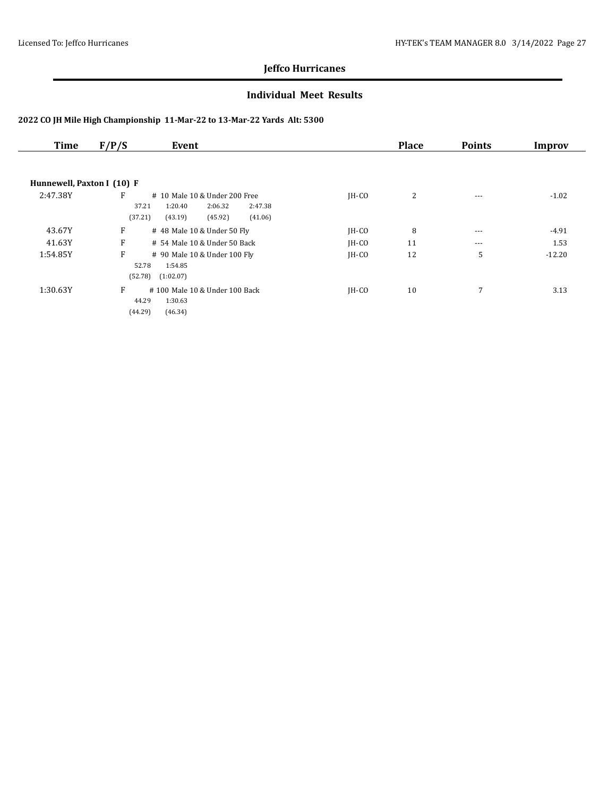#### **Individual Meet Results**

| <b>Time</b>                | F/P/S<br>Event                                                                                                           |         | <b>Place</b> | <b>Points</b> | Improv   |
|----------------------------|--------------------------------------------------------------------------------------------------------------------------|---------|--------------|---------------|----------|
|                            |                                                                                                                          |         |              |               |          |
| Hunnewell, Paxton I (10) F |                                                                                                                          |         |              |               |          |
| 2:47.38Y                   | F<br># 10 Male 10 & Under 200 Free<br>2:47.38<br>37.21<br>2:06.32<br>1:20.40<br>(37.21)<br>(45.92)<br>(41.06)<br>(43.19) | $IH-CO$ | 2            | $---$         | $-1.02$  |
| 43.67Y                     | F<br># 48 Male 10 & Under 50 Fly                                                                                         | $IH-CO$ | 8            | ---           | $-4.91$  |
| 41.63Y                     | F<br># 54 Male 10 & Under 50 Back                                                                                        | $IH-CO$ | 11           | $---$         | 1.53     |
| 1:54.85Y                   | F<br># 90 Male 10 & Under 100 Fly<br>52.78<br>1:54.85<br>(52.78)<br>(1:02.07)                                            | $IH-CO$ | 12           | 5             | $-12.20$ |
| 1:30.63Y                   | F<br>#100 Male 10 & Under 100 Back<br>44.29<br>1:30.63<br>(44.29)<br>(46.34)                                             | IH-CO   | 10           | 7             | 3.13     |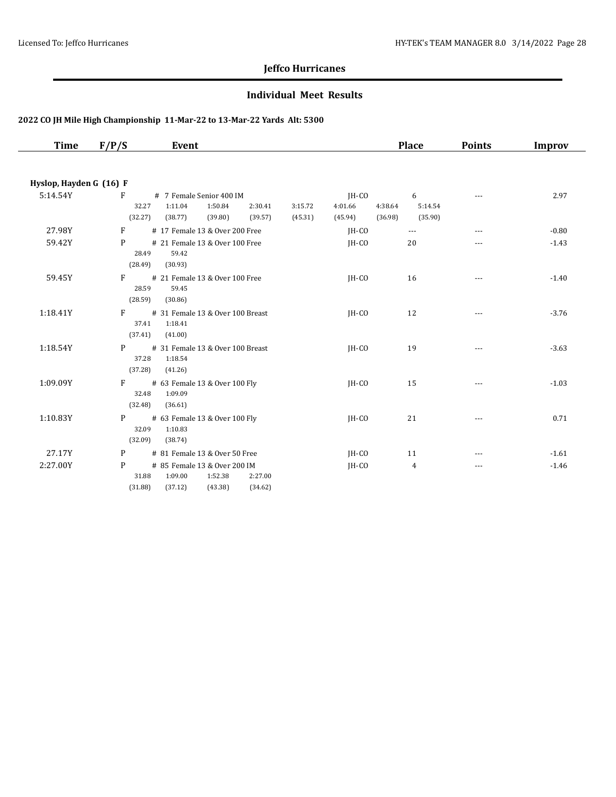#### **Individual Meet Results**

| <b>Time</b>             | F/P/S             | Event                                   |                    |         | <b>Place</b>       | <b>Points</b> | <b>Improv</b> |
|-------------------------|-------------------|-----------------------------------------|--------------------|---------|--------------------|---------------|---------------|
|                         |                   |                                         |                    |         |                    |               |               |
| Hyslop, Hayden G (16) F |                   |                                         |                    |         |                    |               |               |
| 5:14.54Y                | F                 | # 7 Female Senior 400 IM                |                    | IH-CO   | 6                  | $- - -$       | 2.97          |
|                         | 32.27             | 1:50.84<br>1:11.04                      | 2:30.41<br>3:15.72 | 4:01.66 | 4:38.64<br>5:14.54 |               |               |
|                         | (32.27)           | (39.80)<br>(38.77)                      | (39.57)<br>(45.31) | (45.94) | (36.98)<br>(35.90) |               |               |
| 27.98Y                  | $F =$             | # 17 Female 13 & Over 200 Free          |                    | IH-CO   | $\cdots$           | $\cdots$      | $-0.80$       |
| 59.42Y                  | P                 | # 21 Female 13 & Over 100 Free          |                    | IH-CO   | 20                 | $- - -$       | $-1.43$       |
|                         | 28.49             | 59.42                                   |                    |         |                    |               |               |
|                         | (28.49)           | (30.93)                                 |                    |         |                    |               |               |
| 59.45Y                  | $F =$<br>28.59    | # 21 Female 13 & Over 100 Free<br>59.45 |                    | JH-CO   | 16                 |               | $-1.40$       |
|                         | (28.59)           | (30.86)                                 |                    |         |                    |               |               |
| 1:18.41Y                | $F =$             | # 31 Female 13 & Over 100 Breast        |                    | IH-CO   | 12                 |               | $-3.76$       |
|                         | 37.41             | 1:18.41                                 |                    |         |                    | $---$         |               |
|                         | (37.41)           | (41.00)                                 |                    |         |                    |               |               |
| 1:18.54Y                | P <sub>2</sub>    | # 31 Female 13 & Over 100 Breast        |                    | IH-CO   | 19                 |               | $-3.63$       |
|                         | 37.28             | 1:18.54                                 |                    |         |                    |               |               |
|                         | (37.28)           | (41.26)                                 |                    |         |                    |               |               |
| 1:09.09Y                | $F =$             | # 63 Female 13 & Over 100 Fly           |                    | IH-CO   | 15                 |               | $-1.03$       |
|                         | 32.48             | 1:09.09                                 |                    |         |                    |               |               |
|                         | (32.48)           | (36.61)                                 |                    |         |                    |               |               |
| 1:10.83Y                | P <sub>2</sub>    | # 63 Female 13 & Over 100 Fly           |                    | IH-CO   | 21                 | $\cdots$      | 0.71          |
|                         | 32.09             | 1:10.83                                 |                    |         |                    |               |               |
|                         | (32.09)           | (38.74)                                 |                    |         |                    |               |               |
| 27.17Y                  | $P \qquad \qquad$ | # 81 Female 13 & Over 50 Free           |                    | JH-CO   | 11                 | $---$         | $-1.61$       |
| 2:27.00Y                | P                 | # 85 Female 13 & Over 200 IM            |                    | JH-CO   | 4                  | $---$         | $-1.46$       |
|                         | 31.88             | 1:09.00<br>1:52.38                      | 2:27.00            |         |                    |               |               |
|                         | (31.88)           | (37.12)<br>(43.38)                      | (34.62)            |         |                    |               |               |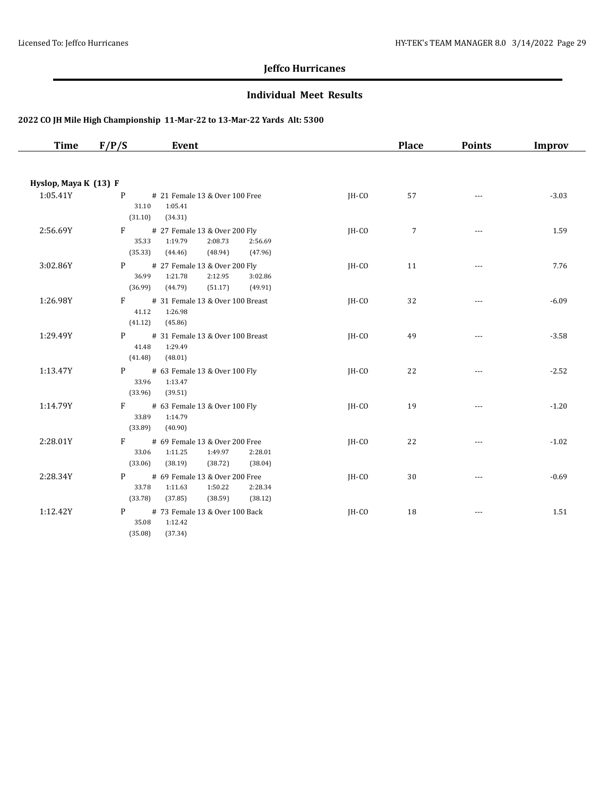#### **Individual Meet Results**

| Time                  | Event<br>F/P/S                                                                                                                         |         | <b>Place</b>    | <b>Points</b>            | Improv  |
|-----------------------|----------------------------------------------------------------------------------------------------------------------------------------|---------|-----------------|--------------------------|---------|
|                       |                                                                                                                                        |         |                 |                          |         |
| Hyslop, Maya K (13) F |                                                                                                                                        |         |                 |                          |         |
| 1:05.41Y              | P # 21 Female 13 & Over 100 Free<br>31.10<br>1:05.41<br>(31.10)<br>(34.31)                                                             | IH-CO   | 57              | $\sim$ $\sim$ $\sim$     | $-3.03$ |
| 2:56.69Y              | F # 27 Female 13 & Over 200 Fly<br>35.33<br>1:19.79<br>2:08.73<br>2:56.69<br>(48.94)<br>(35.33)<br>(44.46)<br>(47.96)                  | JH-CO   | $7\phantom{.0}$ | $\sim$ $\sim$ $\sim$     | 1.59    |
| 3:02.86Y              | # 27 Female 13 & Over 200 Fly<br>P <sub>2</sub><br>36.99<br>1:21.78<br>2:12.95<br>3:02.86<br>(36.99)<br>(44.79)<br>(51.17)<br>(49.91)  | JH-CO   | 11              | $\overline{\phantom{a}}$ | 7.76    |
| 1:26.98Y              | $F \sim$<br># 31 Female 13 & Over 100 Breast<br>1:26.98<br>41.12<br>(41.12)<br>(45.86)                                                 | $IH-CO$ | 32              | $\cdots$                 | $-6.09$ |
| 1:29.49Y              | P # 31 Female 13 & Over 100 Breast<br>41.48<br>1:29.49<br>(41.48)<br>(48.01)                                                           | JH-CO   | 49              | $\cdots$                 | $-3.58$ |
| 1:13.47Y              | P <sub>2</sub><br># 63 Female 13 & Over 100 Fly<br>33.96<br>1:13.47<br>(33.96)<br>(39.51)                                              | JH-CO   | 22              |                          | $-2.52$ |
| 1:14.79Y              | F # 63 Female 13 & Over 100 Fly<br>33.89<br>1:14.79<br>(33.89)<br>(40.90)                                                              | IH-CO   | 19              | $\sim$ $\sim$ $\sim$     | $-1.20$ |
| 2:28.01Y              | # 69 Female 13 & Over 200 Free<br>$F \sim$<br>33.06<br>1:49.97<br>1:11.25<br>2:28.01<br>(33.06)<br>(38.19)<br>(38.72)<br>(38.04)       | $IH-CO$ | 22              | $\sim$ $\sim$ $\sim$     | $-1.02$ |
| 2:28.34Y              | P <sub>2</sub><br># 69 Female 13 & Over 200 Free<br>1:50.22<br>33.78<br>1:11.63<br>2:28.34<br>(33.78)<br>(37.85)<br>(38.59)<br>(38.12) | JH-CO   | 30              | $\cdots$                 | $-0.69$ |
| 1:12.42Y              | # 73 Female 13 & Over 100 Back<br>P <sub>2</sub><br>35.08<br>1:12.42<br>(35.08)<br>(37.34)                                             | $IH-CO$ | 18              | $\overline{\phantom{a}}$ | 1.51    |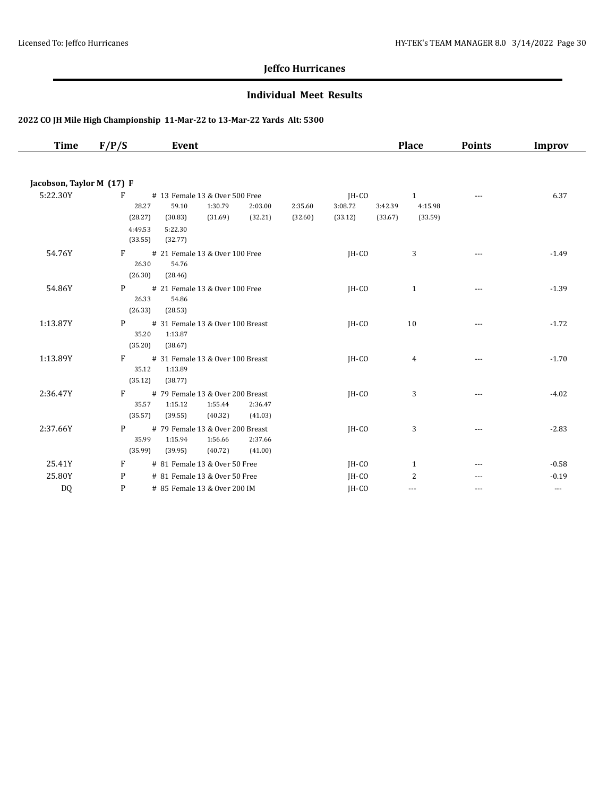#### **Individual Meet Results**

| Time                      | F/P/S                                       | Event                                                                                                                |                    |                             | <b>Place</b>                                             | <b>Points</b> | <b>Improv</b> |
|---------------------------|---------------------------------------------|----------------------------------------------------------------------------------------------------------------------|--------------------|-----------------------------|----------------------------------------------------------|---------------|---------------|
| Jacobson, Taylor M (17) F |                                             |                                                                                                                      |                    |                             |                                                          |               |               |
| 5:22.30Y                  | F<br>28.27<br>(28.27)<br>4:49.53<br>(33.55) | # 13 Female 13 & Over 500 Free<br>59.10<br>1:30.79<br>2:03.00<br>(32.21)<br>(31.69)<br>(30.83)<br>5:22.30<br>(32.77) | 2:35.60<br>(32.60) | JH-CO<br>3:08.72<br>(33.12) | $\mathbf{1}$<br>3:42.39<br>4:15.98<br>(33.59)<br>(33.67) | ---           | 6.37          |
| 54.76Y                    | $F =$<br>26.30<br>(26.30)                   | # 21 Female 13 & Over 100 Free<br>54.76<br>(28.46)                                                                   |                    | JH-CO                       | 3                                                        | $---$         | $-1.49$       |
| 54.86Y                    | P<br>26.33<br>(26.33)                       | # 21 Female 13 & Over 100 Free<br>54.86<br>(28.53)                                                                   |                    | $IH-CO$                     | $\mathbf{1}$                                             | ---           | $-1.39$       |
| 1:13.87Y                  | P<br>35.20<br>(35.20)                       | # 31 Female 13 & Over 100 Breast<br>1:13.87<br>(38.67)                                                               |                    | JH-CO                       | 10                                                       | ---           | $-1.72$       |
| 1:13.89Y                  | F<br>35.12<br>(35.12)                       | # 31 Female 13 & Over 100 Breast<br>1:13.89<br>(38.77)                                                               |                    | $IH-CO$                     | 4                                                        | $\cdots$      | $-1.70$       |
| 2:36.47Y                  | $F \sim$<br>35.57<br>(35.57)                | # 79 Female 13 & Over 200 Breast<br>1:15.12<br>1:55.44<br>2:36.47<br>(39.55)<br>(40.32)<br>(41.03)                   |                    | $IH-CO$                     | 3                                                        | ---           | $-4.02$       |
| 2:37.66Y                  | P<br>35.99<br>(35.99)                       | # 79 Female 13 & Over 200 Breast<br>1:56.66<br>2:37.66<br>1:15.94<br>(39.95)<br>(40.72)<br>(41.00)                   |                    | IH-CO                       | 3                                                        | $\cdots$      | $-2.83$       |
| 25.41Y                    | F                                           | # 81 Female 13 & Over 50 Free                                                                                        |                    | $IH-CO$                     | 1                                                        | ---           | $-0.58$       |
| 25.80Y                    | P                                           | # 81 Female 13 & Over 50 Free                                                                                        |                    | IH-CO                       | 2                                                        |               | $-0.19$       |
| D <sub>0</sub>            | P                                           | # 85 Female 13 & Over 200 IM                                                                                         |                    | IH-CO                       | $---$                                                    | $- - -$       | $\cdots$      |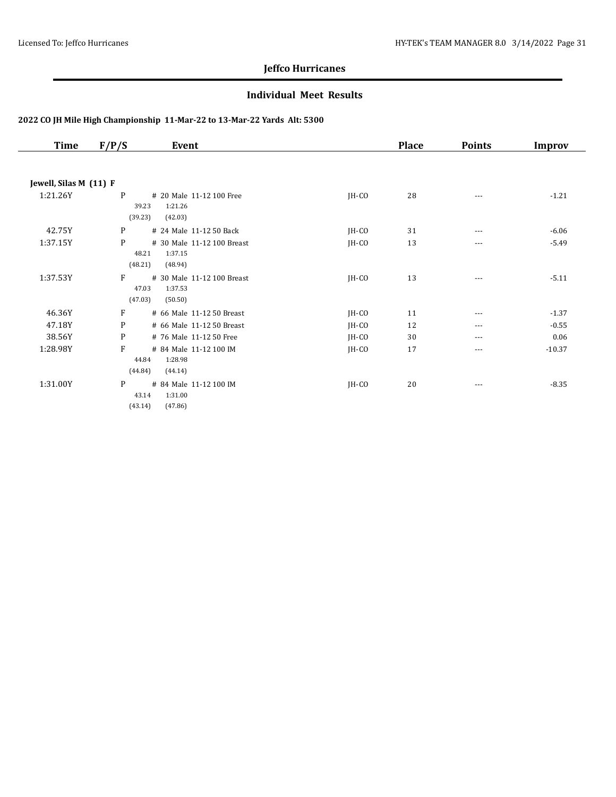#### **Individual Meet Results**

| <b>Time</b>            | F/P/S                 | Event                                            |         | <b>Place</b> | <b>Points</b> | Improv   |
|------------------------|-----------------------|--------------------------------------------------|---------|--------------|---------------|----------|
|                        |                       |                                                  |         |              |               |          |
| Jewell, Silas M (11) F |                       |                                                  |         |              |               |          |
| 1:21.26Y               | P<br>39.23<br>(39.23) | # 20 Male 11-12 100 Free<br>1:21.26<br>(42.03)   | $IH-CO$ | 28           | $\cdots$      | $-1.21$  |
| 42.75Y                 | P                     | # 24 Male 11-12 50 Back                          | JH-CO   | 31           | $---$         | $-6.06$  |
| 1:37.15Y               | P<br>48.21<br>(48.21) | # 30 Male 11-12 100 Breast<br>1:37.15<br>(48.94) | $IH-CO$ | 13           | $\cdots$      | $-5.49$  |
| 1:37.53Y               | F<br>47.03<br>(47.03) | # 30 Male 11-12 100 Breast<br>1:37.53<br>(50.50) | JH-CO   | 13           | ---           | $-5.11$  |
| 46.36Y                 | F                     | # 66 Male 11-12 50 Breast                        | JH-CO   | 11           | ---           | $-1.37$  |
| 47.18Y                 | P                     | # 66 Male 11-12 50 Breast                        | JH-CO   | 12           | $---$         | $-0.55$  |
| 38.56Y                 | P                     | # 76 Male 11-12 50 Free                          | $IH-CO$ | 30           | $---$         | 0.06     |
| 1:28.98Y               | F<br>44.84<br>(44.84) | # 84 Male 11-12 100 IM<br>1:28.98<br>(44.14)     | $IH-CO$ | 17           | ---           | $-10.37$ |
| 1:31.00Y               | P<br>43.14<br>(43.14) | # 84 Male 11-12 100 IM<br>1:31.00<br>(47.86)     | $IH-CO$ | 20           | ---           | $-8.35$  |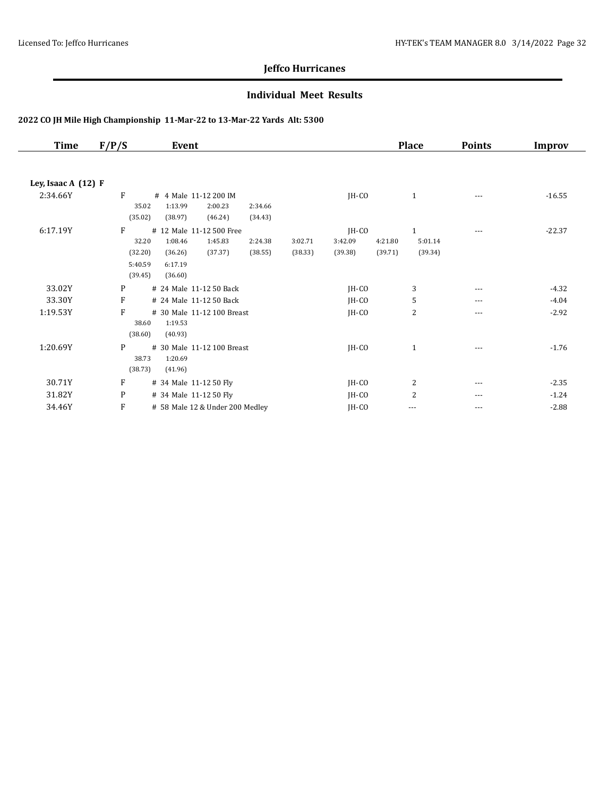#### **Individual Meet Results**

| <b>Time</b>         | F/P/S   | Event                           |         |         |         |         |         | <b>Place</b>   | <b>Points</b> | <b>Improv</b> |
|---------------------|---------|---------------------------------|---------|---------|---------|---------|---------|----------------|---------------|---------------|
| Ley, Isaac A (12) F |         |                                 |         |         |         |         |         |                |               |               |
| 2:34.66Y            | F       | # 4 Male 11-12 200 IM           |         |         |         | JH-CO   |         | $\mathbf{1}$   | $---$         | $-16.55$      |
|                     |         | 1:13.99<br>35.02                | 2:00.23 | 2:34.66 |         |         |         |                |               |               |
|                     | (35.02) | (38.97)                         | (46.24) | (34.43) |         |         |         |                |               |               |
| 6:17.19Y            | F       | # 12 Male 11-12 500 Free        |         |         |         | JH-CO   |         | $\mathbf{1}$   | $---$         | $-22.37$      |
|                     |         | 32.20<br>1:08.46                | 1:45.83 | 2:24.38 | 3:02.71 | 3:42.09 | 4:21.80 | 5:01.14        |               |               |
|                     | (32.20) | (36.26)                         | (37.37) | (38.55) | (38.33) | (39.38) | (39.71) | (39.34)        |               |               |
|                     | 5:40.59 | 6:17.19                         |         |         |         |         |         |                |               |               |
|                     | (39.45) | (36.60)                         |         |         |         |         |         |                |               |               |
| 33.02Y              | P       | # 24 Male 11-12 50 Back         |         |         |         | $IH-CO$ |         | 3              | $---$         | $-4.32$       |
| 33.30Y              | F       | # 24 Male 11-12 50 Back         |         |         |         | JH-CO   |         | 5              | $---$         | $-4.04$       |
| 1:19.53Y            | F       | # 30 Male 11-12 100 Breast      |         |         |         | JH-CO   |         | 2              | $---$         | $-2.92$       |
|                     |         | 1:19.53<br>38.60                |         |         |         |         |         |                |               |               |
|                     | (38.60) | (40.93)                         |         |         |         |         |         |                |               |               |
| 1:20.69Y            | P       | # 30 Male 11-12 100 Breast      |         |         |         | $IH-CO$ |         | $\mathbf{1}$   | ---           | $-1.76$       |
|                     |         | 38.73<br>1:20.69                |         |         |         |         |         |                |               |               |
|                     | (38.73) | (41.96)                         |         |         |         |         |         |                |               |               |
| 30.71Y              | F       | # 34 Male 11-12 50 Fly          |         |         |         | JH-CO   |         | $\overline{c}$ | $---$         | $-2.35$       |
| 31.82Y              | P       | # 34 Male 11-12 50 Fly          |         |         |         | $IH-CO$ |         | 2              | $---$         | $-1.24$       |
| 34.46Y              | F       | # 58 Male 12 & Under 200 Medley |         |         |         | JH-CO   |         | ---            | $---$         | $-2.88$       |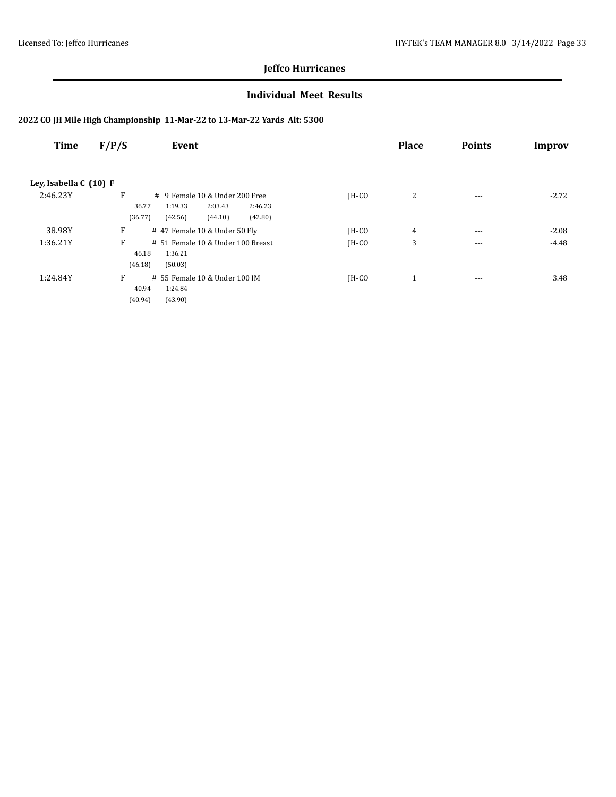#### **Individual Meet Results**

| Time                   | F/P/S<br>Event                           |         | <b>Place</b> | <b>Points</b> | Improv  |
|------------------------|------------------------------------------|---------|--------------|---------------|---------|
|                        |                                          |         |              |               |         |
| Ley, Isabella C (10) F |                                          |         |              |               |         |
| 2:46.23Y               | F<br># 9 Female 10 & Under 200 Free      | $IH-CO$ | 2            | $\cdots$      | $-2.72$ |
|                        | 36.77<br>1:19.33<br>2:03.43<br>2:46.23   |         |              |               |         |
|                        | (36.77)<br>(42.56)<br>(44.10)<br>(42.80) |         |              |               |         |
| 38.98Y                 | F<br># 47 Female 10 & Under 50 Fly       | $IH-CO$ | 4            | $- - -$       | $-2.08$ |
| 1:36.21Y               | F<br># 51 Female 10 & Under 100 Breast   | $IH-CO$ | 3            | $\cdots$      | $-4.48$ |
|                        | 46.18<br>1:36.21                         |         |              |               |         |
|                        | (46.18)<br>(50.03)                       |         |              |               |         |
| 1:24.84Y               | F<br># 55 Female 10 & Under 100 IM       | $IH-CO$ | $\mathbf{1}$ | $\cdots$      | 3.48    |
|                        | 40.94<br>1:24.84                         |         |              |               |         |
|                        | (43.90)<br>(40.94)                       |         |              |               |         |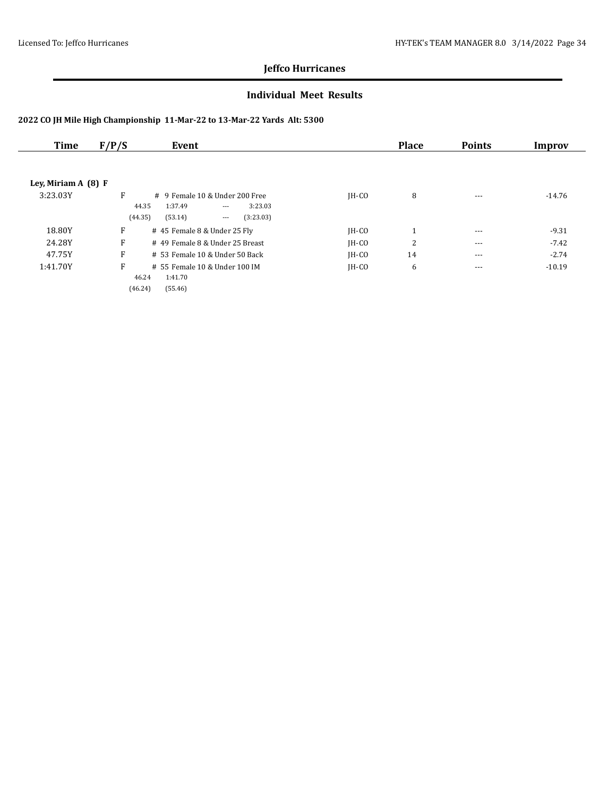#### **Individual Meet Results**

| Time                 | F/P/S   | Event                                        |         | <b>Place</b>                            | <b>Points</b> | Improv   |
|----------------------|---------|----------------------------------------------|---------|-----------------------------------------|---------------|----------|
|                      |         |                                              |         |                                         |               |          |
| Ley, Miriam $A(8) F$ |         |                                              |         |                                         |               |          |
| 3:23.03Y             | F       | $\#$ 9 Female 10 & Under 200 Free            | $IH-CO$ | 8                                       | $- - -$       | $-14.76$ |
|                      | 44.35   | 1:37.49<br>3:23.03<br>$\cdots$               |         |                                         |               |          |
|                      | (44.35) | (53.14)<br>(3:23.03)<br>$\scriptstyle\cdots$ |         |                                         |               |          |
| 18.80Y               | F       | # 45 Female 8 & Under 25 Fly                 | $IH-CO$ | -1<br>$\mathbf{\mathbf{\mathbf{\bot}}}$ | $- - -$       | $-9.31$  |
| 24.28Y               | F       | # 49 Female 8 & Under 25 Breast              | $IH-CO$ | 2                                       | $- - -$       | $-7.42$  |
| 47.75Y               | F       | $# 53$ Female 10 & Under 50 Back             | $IH-CO$ | 14                                      | $---$         | $-2.74$  |
| 1:41.70Y             | F       | # 55 Female 10 & Under 100 IM                | $IH-CO$ | 6                                       | $- - -$       | $-10.19$ |
|                      | 46.24   | 1:41.70                                      |         |                                         |               |          |
|                      | (46.24) | (55.46)                                      |         |                                         |               |          |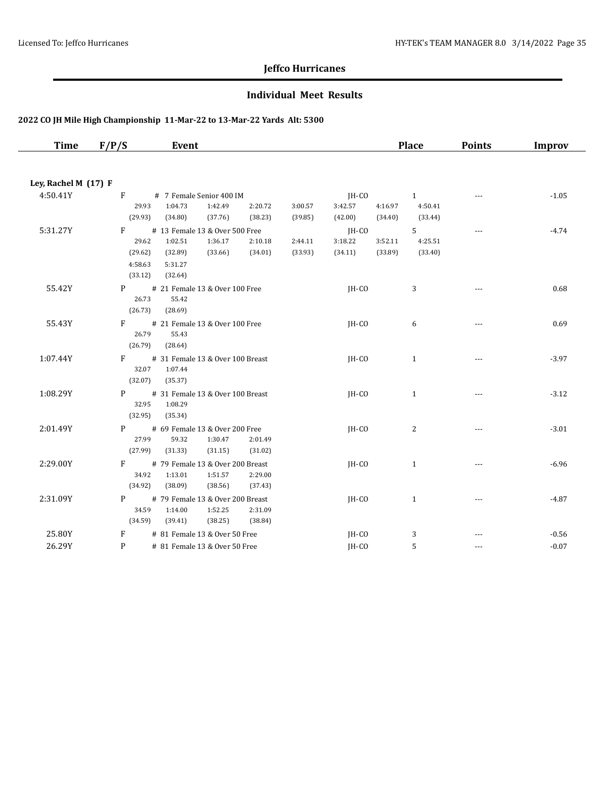#### **Individual Meet Results**

| <b>Time</b>          | F/P/S            | Event                                    |                    |                    |                    |                    | <b>Place</b>       | <b>Points</b> | <b>Improv</b> |
|----------------------|------------------|------------------------------------------|--------------------|--------------------|--------------------|--------------------|--------------------|---------------|---------------|
|                      |                  |                                          |                    |                    |                    |                    |                    |               |               |
| Ley, Rachel M (17) F |                  |                                          |                    |                    |                    |                    |                    |               |               |
| 4:50.41Y             | $\mathbf{F}$     | # 7 Female Senior 400 IM                 |                    |                    | JH-CO              |                    | $\mathbf{1}$       |               | $-1.05$       |
|                      | 29.93            | 1:42.49<br>1:04.73                       | 2:20.72            | 3:00.57            | 3:42.57            | 4:16.97            | 4:50.41            |               |               |
|                      | (29.93)          | (34.80)<br>(37.76)                       | (38.23)            | (39.85)            | (42.00)            | (34.40)            | (33.44)            |               |               |
| 5:31.27Y             | F                | # 13 Female 13 & Over 500 Free           |                    |                    | $IH-CO$            |                    | 5 <sup>1</sup>     | $- - -$       | $-4.74$       |
|                      | 29.62<br>(29.62) | 1:36.17<br>1:02.51<br>(32.89)<br>(33.66) | 2:10.18<br>(34.01) | 2:44.11<br>(33.93) | 3:18.22<br>(34.11) | 3:52.11<br>(33.89) | 4:25.51<br>(33.40) |               |               |
|                      | 4:58.63          | 5:31.27                                  |                    |                    |                    |                    |                    |               |               |
|                      | (33.12)          | (32.64)                                  |                    |                    |                    |                    |                    |               |               |
| 55.42Y               | P                | # 21 Female 13 & Over 100 Free           |                    |                    | JH-CO              |                    | 3                  | $---$         | 0.68          |
|                      | 26.73            | 55.42                                    |                    |                    |                    |                    |                    |               |               |
|                      | (26.73)          | (28.69)                                  |                    |                    |                    |                    |                    |               |               |
| 55.43Y               | F                | # 21 Female 13 & Over 100 Free           |                    |                    | JH-CO              |                    | 6                  | ---           | 0.69          |
|                      | 26.79<br>(26.79) | 55.43<br>(28.64)                         |                    |                    |                    |                    |                    |               |               |
| 1:07.44Y             | F                | # 31 Female 13 & Over 100 Breast         |                    |                    | JH-CO              |                    | $\mathbf{1}$       | $- - -$       | $-3.97$       |
|                      | 32.07            | 1:07.44                                  |                    |                    |                    |                    |                    |               |               |
|                      | (32.07)          | (35.37)                                  |                    |                    |                    |                    |                    |               |               |
| 1:08.29Y             | P <sub>2</sub>   | # 31 Female 13 & Over 100 Breast         |                    |                    | $IH-CO$            |                    | $\mathbf{1}$       |               | $-3.12$       |
|                      | 32.95            | 1:08.29                                  |                    |                    |                    |                    |                    |               |               |
|                      | (32.95)          | (35.34)                                  |                    |                    |                    |                    |                    |               |               |
| 2:01.49Y             | P                | # 69 Female 13 & Over 200 Free           |                    |                    | IH-CO              |                    | 2                  | $- - -$       | $-3.01$       |
|                      | 27.99<br>(27.99) | 59.32<br>1:30.47<br>(31.33)<br>(31.15)   | 2:01.49<br>(31.02) |                    |                    |                    |                    |               |               |
| 2:29.00Y             | F                | # 79 Female 13 & Over 200 Breast         |                    |                    | $IH-CO$            |                    | $\mathbf{1}$       | $- - -$       | $-6.96$       |
|                      | 34.92            | 1:13.01<br>1:51.57                       | 2:29.00            |                    |                    |                    |                    |               |               |
|                      | (34.92)          | (38.56)<br>(38.09)                       | (37.43)            |                    |                    |                    |                    |               |               |
| 2:31.09Y             | P                | # 79 Female 13 & Over 200 Breast         |                    |                    | JH-CO              |                    | $\mathbf{1}$       | $- - -$       | $-4.87$       |
|                      | 34.59            | 1:14.00<br>1:52.25                       | 2:31.09            |                    |                    |                    |                    |               |               |
|                      | (34.59)          | (39.41)<br>(38.25)                       | (38.84)            |                    |                    |                    |                    |               |               |
| 25.80Y               | F                | # 81 Female 13 & Over 50 Free            |                    |                    | JH-CO              |                    | 3                  |               | $-0.56$       |
| 26.29Y               | P                | # 81 Female 13 & Over 50 Free            |                    |                    | IH-CO              |                    | 5                  | $- - -$       | $-0.07$       |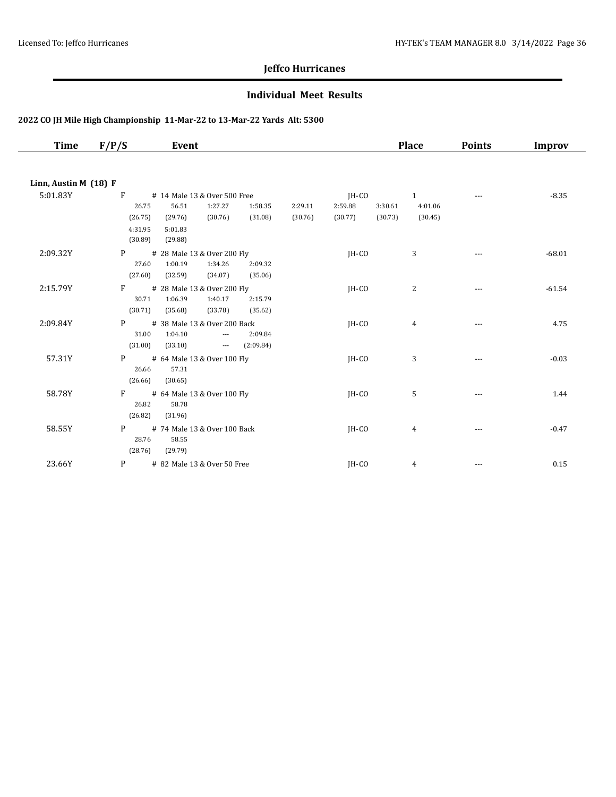#### **Individual Meet Results**

| Time                  | F/P/S              | Event                                             |           |         |         |         | <b>Place</b>   | <b>Points</b> | <b>Improv</b> |
|-----------------------|--------------------|---------------------------------------------------|-----------|---------|---------|---------|----------------|---------------|---------------|
|                       |                    |                                                   |           |         |         |         |                |               |               |
| Linn, Austin M (18) F |                    |                                                   |           |         |         |         |                |               |               |
| 5:01.83Y              | F                  | # 14 Male 13 & Over 500 Free                      |           |         | JH-CO   |         | $\mathbf{1}$   |               | $-8.35$       |
|                       | 26.75              | 56.51<br>1:27.27                                  | 1:58.35   | 2:29.11 | 2:59.88 | 3:30.61 | 4:01.06        |               |               |
|                       | (26.75)            | (30.76)<br>(29.76)                                | (31.08)   | (30.76) | (30.77) | (30.73) | (30.45)        |               |               |
|                       | 4:31.95<br>(30.89) | 5:01.83<br>(29.88)                                |           |         |         |         |                |               |               |
|                       |                    |                                                   |           |         |         |         |                |               |               |
| 2:09.32Y              | P<br>27.60         | # 28 Male 13 & Over 200 Fly<br>1:00.19<br>1:34.26 | 2:09.32   |         | IH-CO   |         | 3              |               | $-68.01$      |
|                       | (27.60)            | (32.59)<br>(34.07)                                | (35.06)   |         |         |         |                |               |               |
| 2:15.79Y              | F                  | # 28 Male 13 & Over 200 Fly                       |           |         | JH-CO   |         | $\overline{c}$ |               | $-61.54$      |
|                       | 30.71              | 1:06.39<br>1:40.17                                | 2:15.79   |         |         |         |                | ---           |               |
|                       | (30.71)            | (35.68)<br>(33.78)                                | (35.62)   |         |         |         |                |               |               |
| 2:09.84Y              | P                  | # 38 Male 13 & Over 200 Back                      |           |         | IH-CO   |         | $\overline{4}$ | ---           | 4.75          |
|                       | 31.00              | 1:04.10<br>$---$                                  | 2:09.84   |         |         |         |                |               |               |
|                       | (31.00)            | (33.10)<br>$\scriptstyle\cdots$                   | (2:09.84) |         |         |         |                |               |               |
| 57.31Y                | P                  | # 64 Male 13 & Over 100 Fly                       |           |         | JH-CO   |         | 3              | $- - -$       | $-0.03$       |
|                       | 26.66              | 57.31                                             |           |         |         |         |                |               |               |
|                       | (26.66)            | (30.65)                                           |           |         |         |         |                |               |               |
| 58.78Y                | F                  | # 64 Male 13 & Over 100 Fly                       |           |         | JH-CO   |         | 5              |               | 1.44          |
|                       | 26.82              | 58.78                                             |           |         |         |         |                |               |               |
|                       | (26.82)            | (31.96)                                           |           |         |         |         |                |               |               |
| 58.55Y                | P                  | # 74 Male 13 & Over 100 Back                      |           |         | JH-CO   |         | 4              |               | $-0.47$       |
|                       | 28.76              | 58.55                                             |           |         |         |         |                |               |               |
|                       | (28.76)            | (29.79)                                           |           |         |         |         |                |               |               |
| 23.66Y                | P                  | # 82 Male 13 & Over 50 Free                       |           |         | JH-CO   |         | $\overline{4}$ |               | 0.15          |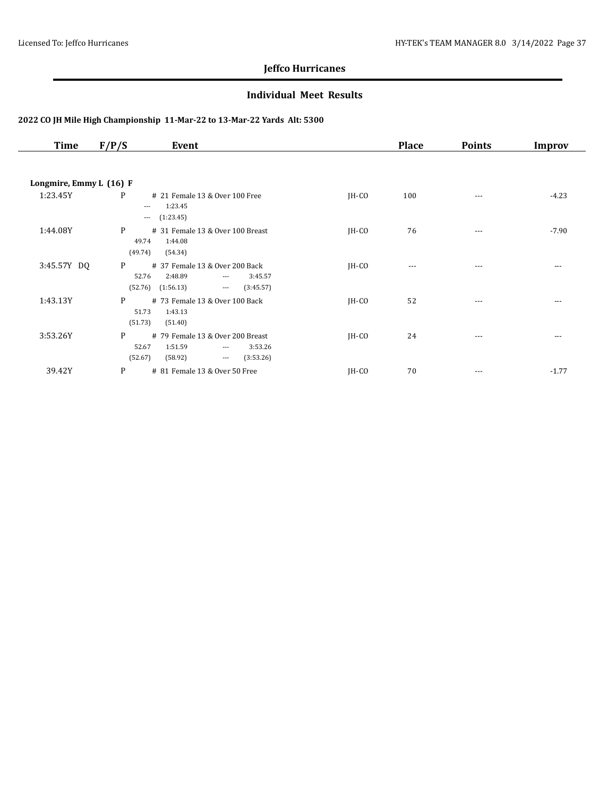#### **Individual Meet Results**

| <b>Time</b>             | F/P/S                 | Event                                                                                                                                  |         | <b>Place</b> | <b>Points</b> | Improv   |
|-------------------------|-----------------------|----------------------------------------------------------------------------------------------------------------------------------------|---------|--------------|---------------|----------|
|                         |                       |                                                                                                                                        |         |              |               |          |
| Longmire, Emmy L (16) F |                       |                                                                                                                                        |         |              |               |          |
| 1:23.45Y                | P                     | # 21 Female 13 & Over 100 Free<br>1:23.45<br>$---$<br>(1:23.45)<br>$\cdots$                                                            | $IH-CO$ | 100          |               | $-4.23$  |
| 1:44.08Y                | P<br>49.74<br>(49.74) | # 31 Female 13 & Over 100 Breast<br>1:44.08<br>(54.34)                                                                                 | JH-CO   | 76           | $---$         | $-7.90$  |
| 3:45.57Y DQ             | P<br>(52.76)          | # 37 Female 13 & Over 200 Back<br>52.76<br>2:48.89<br>3:45.57<br>$\qquad \qquad - -$<br>(1:56.13)<br>(3:45.57)<br>$\scriptstyle\cdots$ | $IH-CO$ | $---$        | ---           | $- - -$  |
| 1:43.13Y                | P<br>51.73<br>(51.73) | # 73 Female 13 & Over 100 Back<br>1:43.13<br>(51.40)                                                                                   | $IH-CO$ | 52           | $---$         | ---      |
| 3:53.26Y                | P<br>52.67<br>(52.67) | # 79 Female 13 & Over 200 Breast<br>1:51.59<br>3:53.26<br>$\qquad \qquad - -$<br>(58.92)<br>(3:53.26)<br>$\scriptstyle\cdots$          | $IH-CO$ | 24           | $\cdots$      | $\cdots$ |
| 39.42Y                  | P                     | # 81 Female 13 & Over 50 Free                                                                                                          | $IH-CO$ | 70           | $\cdots$      | $-1.77$  |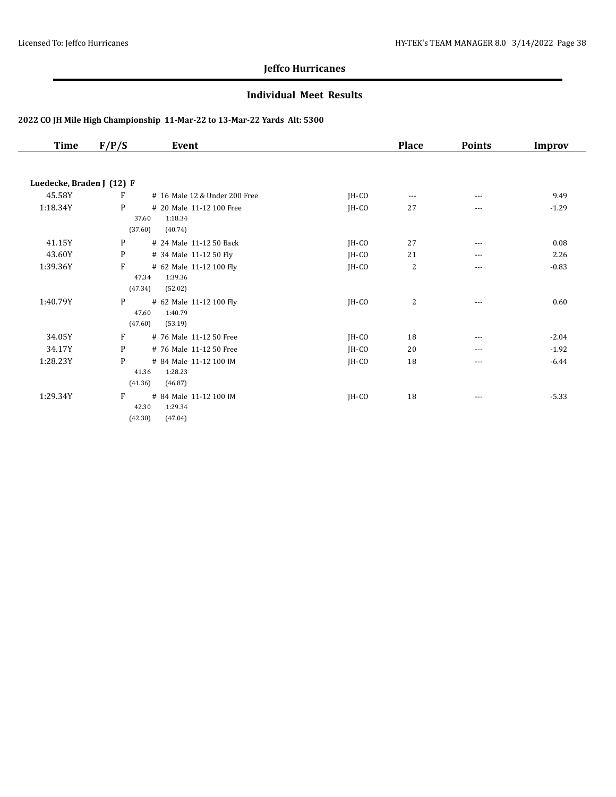#### **Individual Meet Results**

| Time                      | F/P/S   | Event                         |         | <b>Place</b>   | <b>Points</b> | Improv  |
|---------------------------|---------|-------------------------------|---------|----------------|---------------|---------|
|                           |         |                               |         |                |               |         |
| Luedecke, Braden J (12) F |         |                               |         |                |               |         |
| 45.58Y                    | F       | # 16 Male 12 & Under 200 Free | IH-CO   | $---$          | $---$         | 9.49    |
| 1:18.34Y                  | P       | # 20 Male 11-12 100 Free      | JH-CO   | 27             | ---           | $-1.29$ |
|                           | 37.60   | 1:18.34                       |         |                |               |         |
|                           | (37.60) | (40.74)                       |         |                |               |         |
| 41.15Y                    | P       | # 24 Male 11-12 50 Back       | JH-CO   | 27             | $---$         | 0.08    |
| 43.60Y                    | P       | # 34 Male 11-12 50 Fly        | JH-CO   | 21             | $---$         | 2.26    |
| 1:39.36Y                  | F       | # 62 Male 11-12 100 Fly       | JH-CO   | 2              | $---$         | $-0.83$ |
|                           | 47.34   | 1:39.36                       |         |                |               |         |
|                           | (47.34) | (52.02)                       |         |                |               |         |
| 1:40.79Y                  | P       | # 62 Male 11-12 100 Fly       | $IH-CO$ | $\overline{2}$ | $---$         | 0.60    |
|                           | 47.60   | 1:40.79                       |         |                |               |         |
|                           | (47.60) | (53.19)                       |         |                |               |         |
| 34.05Y                    | F       | # 76 Male 11-12 50 Free       | JH-CO   | 18             | ---           | $-2.04$ |
| 34.17Y                    | P       | # 76 Male 11-12 50 Free       | JH-CO   | 20             | $---$         | $-1.92$ |
| 1:28.23Y                  | P       | # 84 Male 11-12 100 IM        | $IH-CO$ | 18             | ---           | $-6.44$ |
|                           | 41.36   | 1:28.23                       |         |                |               |         |
|                           | (41.36) | (46.87)                       |         |                |               |         |
| 1:29.34Y                  | F       | # 84 Male 11-12 100 IM        | JH-CO   | 18             | $---$         | $-5.33$ |
|                           | 42.30   | 1:29.34                       |         |                |               |         |
|                           | (42.30) | (47.04)                       |         |                |               |         |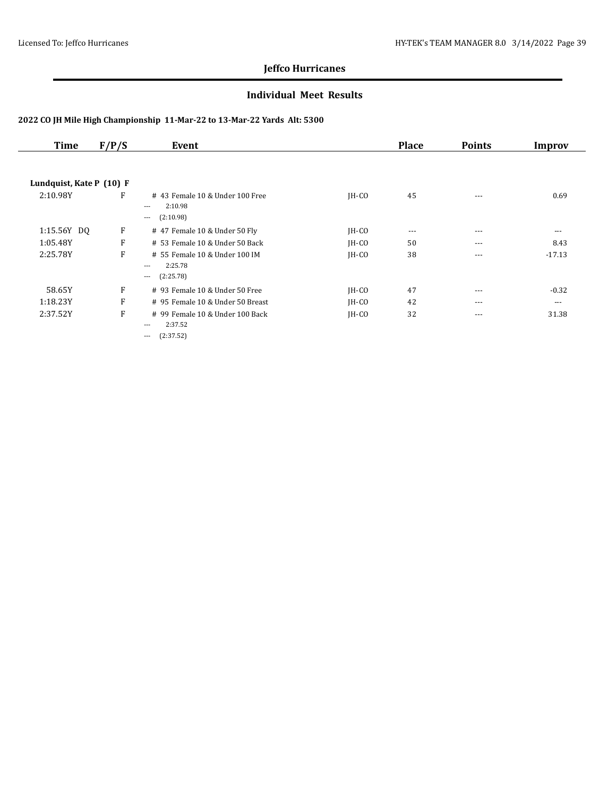#### **Individual Meet Results**

| <b>Time</b>              | F/P/S | Event                                                                      |         | <b>Place</b> | <b>Points</b> | Improv   |
|--------------------------|-------|----------------------------------------------------------------------------|---------|--------------|---------------|----------|
|                          |       |                                                                            |         |              |               |          |
| Lundquist, Kate P (10) F |       |                                                                            |         |              |               |          |
| 2:10.98Y                 | F     | #43 Female 10 & Under 100 Free<br>2:10.98<br>$---$<br>(2:10.98)<br>$---$   | $IH-CO$ | 45           | $\cdots$      | 0.69     |
| 1:15.56Y DQ              | F     | # 47 Female 10 & Under 50 Fly                                              | JH-CO   | $\cdots$     | $\cdots$      | $\cdots$ |
| 1:05.48Y                 | F     | # 53 Female 10 & Under 50 Back                                             | $IH-CO$ | 50           | $---$         | 8.43     |
| 2:25.78Y                 | F     | # 55 Female 10 & Under 100 IM<br>2:25.78<br>$\cdots$<br>(2:25.78)<br>$---$ | $IH-CO$ | 38           | $\cdots$      | $-17.13$ |
| 58.65Y                   | F     | # 93 Female 10 & Under 50 Free                                             | JH-CO   | 47           | $---$         | $-0.32$  |
| 1:18.23Y                 | F     | # 95 Female 10 & Under 50 Breast                                           | $IH-CO$ | 42           | $---$         | $---$    |
| 2:37.52Y                 | F     | # 99 Female 10 & Under 100 Back<br>2:37.52<br>$---$<br>(2:37.52)<br>---    | $IH-CO$ | 32           | $\cdots$      | 31.38    |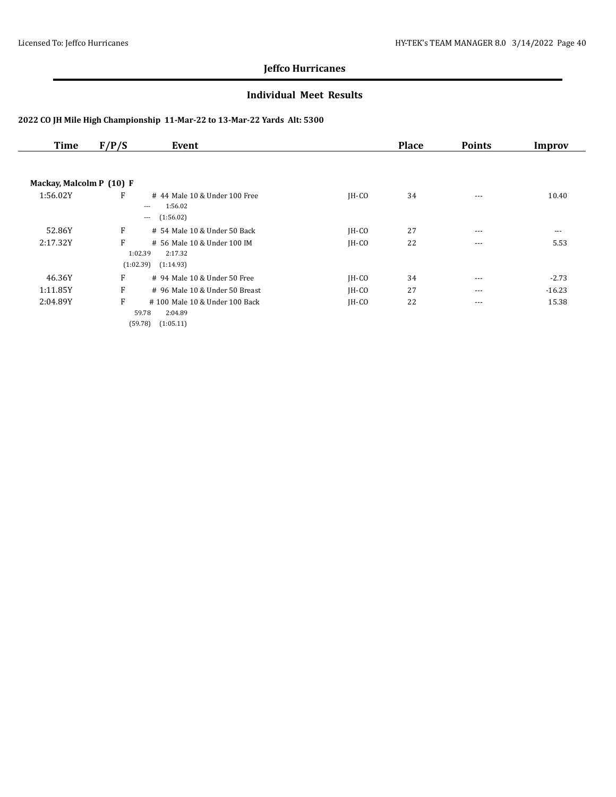#### **Individual Meet Results**

| <b>Time</b>              | F/P/S | Event                                                                       |         | <b>Place</b> | <b>Points</b> | Improv   |
|--------------------------|-------|-----------------------------------------------------------------------------|---------|--------------|---------------|----------|
|                          |       |                                                                             |         |              |               |          |
| Mackay, Malcolm P (10) F |       |                                                                             |         |              |               |          |
| 1:56.02Y                 | F     | # 44 Male 10 & Under 100 Free<br>1:56.02<br>$---$<br>(1:56.02)<br>$---$     | $IH-CO$ | 34           | $---$         | 10.40    |
| 52.86Y                   | F     | # 54 Male 10 & Under 50 Back                                                | JH-CO   | 27           | $---$         | $\cdots$ |
| 2:17.32Y                 | F     | # 56 Male 10 & Under 100 IM<br>1:02.39<br>2:17.32<br>(1:02.39)<br>(1:14.93) | $IH-CO$ | 22           | $---$         | 5.53     |
| 46.36Y                   | F     | # 94 Male 10 & Under 50 Free                                                | $IH-CO$ | 34           | $---$         | $-2.73$  |
| 1:11.85Y                 | F     | # 96 Male 10 & Under 50 Breast                                              | $IH-CO$ | 27           | $---$         | $-16.23$ |
| 2:04.89Y                 | F     | #100 Male 10 & Under 100 Back<br>59.78<br>2:04.89<br>(59.78)<br>(1:05.11)   | $IH-CO$ | 22           | $\cdots$      | 15.38    |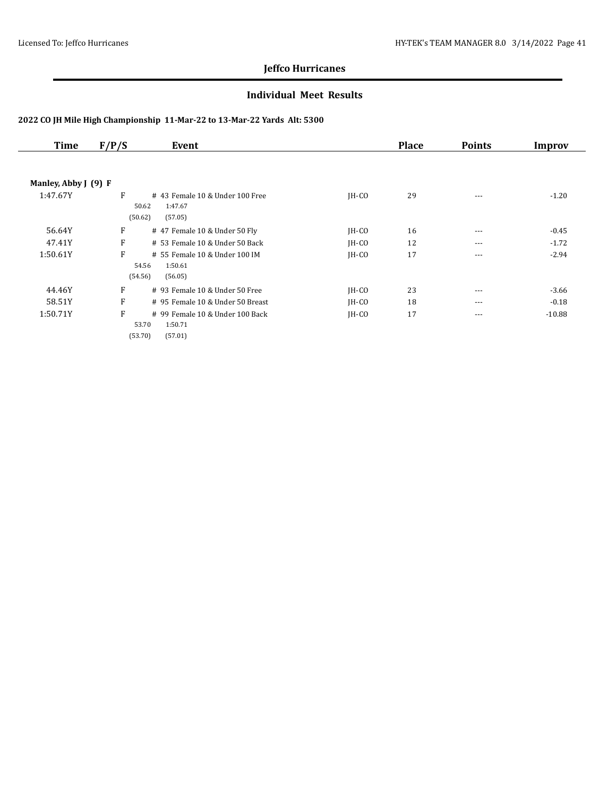#### **Individual Meet Results**

| Time                 | F/P/S | Event                                                                     |         | <b>Place</b> | <b>Points</b> | Improv   |
|----------------------|-------|---------------------------------------------------------------------------|---------|--------------|---------------|----------|
|                      |       |                                                                           |         |              |               |          |
| Manley, Abby J (9) F |       |                                                                           |         |              |               |          |
| 1:47.67Y             | F     | # 43 Female 10 & Under 100 Free<br>1:47.67<br>50.62<br>(50.62)<br>(57.05) | $IH-CO$ | 29           | $- - -$       | $-1.20$  |
| 56.64Y               | F     | # 47 Female 10 & Under 50 Fly                                             | $IH-CO$ | 16           | $---$         | $-0.45$  |
| 47.41Y               | F     | # 53 Female 10 & Under 50 Back                                            | $IH-CO$ | 12           | $\cdots$      | $-1.72$  |
| 1:50.61Y             | F     | # 55 Female 10 & Under 100 IM<br>54.56<br>1:50.61<br>(54.56)<br>(56.05)   | $IH-CO$ | 17           | $---$         | $-2.94$  |
| 44.46Y               | F     | # 93 Female 10 & Under 50 Free                                            | $IH-CO$ | 23           | $---$         | $-3.66$  |
| 58.51Y               | F     | # 95 Female 10 & Under 50 Breast                                          | $IH-CO$ | 18           | $\cdots$      | $-0.18$  |
| 1:50.71Y             | F     | # 99 Female 10 & Under 100 Back<br>53.70<br>1:50.71<br>(53.70)<br>(57.01) | $IH-CO$ | 17           | $---$         | $-10.88$ |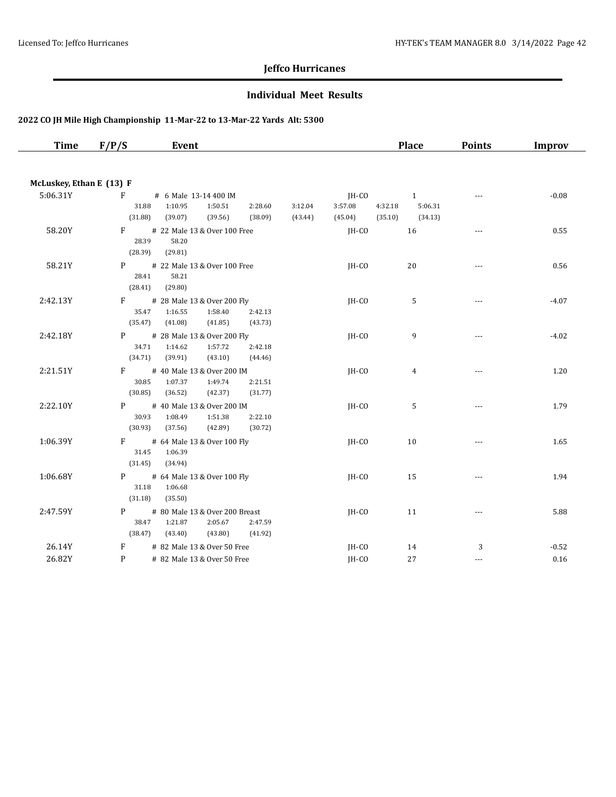#### **Individual Meet Results**

| <b>Time</b>              | F/P/S             | Event                                             |         |         |         |         | Place   | <b>Points</b>  | Improv  |
|--------------------------|-------------------|---------------------------------------------------|---------|---------|---------|---------|---------|----------------|---------|
|                          |                   |                                                   |         |         |         |         |         |                |         |
| McLuskey, Ethan E (13) F |                   |                                                   |         |         |         |         |         |                |         |
| 5:06.31Y                 | F                 | # 6 Male 13-14 400 IM                             |         |         | $IH-CO$ |         | 1       | $\overline{a}$ | $-0.08$ |
|                          | 31.88             | 1:10.95<br>1:50.51                                | 2:28.60 | 3:12.04 | 3:57.08 | 4:32.18 | 5:06.31 |                |         |
|                          | (31.88)           | (39.56)<br>(39.07)                                | (38.09) | (43.44) | (45.04) | (35.10) | (34.13) |                |         |
| 58.20Y                   | $F \sim$<br>28.39 | # 22 Male 13 & Over 100 Free<br>58.20             |         |         | JH-CO   |         | 16      | $- - -$        | 0.55    |
|                          | (28.39)           | (29.81)                                           |         |         |         |         |         |                |         |
| 58.21Y                   | P                 | # 22 Male 13 & Over 100 Free                      |         |         | $IH-CO$ |         | 20      | $\sim$ $\sim$  | 0.56    |
|                          | 28.41             | 58.21                                             |         |         |         |         |         |                |         |
|                          | (28.41)           | (29.80)                                           |         |         |         |         |         |                |         |
| 2:42.13Y                 | $F \sim$          | # 28 Male 13 & Over 200 Fly                       |         |         | $IH-CO$ |         | 5       | $\overline{a}$ | $-4.07$ |
|                          | 35.47             | 1:58.40<br>1:16.55                                | 2:42.13 |         |         |         |         |                |         |
|                          | (35.47)           | (41.08)<br>(41.85)                                | (43.73) |         |         |         |         |                |         |
| 2:42.18Y                 | P.<br>34.71       | # 28 Male 13 & Over 200 Fly<br>1:14.62<br>1:57.72 | 2:42.18 |         | $IH-CO$ |         | 9       | $- - -$        | $-4.02$ |
|                          | (34.71)           | (39.91)<br>(43.10)                                | (44.46) |         |         |         |         |                |         |
| 2:21.51Y                 | F.                | # 40 Male 13 & Over 200 IM                        |         |         | JH-CO   |         | 4       | $-$            | 1.20    |
|                          | 30.85             | 1:07.37<br>1:49.74                                | 2:21.51 |         |         |         |         |                |         |
|                          | (30.85)           | (36.52)<br>(42.37)                                | (31.77) |         |         |         |         |                |         |
| 2:22.10Y                 | P                 | # 40 Male 13 & Over 200 IM                        |         |         | $IH-CO$ |         | 5       | $\overline{a}$ | 1.79    |
|                          | 30.93             | 1:08.49<br>1:51.38                                | 2:22.10 |         |         |         |         |                |         |
|                          | (30.93)           | (42.89)<br>(37.56)                                | (30.72) |         |         |         |         |                |         |
| 1:06.39Y                 | F                 | # 64 Male 13 & Over 100 Fly                       |         |         | $IH-CO$ |         | 10      | $---$          | 1.65    |
|                          | 31.45<br>(31.45)  | 1:06.39<br>(34.94)                                |         |         |         |         |         |                |         |
| 1:06.68Y                 | P                 |                                                   |         |         | $IH-CO$ |         |         |                | 1.94    |
|                          | 31.18             | # 64 Male 13 & Over 100 Fly<br>1:06.68            |         |         |         |         | 15      | $\overline{a}$ |         |
|                          | (31.18)           | (35.50)                                           |         |         |         |         |         |                |         |
| 2:47.59Y                 | P                 | # 80 Male 13 & Over 200 Breast                    |         |         | JH-CO   |         | 11      | $\overline{a}$ | 5.88    |
|                          | 38.47             | 1:21.87<br>2:05.67                                | 2:47.59 |         |         |         |         |                |         |
|                          | (38.47)           | (43.40)<br>(43.80)                                | (41.92) |         |         |         |         |                |         |
| 26.14Y                   | F                 | # 82 Male 13 & Over 50 Free                       |         |         | JH-CO   |         | 14      | 3              | $-0.52$ |
| 26.82Y                   | P                 | # 82 Male 13 & Over 50 Free                       |         |         | IH-CO   |         | 27      | $---$          | 0.16    |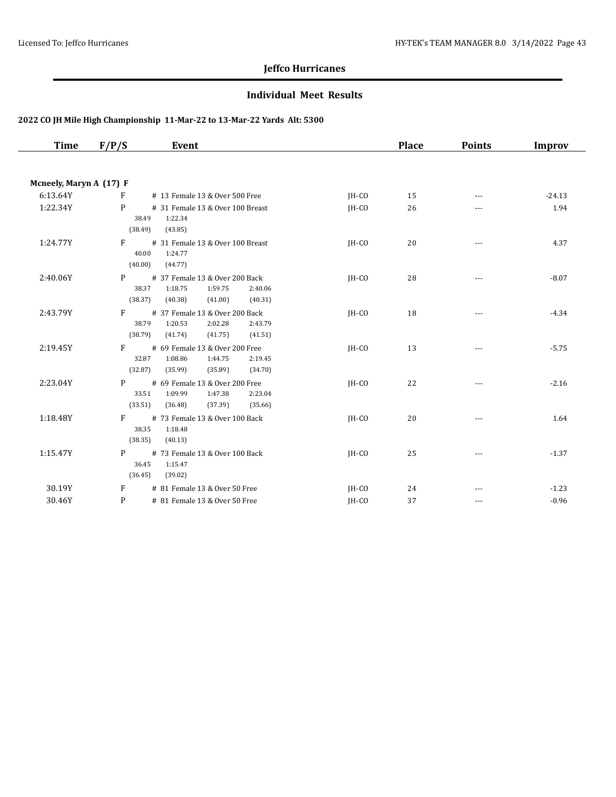#### **Individual Meet Results**

| <b>Time</b>             | Event<br>F/P/S                                                                                                            |         | <b>Place</b> | <b>Points</b>     | Improv   |
|-------------------------|---------------------------------------------------------------------------------------------------------------------------|---------|--------------|-------------------|----------|
| Mcneely, Maryn A (17) F |                                                                                                                           |         |              |                   |          |
| 6:13.64Y                | F<br># 13 Female 13 & Over 500 Free                                                                                       | IH-CO   | 15           | ---               | $-24.13$ |
| 1:22.34Y                | P<br># 31 Female 13 & Over 100 Breast<br>1:22.34<br>38.49<br>(38.49)<br>(43.85)                                           | $IH-CO$ | 26           | ---               | 1.94     |
| 1:24.77Y                | F<br># 31 Female 13 & Over 100 Breast<br>40.00<br>1:24.77<br>(40.00)<br>(44.77)                                           | IH-CO   | 20           | $\cdots$          | 4.37     |
| 2:40.06Y                | P<br># 37 Female 13 & Over 200 Back<br>1:59.75<br>38.37<br>1:18.75<br>2:40.06<br>(38.37)<br>(40.38)<br>(41.00)<br>(40.31) | $IH-CO$ | 28           | ---               | $-8.07$  |
| 2:43.79Y                | F<br># 37 Female 13 & Over 200 Back<br>2:02.28<br>38.79<br>1:20.53<br>2:43.79<br>(38.79)<br>(41.74)<br>(41.75)<br>(41.51) | $IH-CO$ | 18           |                   | $-4.34$  |
| 2:19.45Y                | # 69 Female 13 & Over 200 Free<br>F<br>32.87<br>1:08.86<br>1:44.75<br>2:19.45<br>(32.87)<br>(35.99)<br>(35.89)<br>(34.70) | IH-CO   | 13           | $---$             | $-5.75$  |
| 2:23.04Y                | P<br># 69 Female 13 & Over 200 Free<br>33.51<br>1:47.38<br>1:09.99<br>2:23.04<br>(33.51)<br>(37.39)<br>(36.48)<br>(35.66) | IH-CO   | 22           | ---               | $-2.16$  |
| 1:18.48Y                | F<br># 73 Female 13 & Over 100 Back<br>38.35<br>1:18.48<br>(38.35)<br>(40.13)                                             | IH-CO   | 20           | ---               | 1.64     |
| 1:15.47Y                | # 73 Female 13 & Over 100 Back<br>P<br>36.45<br>1:15.47<br>(36.45)<br>(39.02)                                             | $IH-CO$ | 25           | $\qquad \qquad -$ | $-1.37$  |
| 30.19Y                  | # 81 Female 13 & Over 50 Free<br>F                                                                                        | JH-CO   | 24           |                   | $-1.23$  |
| 30.46Y                  | P<br># 81 Female 13 & Over 50 Free                                                                                        | IH-CO   | 37           | $\cdots$          | $-0.96$  |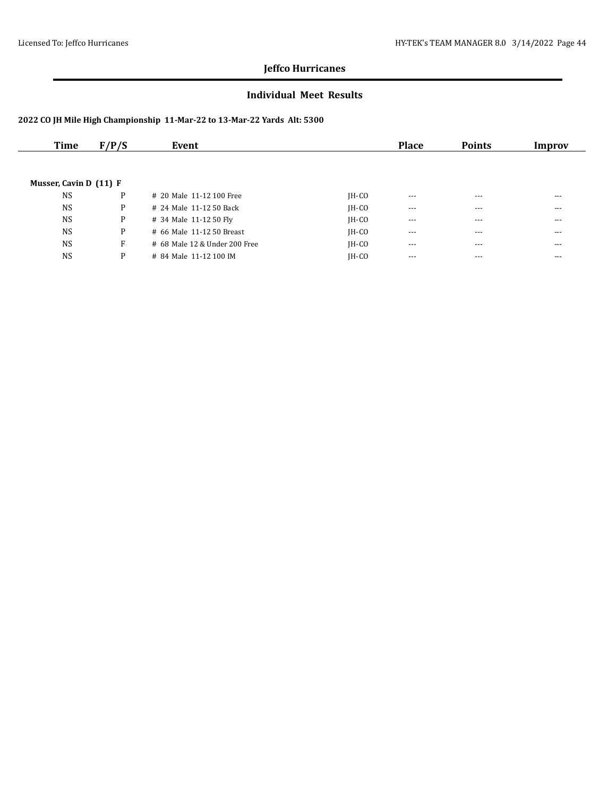#### **Individual Meet Results**

| Time                   | F/P/S | Event                         |         | <b>Place</b> | <b>Points</b> | Improv  |
|------------------------|-------|-------------------------------|---------|--------------|---------------|---------|
|                        |       |                               |         |              |               |         |
|                        |       |                               |         |              |               |         |
| Musser, Cavin D (11) F |       |                               |         |              |               |         |
| <b>NS</b>              | P     | # 20 Male 11-12 100 Free      | $IH-CO$ | $- - -$      | $- - -$       | ---     |
| <b>NS</b>              | P     | # 24 Male 11-12 50 Back       | $IH-CO$ | $--$         | $---$         | $- - -$ |
| <b>NS</b>              | P     | # 34 Male 11-12 50 Fly        | $IH-CO$ | $- - -$      | $---$         | $- - -$ |
| <b>NS</b>              | P     | # 66 Male 11-12 50 Breast     | $IH-CO$ | $--$         | $---$         | ---     |
| <b>NS</b>              | F     | # 68 Male 12 & Under 200 Free | $IH-CO$ | $- - -$      | $- - -$       | $- - -$ |
| <b>NS</b>              | P     | # 84 Male 11-12 100 IM        | IH-CO   | $- - -$      | $---$         | ---     |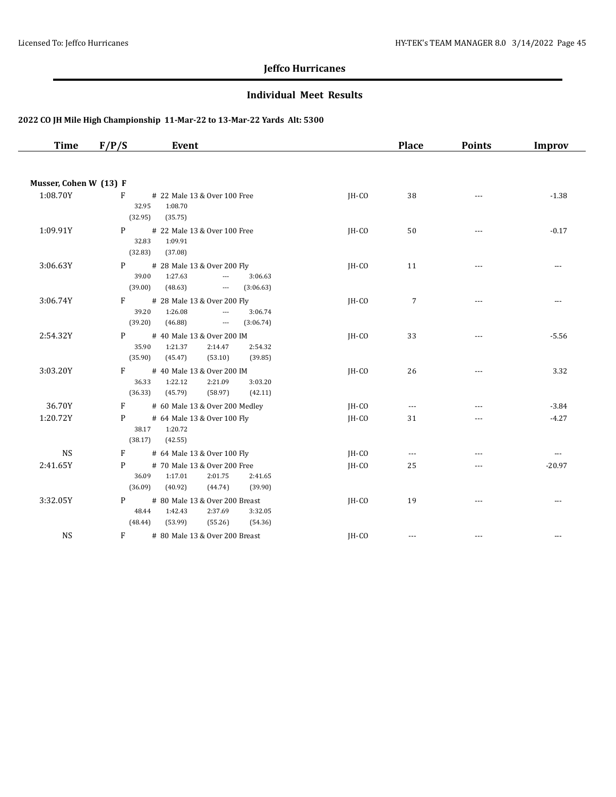#### **Individual Meet Results**

| <b>Time</b>            | F/P/S<br>Event                                                                                                                             |         | <b>Place</b>   | <b>Points</b> | <b>Improv</b>            |
|------------------------|--------------------------------------------------------------------------------------------------------------------------------------------|---------|----------------|---------------|--------------------------|
|                        |                                                                                                                                            |         |                |               |                          |
| Musser, Cohen W (13) F |                                                                                                                                            |         |                |               |                          |
| 1:08.70Y               | F<br># 22 Male 13 & Over 100 Free<br>32.95<br>1:08.70<br>(32.95)<br>(35.75)                                                                | JH-CO   | 38             | $-$           | $-1.38$                  |
| 1:09.91Y               | # 22 Male 13 & Over 100 Free<br>P<br>32.83<br>1:09.91<br>(32.83)<br>(37.08)                                                                | JH-CO   | 50             | $- - -$       | $-0.17$                  |
| 3:06.63Y               | P<br># 28 Male 13 & Over 200 Fly<br>1:27.63<br>39.00<br>$\overline{\phantom{a}}$<br>3:06.63<br>(39.00)<br>(48.63)<br>(3:06.63)<br>$\ldots$ | JH-CO   | 11             | $-$           | ---                      |
| 3:06.74Y               | F<br># 28 Male 13 & Over 200 Fly<br>39.20<br>1:26.08<br>3:06.74<br>$\overline{a}$<br>(39.20)<br>(46.88)<br>$\sim$<br>(3:06.74)             | JH-CO   | $\overline{7}$ | $---$         | $\overline{a}$           |
| 2:54.32Y               | P<br># 40 Male 13 & Over 200 IM<br>35.90<br>1:21.37<br>2:14.47<br>2:54.32<br>(35.90)<br>(45.47)<br>(53.10)<br>(39.85)                      | IH-CO   | 33             | $- - -$       | $-5.56$                  |
| 3:03.20Y               | F<br># 40 Male 13 & Over 200 IM<br>36.33<br>1:22.12<br>2:21.09<br>3:03.20<br>(36.33)<br>(45.79)<br>(58.97)<br>(42.11)                      | IH-CO   | 26             | $- - -$       | 3.32                     |
| 36.70Y                 | F<br># 60 Male 13 & Over 200 Medley                                                                                                        | JH-CO   | $\cdots$       | ---           | $-3.84$                  |
| 1:20.72Y               | # 64 Male 13 & Over 100 Fly<br>P<br>1:20.72<br>38.17<br>(38.17)<br>(42.55)                                                                 | $IH-CO$ | 31             |               | $-4.27$                  |
| <b>NS</b>              | # 64 Male 13 & Over 100 Fly<br>F                                                                                                           | JH-CO   | $\overline{a}$ |               | $\overline{\phantom{a}}$ |
| 2:41.65Y               | P<br># 70 Male 13 & Over 200 Free<br>36.09<br>1:17.01<br>2:01.75<br>2:41.65<br>(36.09)<br>(40.92)<br>(44.74)<br>(39.90)                    | JH-CO   | 25             | ---           | $-20.97$                 |
| 3:32.05Y               | P<br># 80 Male 13 & Over 200 Breast<br>48.44<br>1:42.43<br>2:37.69<br>3:32.05<br>(48.44)<br>(53.99)<br>(55.26)<br>(54.36)                  | IH-CO   | 19             | $- - -$       | $\cdots$                 |
| <b>NS</b>              | F<br># 80 Male 13 & Over 200 Breast                                                                                                        | JH-CO   | $- - -$        | ---           |                          |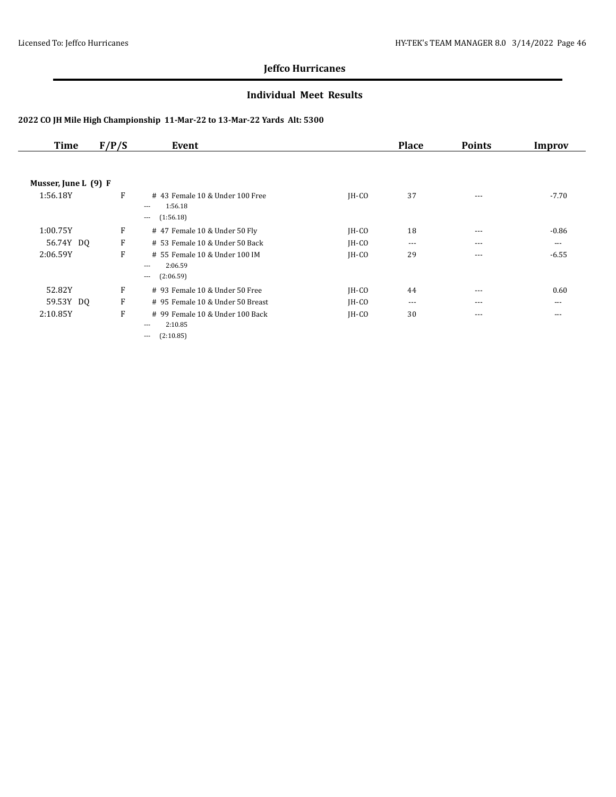#### **Individual Meet Results**

| Time                 | F/P/S | Event                                        |         | <b>Place</b> | <b>Points</b> | Improv   |
|----------------------|-------|----------------------------------------------|---------|--------------|---------------|----------|
|                      |       |                                              |         |              |               |          |
| Musser, June L (9) F |       |                                              |         |              |               |          |
| 1:56.18Y             | F     | #43 Female 10 & Under 100 Free               | $IH-CO$ | 37           | $---$         | $-7.70$  |
|                      |       | 1:56.18<br>$\cdots$<br>(1:56.18)<br>$\cdots$ |         |              |               |          |
| 1:00.75Y             | F     | # 47 Female 10 & Under 50 Fly                | $IH-CO$ | 18           | $---$         | $-0.86$  |
| 56.74Y DQ            | F     | # 53 Female 10 & Under 50 Back               | $IH-CO$ | $\cdots$     | $---$         | $\cdots$ |
| 2:06.59Y             | F     | # 55 Female 10 & Under 100 IM                | $IH-CO$ | 29           | $---$         | $-6.55$  |
|                      |       | 2:06.59<br>$\cdots$                          |         |              |               |          |
|                      |       | (2:06.59)<br>$\cdots$                        |         |              |               |          |
| 52.82Y               | F     | # 93 Female 10 & Under 50 Free               | JH-CO   | 44           | $\cdots$      | 0.60     |
| 59.53Y DQ            | F     | # 95 Female 10 & Under 50 Breast             | $IH-CO$ | $\cdots$     | $---$         | $---$    |
| 2:10.85Y             | F     | # 99 Female 10 & Under 100 Back              | $IH-CO$ | 30           | $\cdots$      | $\cdots$ |
|                      |       | 2:10.85<br>$---$                             |         |              |               |          |
|                      |       | (2:10.85)<br>---                             |         |              |               |          |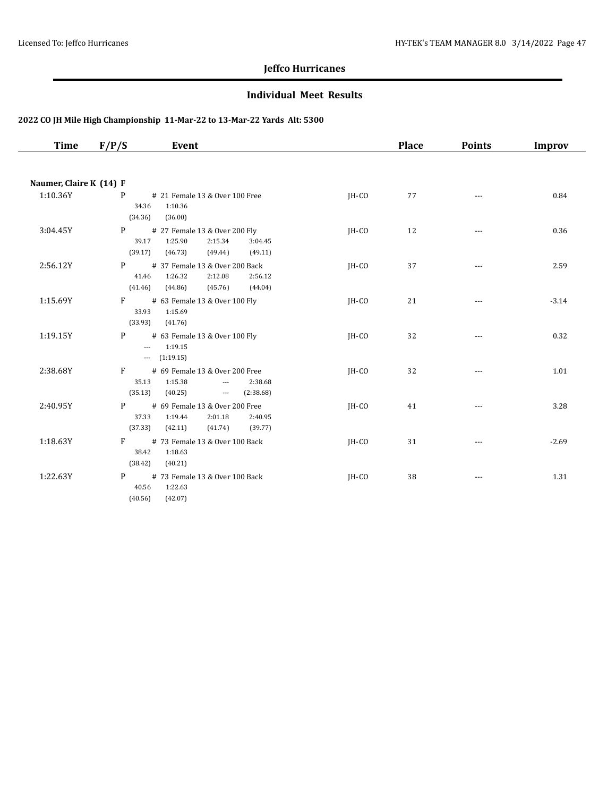#### **Individual Meet Results**

| Time                    | Event<br>F/P/S                                                                                                                            |         | <b>Place</b> | <b>Points</b> | <b>Improv</b> |
|-------------------------|-------------------------------------------------------------------------------------------------------------------------------------------|---------|--------------|---------------|---------------|
|                         |                                                                                                                                           |         |              |               |               |
| Naumer, Claire K (14) F |                                                                                                                                           |         |              |               |               |
| 1:10.36Y                | P.<br># 21 Female 13 & Over 100 Free<br>1:10.36<br>34.36<br>(34.36)<br>(36.00)                                                            | $IH-CO$ | 77           | $---$         | 0.84          |
| 3:04.45Y                | # 27 Female 13 & Over 200 Fly<br>P <sub>2</sub><br>1:25.90<br>2:15.34<br>39.17<br>3:04.45<br>(39.17)<br>(46.73)<br>(49.44)<br>(49.11)     | JH-CO   | 12           | $\cdots$      | 0.36          |
| 2:56.12Y                | $P \qquad \qquad$<br># 37 Female 13 & Over 200 Back<br>1:26.32<br>2:12.08<br>2:56.12<br>41.46<br>(41.46)<br>(44.86)<br>(45.76)<br>(44.04) | $IH-CO$ | 37           |               | 2.59          |
| 1:15.69Y                | $F$ # 63 Female 13 & Over 100 Fly<br>1:15.69<br>33.93<br>(33.93)<br>(41.76)                                                               | IH-CO   | 21           | $\cdots$      | $-3.14$       |
| 1:19.15Y                | P # 63 Female 13 & Over 100 Fly<br>$-1:19.15$<br>$-$ (1:19.15)                                                                            | JH-CO   | 32           | $\cdots$      | 0.32          |
| 2:38.68Y                | # 69 Female 13 & Over 200 Free<br>$F \sim$<br>35.13 1:15.38<br>2:38.68<br>$\sim$<br>(35.13)<br>(40.25)<br>$-2.38.68$                      | $IH-CO$ | 32           | ---           | 1.01          |
| 2:40.95Y                | P # 69 Female 13 & Over 200 Free<br>1:19.44<br>37.33<br>2:01.18<br>2:40.95<br>(37.33)<br>(42.11)<br>(41.74)<br>(39.77)                    | IH-CO   | 41           | $\cdots$      | 3.28          |
| 1:18.63Y                | F # 73 Female 13 & Over 100 Back<br>38.42<br>1:18.63<br>(38.42)<br>(40.21)                                                                | JH-CO   | 31           | ---           | $-2.69$       |
| 1:22.63Y                | P<br># 73 Female 13 & Over 100 Back<br>1:22.63<br>40.56<br>(40.56)<br>(42.07)                                                             | JH-CO   | 38           | $---$         | 1.31          |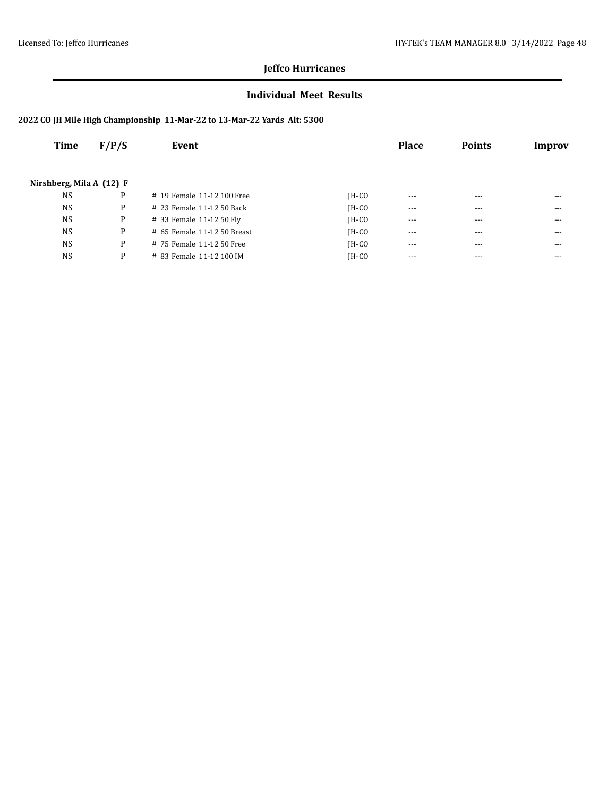#### **Individual Meet Results**

| Time                       | F/P/S | Event                       |         | <b>Place</b> | <b>Points</b> | Improv  |
|----------------------------|-------|-----------------------------|---------|--------------|---------------|---------|
|                            |       |                             |         |              |               |         |
| Nirshberg, Mila A $(12)$ F |       |                             |         |              |               |         |
| <b>NS</b>                  | P     | # 19 Female 11-12 100 Free  | $IH-CO$ | $---$        | $---$         | ---     |
| <b>NS</b>                  | P     | # 23 Female 11-12 50 Back   | $IH-CO$ | $\cdots$     | $\cdots$      | $- - -$ |
| <b>NS</b>                  | P     | # 33 Female 11-12 50 Fly    | $IH-CO$ | $- - -$      | $---$         | ---     |
| <b>NS</b>                  | P     | # 65 Female 11-12 50 Breast | $IH-CO$ | $- - -$      | $- - -$       | $- - -$ |
| <b>NS</b>                  | P     | # 75 Female 11-12 50 Free   | $IH-CO$ | $- - -$      | $- - -$       | ---     |
| <b>NS</b>                  | P     | # 83 Female 11-12 100 IM    | IH-CO   | $- - -$      | $---$         | ---     |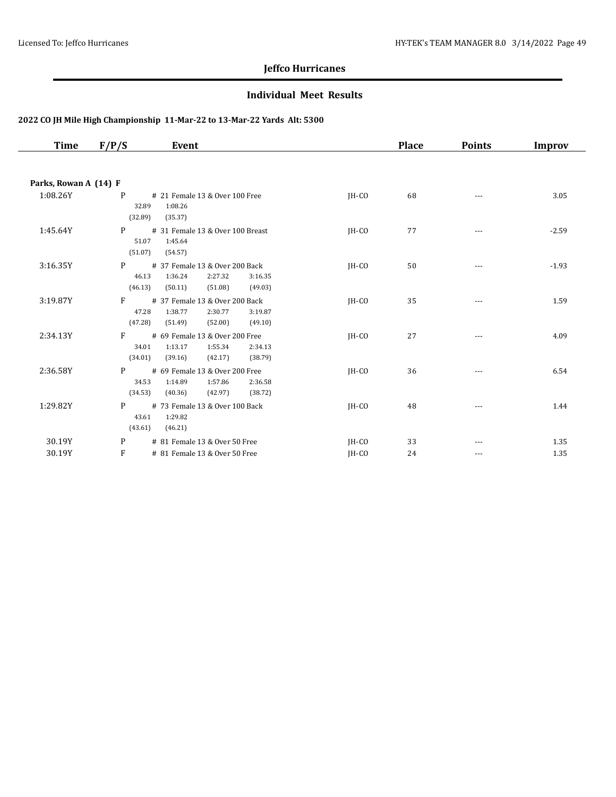#### **Individual Meet Results**

| Time                  | F/P/S<br>Event                                                                                                                         |         | <b>Place</b> | <b>Points</b>        | Improv  |
|-----------------------|----------------------------------------------------------------------------------------------------------------------------------------|---------|--------------|----------------------|---------|
|                       |                                                                                                                                        |         |              |                      |         |
| Parks, Rowan A (14) F |                                                                                                                                        |         |              |                      |         |
| 1:08.26Y              | P<br># 21 Female 13 & Over 100 Free<br>1:08.26<br>32.89<br>(32.89)<br>(35.37)                                                          | $IH-CO$ | 68           | $---$                | 3.05    |
| 1:45.64Y              | P<br># 31 Female 13 & Over 100 Breast<br>51.07<br>1:45.64<br>(51.07)<br>(54.57)                                                        | IH-CO   | 77           | $\sim$ $\sim$ $\sim$ | $-2.59$ |
| 3:16.35Y              | # 37 Female 13 & Over 200 Back<br>P<br>46.13<br>1:36.24<br>2:27.32<br>3:16.35<br>(46.13)<br>(50.11)<br>(51.08)<br>(49.03)              | IH-CO   | 50           | ---                  | $-1.93$ |
| 3:19.87Y              | F<br># 37 Female 13 & Over 200 Back<br>47.28<br>1:38.77<br>2:30.77<br>3:19.87<br>(47.28)<br>(51.49)<br>(52.00)<br>(49.10)              | IH-CO   | 35           | ---                  | 1.59    |
| 2:34.13Y              | F<br># 69 Female 13 & Over 200 Free<br>34.01<br>1:13.17<br>1:55.34<br>2:34.13<br>(34.01)<br>(39.16)<br>(42.17)<br>(38.79)              | $IH-CO$ | 27           |                      | 4.09    |
| 2:36.58Y              | # 69 Female 13 & Over 200 Free<br>P <sub>2</sub><br>1:14.89<br>1:57.86<br>34.53<br>2:36.58<br>(34.53)<br>(40.36)<br>(42.97)<br>(38.72) | JH-CO   | 36           | $---$                | 6.54    |
| 1:29.82Y              | # 73 Female 13 & Over 100 Back<br>P<br>1:29.82<br>43.61<br>(43.61)<br>(46.21)                                                          | JH-CO   | 48           | $---$                | 1.44    |
| 30.19Y                | P<br># 81 Female 13 & Over 50 Free                                                                                                     | JH-CO   | 33           |                      | 1.35    |
| 30.19Y                | F<br># 81 Female 13 & Over 50 Free                                                                                                     | IH-CO   | 24           | ---                  | 1.35    |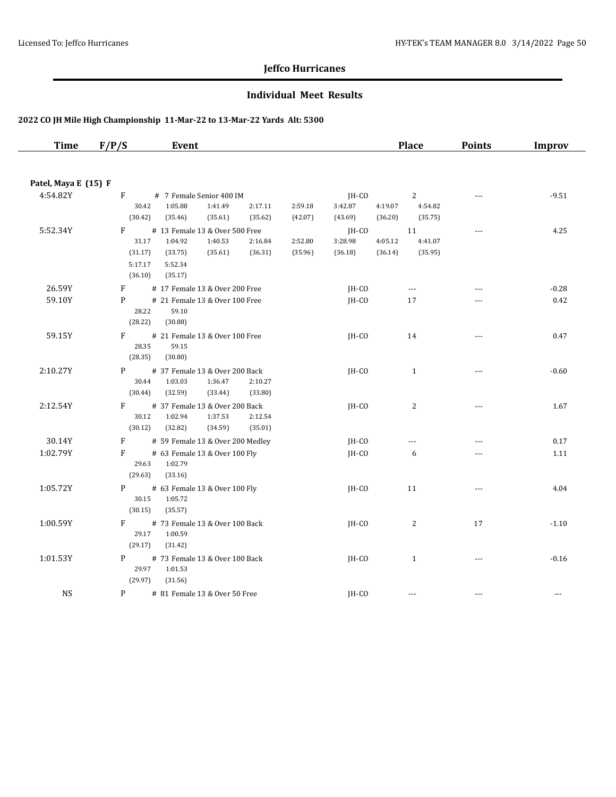#### **Individual Meet Results**

| <b>Time</b>          | F/P/S                   | Event                                              |         |         |         |         | <b>Place</b>   | <b>Points</b>            | Improv        |
|----------------------|-------------------------|----------------------------------------------------|---------|---------|---------|---------|----------------|--------------------------|---------------|
| Patel, Maya E (15) F |                         |                                                    |         |         |         |         |                |                          |               |
| 4:54.82Y             | F                       | # 7 Female Senior 400 IM                           |         |         | JH-CO   |         | $2^{\circ}$    | $---$                    | $-9.51$       |
|                      | 30.42                   | 1:05.88<br>1:41.49                                 | 2:17.11 | 2:59.18 | 3:42.87 | 4:19.07 | 4:54.82        |                          |               |
|                      | (30.42)                 | (35.46)<br>(35.61)                                 | (35.62) | (42.07) | (43.69) | (36.20) | (35.75)        |                          |               |
| 5:52.34Y             | F                       | # 13 Female 13 & Over 500 Free                     |         |         | JH-CO   |         | 11             | $\overline{\phantom{a}}$ | 4.25          |
|                      | 31.17                   | 1:40.53<br>1:04.92                                 | 2:16.84 | 2:52.80 | 3:28.98 | 4:05.12 | 4:41.07        |                          |               |
|                      | (31.17)                 | (35.61)<br>(33.75)                                 | (36.31) | (35.96) | (36.18) | (36.14) | (35.95)        |                          |               |
|                      | 5:17.17<br>(36.10)      | 5:52.34<br>(35.17)                                 |         |         |         |         |                |                          |               |
| 26.59Y               | F                       | # 17 Female 13 & Over 200 Free                     |         |         | JH-CO   |         | $\cdots$       | ---                      | $-0.28$       |
| 59.10Y               | P                       | # 21 Female 13 & Over 100 Free                     |         |         | $IH-CO$ |         | 17             |                          | 0.42          |
|                      | 28.22<br>(28.22)        | 59.10<br>(30.88)                                   |         |         |         |         |                |                          |               |
| 59.15Y               | F<br>28.35<br>(28.35)   | # 21 Female 13 & Over 100 Free<br>59.15<br>(30.80) |         |         | $IH-CO$ |         | 14             |                          | 0.47          |
| 2:10.27Y             | P                       | # 37 Female 13 & Over 200 Back                     |         |         |         |         | $\mathbf{1}$   | $  -$                    | $-0.60$       |
|                      | 30.44                   | 1:03.03<br>1:36.47                                 | 2:10.27 |         | $IH-CO$ |         |                |                          |               |
|                      | (30.44)                 | (32.59)<br>(33.44)                                 | (33.80) |         |         |         |                |                          |               |
| 2:12.54Y             | F                       | # 37 Female 13 & Over 200 Back                     |         |         | JH-CO   |         | $\overline{c}$ | $---$                    | 1.67          |
|                      | 30.12                   | 1:02.94<br>1:37.53                                 | 2:12.54 |         |         |         |                |                          |               |
|                      | (30.12)                 | (32.82)<br>(34.59)                                 | (35.01) |         |         |         |                |                          |               |
| 30.14Y               | F                       | # 59 Female 13 & Over 200 Medley                   |         |         | JH-CO   |         | $\overline{a}$ | $---$                    | 0.17          |
| 1:02.79Y             | F                       | # 63 Female 13 & Over 100 Fly                      |         |         | JH-CO   |         | 6              | ---                      | 1.11          |
|                      | 29.63                   | 1:02.79                                            |         |         |         |         |                |                          |               |
|                      | (29.63)                 | (33.16)                                            |         |         |         |         |                |                          |               |
| 1:05.72Y             | P                       | # 63 Female 13 & Over 100 Fly                      |         |         | JH-CO   |         | 11             | $\overline{a}$           | 4.04          |
|                      | 30.15                   | 1:05.72                                            |         |         |         |         |                |                          |               |
|                      | (30.15)                 | (35.57)                                            |         |         |         |         |                |                          |               |
| 1:00.59Y             | F                       | # 73 Female 13 & Over 100 Back                     |         |         | JH-CO   |         | 2              | 17                       | $-1.10$       |
|                      | 29.17                   | 1:00.59                                            |         |         |         |         |                |                          |               |
|                      | (29.17)                 | (31.42)                                            |         |         |         |         |                |                          |               |
| 1:01.53Y             | P <sub>2</sub><br>29.97 | # 73 Female 13 & Over 100 Back                     |         |         | $IH-CO$ |         | $\mathbf{1}$   | $\overline{\phantom{a}}$ | $-0.16$       |
|                      | (29.97)                 | 1:01.53<br>(31.56)                                 |         |         |         |         |                |                          |               |
| <b>NS</b>            | P                       | # 81 Female 13 & Over 50 Free                      |         |         | IH-CO   |         | $\overline{a}$ |                          | $\sim$ $\sim$ |
|                      |                         |                                                    |         |         |         |         |                |                          |               |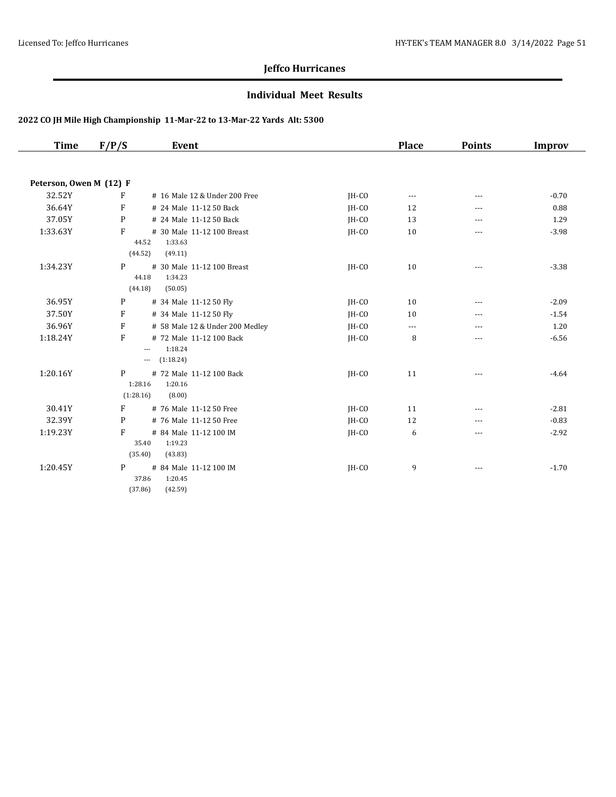#### **Individual Meet Results**

| <b>Time</b>             | F/P/S        | Event                                      |         | <b>Place</b>   | <b>Points</b> | <b>Improv</b> |
|-------------------------|--------------|--------------------------------------------|---------|----------------|---------------|---------------|
|                         |              |                                            |         |                |               |               |
| Peterson, Owen M (12) F |              |                                            |         |                |               |               |
| 32.52Y                  | F            | # 16 Male 12 & Under 200 Free              | JH-CO   | $\cdots$       | ---           | $-0.70$       |
| 36.64Y                  | F            | # 24 Male 11-12 50 Back                    | JH-CO   | 12             | ---           | 0.88          |
| 37.05Y                  | P            | # 24 Male 11-12 50 Back                    | IH-CO   | 13             | ---           | 1.29          |
| 1:33.63Y                | F            | # 30 Male 11-12 100 Breast                 | IH-CO   | 10             | ---           | $-3.98$       |
|                         |              | 1:33.63<br>44.52                           |         |                |               |               |
|                         |              | (44.52)<br>(49.11)                         |         |                |               |               |
| 1:34.23Y                | P            | # 30 Male 11-12 100 Breast                 | IH-CO   | 10             | $\cdots$      | $-3.38$       |
|                         |              | 1:34.23<br>44.18                           |         |                |               |               |
|                         |              | (44.18)<br>(50.05)                         |         |                |               |               |
| 36.95Y                  | P            | # 34 Male 11-12 50 Fly                     | JH-CO   | 10             | $---$         | $-2.09$       |
| 37.50Y                  | $\mathbf{F}$ | # 34 Male 11-12 50 Fly                     | JH-CO   | 10             | ---           | $-1.54$       |
| 36.96Y                  | F            | # 58 Male 12 & Under 200 Medley            | JH-CO   | $\overline{a}$ | ---           | 1.20          |
| 1:18.24Y                | F            | # 72 Male 11-12 100 Back                   | IH-CO   | 8              | ---           | $-6.56$       |
|                         |              | 1:18.24<br>$\qquad \qquad - -$             |         |                |               |               |
|                         |              | (1:18.24)<br>$\cdots$                      |         |                |               |               |
| 1:20.16Y                | P            | # 72 Male 11-12 100 Back                   | IH-CO   | 11             | ---           | $-4.64$       |
|                         | (1:28.16)    | 1:20.16<br>1:28.16<br>(8.00)               |         |                |               |               |
|                         | F            |                                            |         |                |               |               |
| 30.41Y                  |              | # 76 Male 11-12 50 Free                    | $IH-CO$ | 11             | $\cdots$      | $-2.81$       |
| 32.39Y                  | P            | # 76 Male 11-12 50 Free                    | JH-CO   | 12             | $- - -$       | $-0.83$       |
| 1:19.23Y                | F            | # 84 Male 11-12 100 IM<br>35.40<br>1:19.23 | JH-CO   | 6              | ---           | $-2.92$       |
|                         |              | (35.40)<br>(43.83)                         |         |                |               |               |
|                         |              |                                            |         |                |               |               |
| 1:20.45Y                | P            | # 84 Male 11-12 100 IM<br>37.86<br>1:20.45 | JH-CO   | 9              | $\cdots$      | $-1.70$       |
|                         |              |                                            |         |                |               |               |
|                         |              | (37.86)<br>(42.59)                         |         |                |               |               |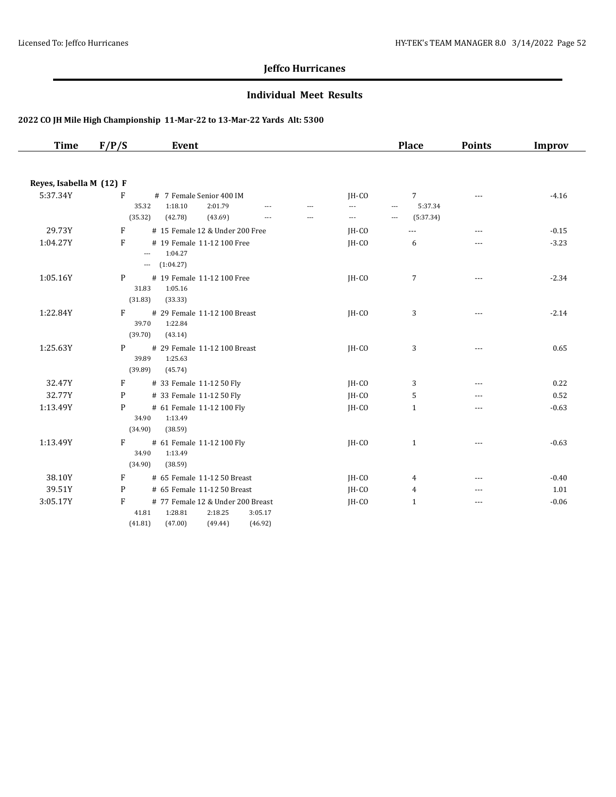#### **Individual Meet Results**

| <b>Time</b>              | F/P/S        | Event                                                                                  |                                  |                                  |                                  | <b>Place</b>                                                            | <b>Points</b> | <b>Improv</b> |
|--------------------------|--------------|----------------------------------------------------------------------------------------|----------------------------------|----------------------------------|----------------------------------|-------------------------------------------------------------------------|---------------|---------------|
|                          |              |                                                                                        |                                  |                                  |                                  |                                                                         |               |               |
| Reyes, Isabella M (12) F |              |                                                                                        |                                  |                                  |                                  |                                                                         |               |               |
| 5:37.34Y                 | F<br>(35.32) | # 7 Female Senior 400 IM<br>35.32<br>1:18.10<br>2:01.79<br>(42.78)<br>(43.69)          | $\overline{a}$<br>$\overline{a}$ | $\overline{a}$<br>$\overline{a}$ | $IH-CO$<br>---<br>$\overline{a}$ | $7^{\circ}$<br>5:37.34<br>$\overline{a}$<br>(5:37.34)<br>$\overline{a}$ | $- - -$       | $-4.16$       |
| 29.73Y                   | F            | # 15 Female 12 & Under 200 Free                                                        |                                  |                                  | JH-CO                            | $\overline{a}$                                                          | $\cdots$      | $-0.15$       |
| 1:04.27Y                 | F            | # 19 Female 11-12 100 Free<br>1:04.27<br>$\cdots$<br>(1:04.27)<br>$\cdots$             |                                  |                                  | JH-CO                            | 6                                                                       | $- - -$       | $-3.23$       |
| 1:05.16Y                 | P<br>(31.83) | # 19 Female 11-12 100 Free<br>31.83<br>1:05.16<br>(33.33)                              |                                  |                                  | JH-CO                            | 7                                                                       | $\cdots$      | $-2.34$       |
| 1:22.84Y                 | F<br>(39.70) | # 29 Female 11-12 100 Breast<br>39.70<br>1:22.84<br>(43.14)                            |                                  |                                  | JH-CO                            | 3                                                                       | $-$           | $-2.14$       |
| 1:25.63Y                 | P<br>(39.89) | # 29 Female 11-12 100 Breast<br>39.89<br>1:25.63<br>(45.74)                            |                                  |                                  | $IH-CO$                          | 3                                                                       |               | 0.65          |
| 32.47Y                   | F            | # 33 Female 11-12 50 Fly                                                               |                                  |                                  | JH-CO                            | 3                                                                       | $---$         | 0.22          |
| 32.77Y                   | P            | # 33 Female 11-12 50 Fly                                                               |                                  |                                  | JH-CO                            | 5                                                                       | $- - -$       | 0.52          |
| 1:13.49Y                 | P<br>(34.90) | # 61 Female 11-12 100 Fly<br>34.90<br>1:13.49<br>(38.59)                               |                                  |                                  | JH-CO                            | $\mathbf{1}$                                                            | ---           | $-0.63$       |
| 1:13.49Y                 | F<br>(34.90) | # 61 Female 11-12 100 Fly<br>34.90<br>1:13.49<br>(38.59)                               |                                  |                                  | $IH-CO$                          | $\mathbf{1}$                                                            | ---           | $-0.63$       |
| 38.10Y                   | F            | # 65 Female 11-12 50 Breast                                                            |                                  |                                  | JH-CO                            | 4                                                                       | $\cdots$      | $-0.40$       |
| 39.51Y                   | P            | # 65 Female 11-12 50 Breast                                                            |                                  |                                  | JH-CO                            | $\overline{4}$                                                          | $---$         | 1.01          |
| 3:05.17Y                 | F<br>(41.81) | # 77 Female 12 & Under 200 Breast<br>41.81<br>1:28.81<br>2:18.25<br>(49.44)<br>(47.00) | 3:05.17<br>(46.92)               |                                  | $IH-CO$                          | $\mathbf{1}$                                                            | $- - -$       | $-0.06$       |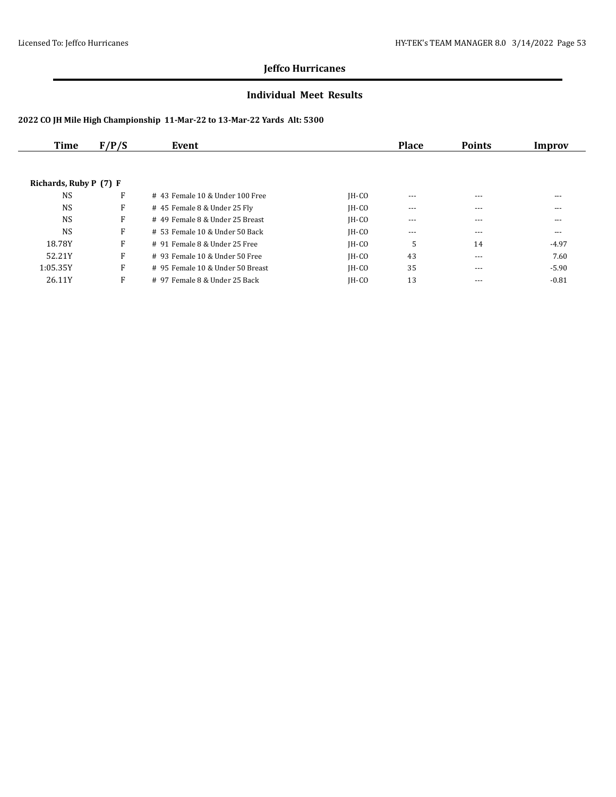#### **Individual Meet Results**

| Time                   | F/P/S<br>Event |                                   |         | <b>Place</b> | <b>Points</b> | Improv  |
|------------------------|----------------|-----------------------------------|---------|--------------|---------------|---------|
|                        |                |                                   |         |              |               |         |
| Richards, Ruby P (7) F |                |                                   |         |              |               |         |
| <b>NS</b>              | F              | $#$ 43 Female 10 & Under 100 Free | $IH-CO$ | $---$        | $---$         | ---     |
| <b>NS</b>              | F              | # 45 Female 8 & Under 25 Fly      | $IH-CO$ | $- - -$      | $---$         | ---     |
| <b>NS</b>              | F              | # 49 Female 8 & Under 25 Breast   | $IH-CO$ | $---$        | $---$         | ---     |
| <b>NS</b>              | F              | # 53 Female 10 & Under 50 Back    | $IH-CO$ | $- - -$      | $---$         | ---     |
| 18.78Y                 | F              | # 91 Female 8 & Under 25 Free     | $IH-CO$ | 5            | 14            | $-4.97$ |
| 52.21Y                 | F              | $#$ 93 Female 10 & Under 50 Free  | $IH-CO$ | 43           | $- - -$       | 7.60    |
| 1:05.35Y               | F              | # 95 Female 10 & Under 50 Breast  | IH-CO   | 35           | $---$         | $-5.90$ |
| 26.11Y                 | F              | # 97 Female 8 & Under 25 Back     | $IH-CO$ | 13           | $---$         | $-0.81$ |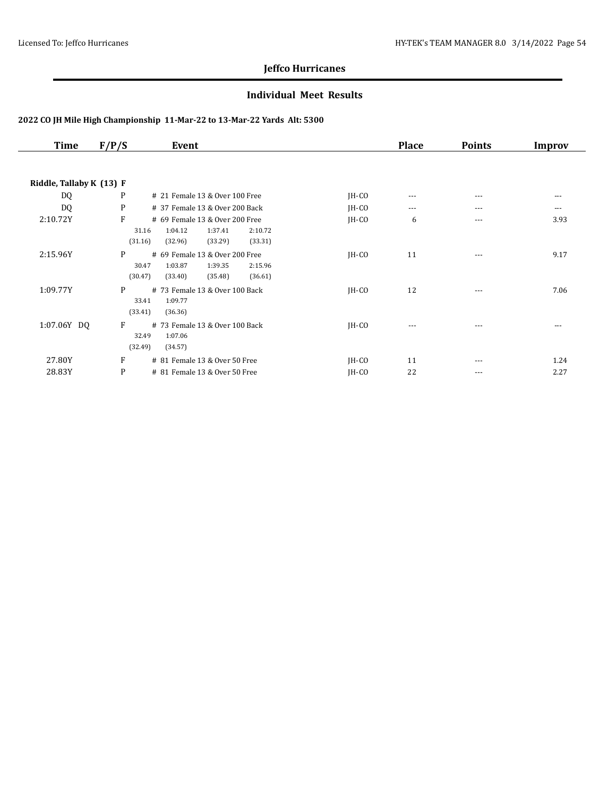#### **Individual Meet Results**

| <b>Time</b>              | F/P/S                 | Event                                                                                            |         | <b>Place</b> | <b>Points</b> | Improv |
|--------------------------|-----------------------|--------------------------------------------------------------------------------------------------|---------|--------------|---------------|--------|
|                          |                       |                                                                                                  |         |              |               |        |
| Riddle, Tallaby K (13) F |                       |                                                                                                  |         |              |               |        |
| DQ                       | P                     | # 21 Female 13 & Over 100 Free                                                                   | $IH-CO$ | ---          | $---$         | $---$  |
| DQ                       | P                     | # 37 Female 13 & Over 200 Back                                                                   | $IH-CO$ | $\cdots$     | ---           | ---    |
| 2:10.72Y                 | F<br>31.16<br>(31.16) | # 69 Female 13 & Over 200 Free<br>2:10.72<br>1:04.12<br>1:37.41<br>(32.96)<br>(33.29)<br>(33.31) | $IH-CO$ | 6            | $---$         | 3.93   |
| 2:15.96Y                 | P<br>30.47<br>(30.47) | # 69 Female 13 & Over 200 Free<br>1:03.87<br>1:39.35<br>2:15.96<br>(35.48)<br>(36.61)<br>(33.40) | $IH-CO$ | 11           | $---$         | 9.17   |
| 1:09.77Y                 | P<br>33.41<br>(33.41) | # 73 Female 13 & Over 100 Back<br>1:09.77<br>(36.36)                                             | $IH-CO$ | 12           | $---$         | 7.06   |
| 1:07.06Y DQ              | F<br>32.49<br>(32.49) | # 73 Female 13 & Over 100 Back<br>1:07.06<br>(34.57)                                             | $IH-CO$ | $\cdots$     | $---$         | ---    |
| 27.80Y                   | F                     | # 81 Female 13 & Over 50 Free                                                                    | $IH-CO$ | 11           | $---$         | 1.24   |
| 28.83Y                   | P                     | # 81 Female 13 & Over 50 Free                                                                    | $IH-CO$ | 22           | $---$         | 2.27   |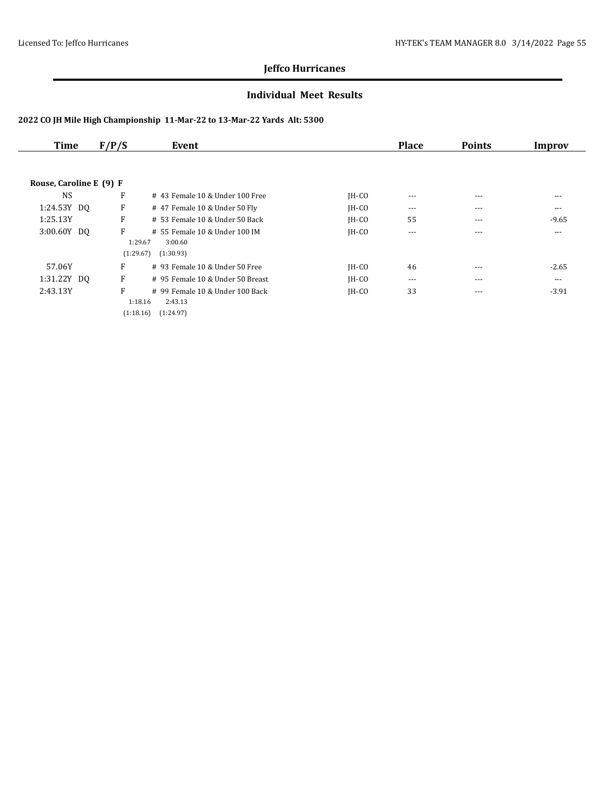#### **Individual Meet Results**

| Time                    | F/P/S     | Event                            |         | <b>Place</b> | <b>Points</b> | Improv  |
|-------------------------|-----------|----------------------------------|---------|--------------|---------------|---------|
|                         |           |                                  |         |              |               |         |
| Rouse, Caroline E (9) F |           |                                  |         |              |               |         |
| <b>NS</b>               | F         | #43 Female 10 & Under 100 Free   | IH-CO   | $---$        | $---$         | $---$   |
| 1:24.53Y DQ             | F         | # 47 Female 10 & Under 50 Fly    | $IH-CO$ | $\cdots$     | $---$         | ---     |
| 1:25.13Y                | F         | # 53 Female 10 & Under 50 Back   | $IH-CO$ | 55           | $---$         | $-9.65$ |
| 3:00.60Y DQ             | F         | # 55 Female 10 & Under 100 IM    | $IH-CO$ | $---$        | $---$         | ---     |
|                         |           | 1:29.67<br>3:00.60               |         |              |               |         |
|                         | (1:29.67) | (1:30.93)                        |         |              |               |         |
| 57.06Y                  | F         | $#$ 93 Female 10 & Under 50 Free | $IH-CO$ | 46           | ---           | $-2.65$ |
| 1:31.22Y DQ             | F         | # 95 Female 10 & Under 50 Breast | $IH-CO$ | $---$        | $---$         | ---     |
| 2:43.13Y                | F         | # 99 Female 10 & Under 100 Back  | $IH-CO$ | 33           | $---$         | $-3.91$ |
|                         |           | 1:18.16<br>2:43.13               |         |              |               |         |
|                         | (1:18.16) | (1:24.97)                        |         |              |               |         |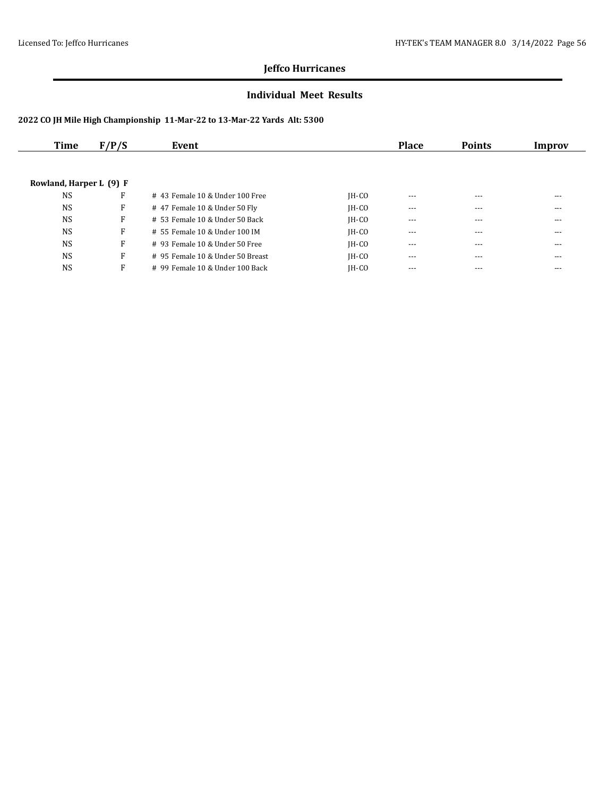#### **Individual Meet Results**

| Time                    | F/P/S | Event                            |         | <b>Place</b> | <b>Points</b> | Improv |
|-------------------------|-------|----------------------------------|---------|--------------|---------------|--------|
|                         |       |                                  |         |              |               |        |
| Rowland, Harper L (9) F |       |                                  |         |              |               |        |
| <b>NS</b>               | F     | #43 Female 10 & Under 100 Free   | $IH-CO$ | ---          | $---$         | ---    |
| <b>NS</b>               | F     | # 47 Female 10 & Under 50 Fly    | $IH-CO$ | $---$        | $---$         | ---    |
| <b>NS</b>               | F     | $# 53$ Female 10 & Under 50 Back | $IH-CO$ | ---          | $---$         | ---    |
| <b>NS</b>               | F     | # 55 Female 10 & Under 100 IM    | $IH-CO$ | $- - -$      | $---$         | ---    |
| <b>NS</b>               | F     | $#$ 93 Female 10 & Under 50 Free | $IH-CO$ | ---          | ---           | ---    |
| <b>NS</b>               | F     | # 95 Female 10 & Under 50 Breast | $IH-CO$ | $---$        | $---$         | ---    |
| <b>NS</b>               | F     | # 99 Female 10 & Under 100 Back  | $IH-CO$ | $---$        | $---$         | ---    |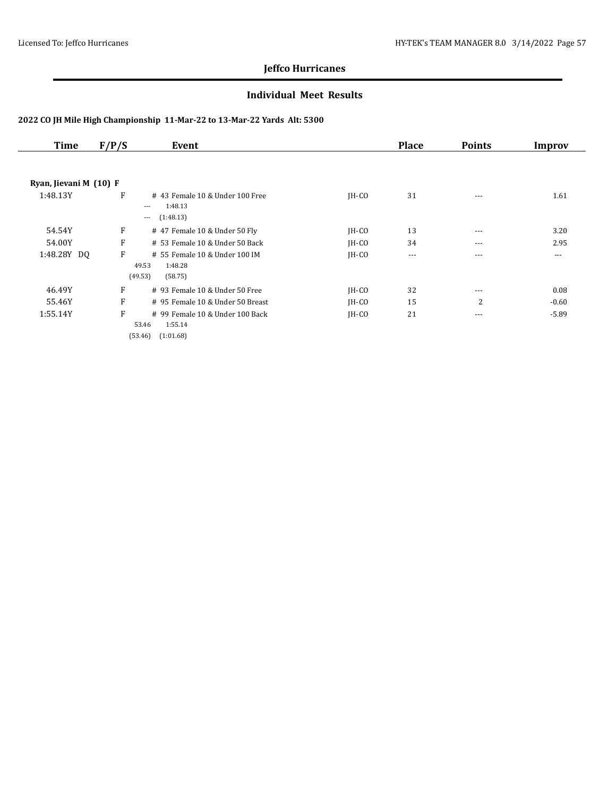#### **Individual Meet Results**

| Time                   | F/P/S | Event                                                                       |         | <b>Place</b> | <b>Points</b> | Improv   |
|------------------------|-------|-----------------------------------------------------------------------------|---------|--------------|---------------|----------|
|                        |       |                                                                             |         |              |               |          |
| Ryan, Jievani M (10) F |       |                                                                             |         |              |               |          |
| 1:48.13Y               | F     | #43 Female 10 & Under 100 Free<br>1:48.13<br>---<br>(1:48.13)<br>---        | $IH-CO$ | 31           | $---$         | 1.61     |
| 54.54Y                 | F     | # 47 Female 10 & Under 50 Fly                                               | $IH-CO$ | 13           | ---           | 3.20     |
| 54.00Y                 | F     | # 53 Female 10 & Under 50 Back                                              | $IH-CO$ | 34           | $---$         | 2.95     |
| 1:48.28Y DQ            | F     | # 55 Female 10 & Under 100 IM<br>49.53<br>1:48.28<br>(49.53)<br>(58.75)     | $IH-CO$ | $\cdots$     | $- - -$       | $\cdots$ |
| 46.49Y                 | F     | # 93 Female 10 & Under 50 Free                                              | $IH-CO$ | 32           | $\cdots$      | 0.08     |
| 55.46Y                 | F     | # 95 Female 10 & Under 50 Breast                                            | $IH-CO$ | 15           | 2             | $-0.60$  |
| 1:55.14Y               | F     | # 99 Female 10 & Under 100 Back<br>1:55.14<br>53.46<br>(53.46)<br>(1:01.68) | $IH-CO$ | 21           | $\cdots$      | $-5.89$  |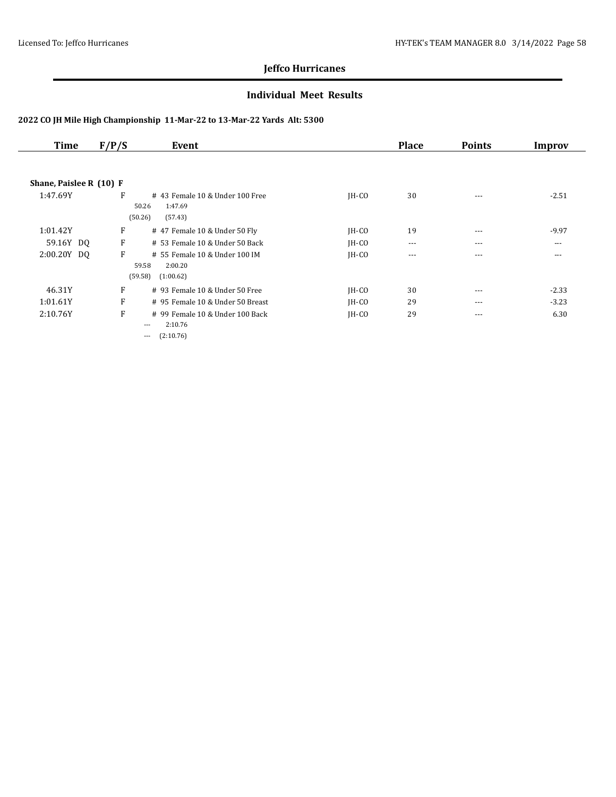#### **Individual Meet Results**

| <b>Time</b>             | F/P/S | Event                            |         | <b>Place</b> | <b>Points</b> | Improv  |
|-------------------------|-------|----------------------------------|---------|--------------|---------------|---------|
|                         |       |                                  |         |              |               |         |
| Shane, Paislee R (10) F |       |                                  |         |              |               |         |
| 1:47.69Y                | F     | # 43 Female 10 & Under 100 Free  | $IH-CO$ | 30           | $- - -$       | $-2.51$ |
|                         |       | 50.26<br>1:47.69                 |         |              |               |         |
|                         |       | (50.26)<br>(57.43)               |         |              |               |         |
| 1:01.42Y                | F     | # 47 Female 10 & Under 50 Fly    | $IH-CO$ | 19           | $- - -$       | $-9.97$ |
| 59.16Y DQ               | F     | # 53 Female 10 & Under 50 Back   | $IH-CO$ | $\cdots$     | $---$         | $---$   |
| 2:00.20Y DQ             | F     | # 55 Female 10 & Under 100 IM    | $IH-CO$ | $- - -$      | $- - -$       | $- - -$ |
|                         |       | 59.58<br>2:00.20                 |         |              |               |         |
|                         |       | (59.58)<br>(1:00.62)             |         |              |               |         |
| 46.31Y                  | F     | # 93 Female 10 & Under 50 Free   | $IH-CO$ | 30           | $- - -$       | $-2.33$ |
| 1:01.61Y                | F     | # 95 Female 10 & Under 50 Breast | $IH-CO$ | 29           | $- - -$       | $-3.23$ |
| 2:10.76Y                | F     | # 99 Female 10 & Under 100 Back  | $IH-CO$ | 29           | $---$         | 6.30    |
|                         |       | 2:10.76<br>$---$                 |         |              |               |         |
|                         |       | (2:10.76)<br>---                 |         |              |               |         |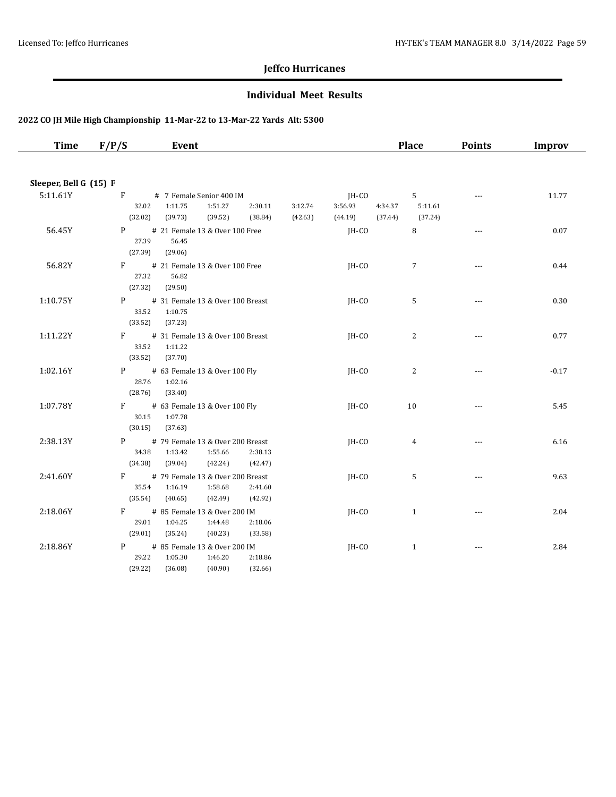#### **Individual Meet Results**

| Time                   | F/P/S                 | Event                                                                          |                    |                    |                             | <b>Place</b>                                               | <b>Points</b>        | Improv  |
|------------------------|-----------------------|--------------------------------------------------------------------------------|--------------------|--------------------|-----------------------------|------------------------------------------------------------|----------------------|---------|
|                        |                       |                                                                                |                    |                    |                             |                                                            |                      |         |
| Sleeper, Bell G (15) F |                       |                                                                                |                    |                    |                             |                                                            |                      |         |
| 5:11.61Y               | F<br>32.02<br>(32.02) | # 7 Female Senior 400 IM<br>1:11.75<br>1:51.27<br>(39.73)<br>(39.52)           | 2:30.11<br>(38.84) | 3:12.74<br>(42.63) | IH-CO<br>3:56.93<br>(44.19) | 5 <sup>1</sup><br>4:34.37<br>5:11.61<br>(37.44)<br>(37.24) | $\cdots$             | 11.77   |
| 56.45Y                 | 27.39<br>(27.39)      | P # 21 Female 13 & Over 100 Free<br>56.45<br>(29.06)                           |                    |                    | IH-CO                       | 8                                                          | $\sim$ $\sim$ $\sim$ | 0.07    |
| 56.82Y                 | 27.32<br>(27.32)      | F # 21 Female 13 & Over 100 Free<br>56.82<br>(29.50)                           |                    |                    | JH-CO                       | $\overline{7}$                                             | $\cdots$             | 0.44    |
| 1:10.75Y               | 33.52<br>(33.52)      | P # 31 Female 13 & Over 100 Breast<br>1:10.75<br>(37.23)                       |                    |                    | JH-CO                       | 5                                                          | $---$                | 0.30    |
| 1:11.22Y               | (33.52)               | F # 31 Female 13 & Over 100 Breast<br>33.52 1:11.22<br>(37.70)                 |                    |                    | $IH-CO$                     | 2                                                          | $---$                | 0.77    |
| 1:02.16Y               | (28.76)               | P # 63 Female 13 & Over 100 Fly<br>28.76 1:02.16<br>(33.40)                    |                    |                    | IH-CO                       | $\overline{2}$                                             |                      | $-0.17$ |
| 1:07.78Y               | (30.15)               | F # 63 Female 13 & Over 100 Fly<br>30.15 1:07.78<br>(37.63)                    |                    |                    | JH-CO                       | 10                                                         | $\cdots$             | 5.45    |
| 2:38.13Y               | 34.38<br>(34.38)      | P # 79 Female 13 & Over 200 Breast<br>1:13.42<br>1:55.66<br>(39.04)<br>(42.24) | 2:38.13<br>(42.47) |                    | JH-CO                       | 4                                                          | $\overline{a}$       | 6.16    |
| 2:41.60Y               | 35.54<br>(35.54)      | F # 79 Female 13 & Over 200 Breast<br>1:16.19<br>1:58.68<br>(40.65)<br>(42.49) | 2:41.60<br>(42.92) |                    | $IH-CO$                     | 5                                                          | $\cdots$             | 9.63    |
| 2:18.06Y               | 29.01<br>(29.01)      | F # 85 Female 13 & Over 200 IM<br>1:04.25<br>1:44.48<br>(35.24)<br>(40.23)     | 2:18.06<br>(33.58) |                    | $IH-CO$                     | $\mathbf{1}$                                               | $\sim$ $\sim$ $\sim$ | 2.04    |
| 2:18.86Y               | 29.22<br>(29.22)      | P # 85 Female 13 & Over 200 IM<br>1:05.30<br>1:46.20<br>(36.08)<br>(40.90)     | 2:18.86<br>(32.66) |                    | JH-CO                       | $\mathbf{1}$                                               | $---$                | 2.84    |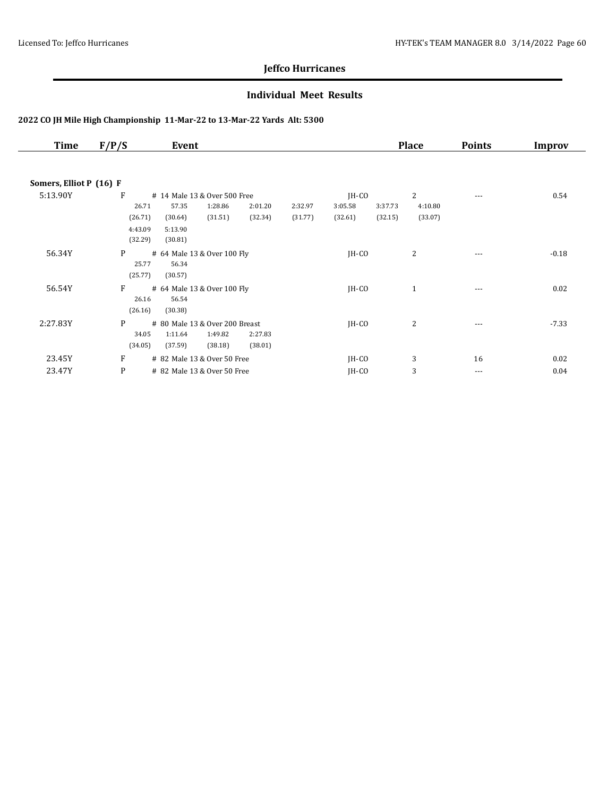#### **Individual Meet Results**

| <b>Time</b>             | F/P/S   | Event                          |         |         |         |         |         | <b>Place</b> | <b>Points</b> | Improv  |
|-------------------------|---------|--------------------------------|---------|---------|---------|---------|---------|--------------|---------------|---------|
| Somers, Elliot P (16) F |         |                                |         |         |         |         |         |              |               |         |
| 5:13.90Y                | F       | # 14 Male 13 & Over 500 Free   |         |         |         | $IH-CO$ |         | 2            | ---           | 0.54    |
|                         | 26.71   | 57.35                          | 1:28.86 | 2:01.20 | 2:32.97 | 3:05.58 | 3:37.73 | 4:10.80      |               |         |
|                         | (26.71) | (30.64)                        | (31.51) | (32.34) | (31.77) | (32.61) | (32.15) | (33.07)      |               |         |
|                         | 4:43.09 | 5:13.90                        |         |         |         |         |         |              |               |         |
|                         | (32.29) | (30.81)                        |         |         |         |         |         |              |               |         |
| 56.34Y                  | P       | # 64 Male 13 & Over 100 Fly    |         |         |         | $IH-CO$ |         | 2            | $\cdots$      | $-0.18$ |
|                         | 25.77   | 56.34                          |         |         |         |         |         |              |               |         |
|                         | (25.77) | (30.57)                        |         |         |         |         |         |              |               |         |
| 56.54Y                  | F       | # 64 Male 13 & Over 100 Fly    |         |         |         | JH-CO   |         | $\mathbf{1}$ | ---           | 0.02    |
|                         | 26.16   | 56.54                          |         |         |         |         |         |              |               |         |
|                         | (26.16) | (30.38)                        |         |         |         |         |         |              |               |         |
| 2:27.83Y                | P       | # 80 Male 13 & Over 200 Breast |         |         |         | $IH-CO$ |         | 2            | $---$         | $-7.33$ |
|                         | 34.05   | 1:11.64                        | 1:49.82 | 2:27.83 |         |         |         |              |               |         |
|                         | (34.05) | (37.59)                        | (38.18) | (38.01) |         |         |         |              |               |         |
| 23.45Y                  | F       | # 82 Male 13 & Over 50 Free    |         |         |         | $IH-CO$ |         | 3            | 16            | 0.02    |
| 23.47Y                  | P       | # 82 Male 13 & Over 50 Free    |         |         |         | JH-CO   |         | 3            | ---           | 0.04    |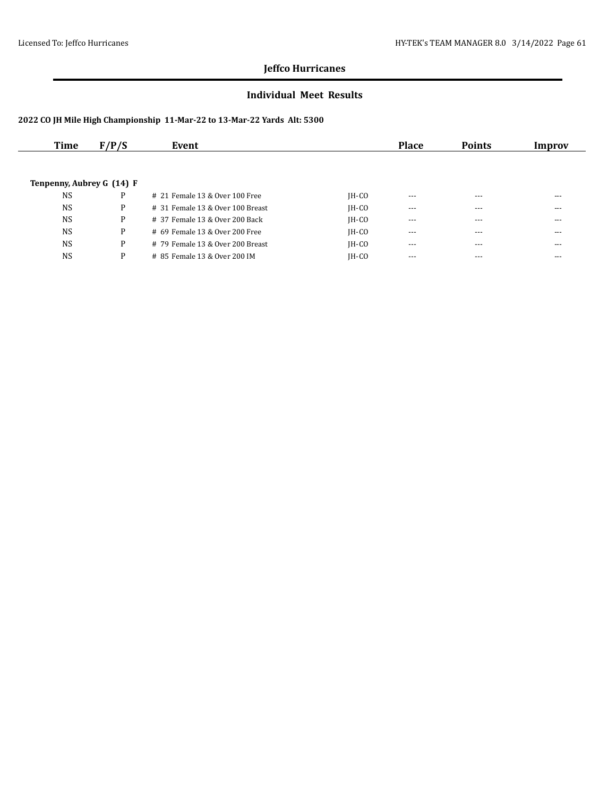#### **Individual Meet Results**

| Time                      | F/P/S | Event                              |         | <b>Place</b> | <b>Points</b> | Improv |
|---------------------------|-------|------------------------------------|---------|--------------|---------------|--------|
|                           |       |                                    |         |              |               |        |
| Tenpenny, Aubrey G (14) F |       |                                    |         |              |               |        |
|                           |       |                                    |         |              |               |        |
| <b>NS</b>                 | P     | $# 21$ Female 13 & Over 100 Free   | $IH-CO$ | $- - -$      | $---$         | ---    |
| <b>NS</b>                 | P     | $#$ 31 Female 13 & Over 100 Breast | $IH-CO$ | $\cdots$     | $- - -$       | ---    |
| <b>NS</b>                 | P     | # 37 Female 13 & Over 200 Back     | $IH-CO$ | $- - -$      | $---$         | ---    |
| <b>NS</b>                 | P     | $#$ 69 Female 13 & Over 200 Free   | $IH-CO$ | ---          | $---$         | ---    |
| <b>NS</b>                 | P     | # 79 Female 13 & Over 200 Breast   | $IH-CO$ | $- - -$      | $---$         | ---    |
| <b>NS</b>                 | P     | # 85 Female 13 & Over 200 IM       | IH-CO   | $- - -$      | $---$         | ---    |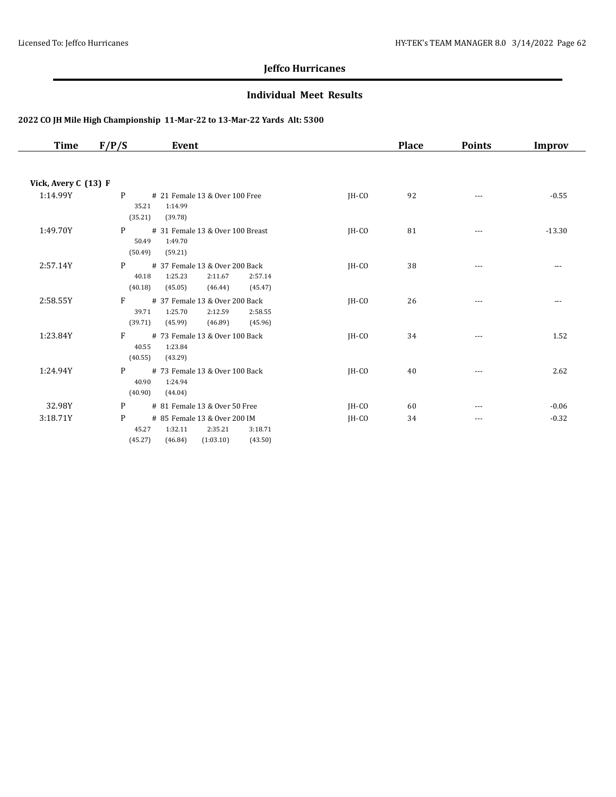#### **Individual Meet Results**

| Time                 | F/P/S<br>Event                                                                                                            |         | <b>Place</b> | <b>Points</b> | <b>Improv</b> |
|----------------------|---------------------------------------------------------------------------------------------------------------------------|---------|--------------|---------------|---------------|
| Vick, Avery C (13) F |                                                                                                                           |         |              |               |               |
| 1:14.99Y             | P                                                                                                                         |         |              |               |               |
|                      | # 21 Female 13 & Over 100 Free<br>35.21<br>1:14.99<br>(35.21)<br>(39.78)                                                  | $IH-CO$ | 92           | $\cdots$      | $-0.55$       |
| 1:49.70Y             | P <sub>1</sub><br># 31 Female 13 & Over 100 Breast<br>1:49.70<br>50.49<br>(50.49)<br>(59.21)                              | $IH-CO$ | 81           | $\cdots$      | $-13.30$      |
| 2:57.14Y             | P<br># 37 Female 13 & Over 200 Back                                                                                       | $IH-CO$ | 38           | $\cdots$      | $\cdots$      |
|                      | 1:25.23<br>2:11.67<br>40.18<br>2:57.14                                                                                    |         |              |               |               |
|                      | (40.18)<br>(45.05)<br>(45.47)<br>(46.44)                                                                                  |         |              |               |               |
| 2:58.55Y             | F<br># 37 Female 13 & Over 200 Back<br>39.71<br>1:25.70<br>2:12.59<br>2:58.55<br>(39.71)<br>(45.99)<br>(46.89)<br>(45.96) | $IH-CO$ | 26           | $- - -$       | $- - -$       |
| 1:23.84Y             | F<br># 73 Female 13 & Over 100 Back<br>1:23.84<br>40.55<br>(40.55)<br>(43.29)                                             | $IH-CO$ | 34           | $---$         | 1.52          |
| 1:24.94Y             | P<br># 73 Female 13 & Over 100 Back<br>1:24.94<br>40.90<br>(40.90)<br>(44.04)                                             | $IH-CO$ | 40           | $\cdots$      | 2.62          |
| 32.98Y               | P<br># 81 Female 13 & Over 50 Free                                                                                        | $IH-CO$ | 60           | $\cdots$      | $-0.06$       |
| 3:18.71Y             | P<br># 85 Female 13 & Over 200 IM<br>1:32.11<br>2:35.21<br>3:18.71<br>45.27<br>(45.27)<br>(46.84)<br>(1:03.10)<br>(43.50) | $IH-CO$ | 34           | $\cdots$      | $-0.32$       |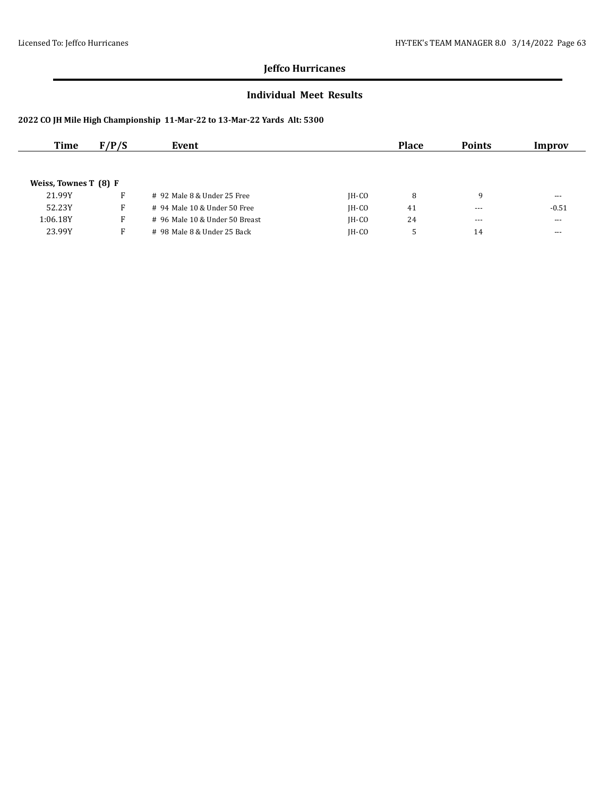#### **Individual Meet Results**

| Time                  | F/P/S | Event                          |         | <b>Place</b> | <b>Points</b> | Improv  |
|-----------------------|-------|--------------------------------|---------|--------------|---------------|---------|
|                       |       |                                |         |              |               |         |
|                       |       |                                |         |              |               |         |
| Weiss, Townes T (8) F |       |                                |         |              |               |         |
| 21.99Y                | F.    | $#$ 92 Male 8 & Under 25 Free  | $IH-CO$ | 8            | q             | $--$    |
| 52.23Y                | F     | # 94 Male 10 & Under 50 Free   | $IH-CO$ | 41           | $- - -$       | $-0.51$ |
| 1:06.18Y              | F.    | # 96 Male 10 & Under 50 Breast | $IH-CO$ | 24           | $- - -$       | $- - -$ |
| 23.99Y                | F.    | # 98 Male 8 & Under 25 Back    | $IH-CO$ |              | 14            | $- - -$ |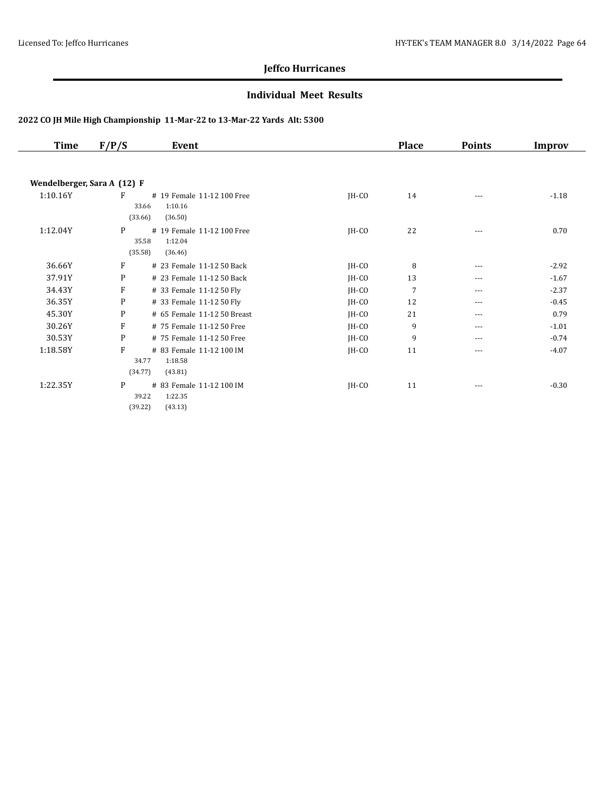#### **Individual Meet Results**

| <b>Time</b>                 | F/P/S<br>Event                                      |         | <b>Place</b>   | <b>Points</b> | <b>Improv</b> |
|-----------------------------|-----------------------------------------------------|---------|----------------|---------------|---------------|
|                             |                                                     |         |                |               |               |
| Wendelberger, Sara A (12) F |                                                     |         |                |               |               |
| 1:10.16Y                    | F<br># 19 Female 11-12 100 Free<br>1:10.16<br>33.66 | JH-CO   | 14             | $---$         | $-1.18$       |
|                             | (33.66)<br>(36.50)                                  |         |                |               |               |
| 1:12.04Y                    | P<br># 19 Female 11-12 100 Free                     | $IH-CO$ | 22             | $---$         | 0.70          |
|                             | 1:12.04<br>35.58<br>(35.58)<br>(36.46)              |         |                |               |               |
| 36.66Y                      | F<br># 23 Female 11-12 50 Back                      | $IH-CO$ | 8              | ---           | $-2.92$       |
| 37.91Y                      | P<br># 23 Female 11-12 50 Back                      | $IH-CO$ | 13             | ---           | $-1.67$       |
| 34.43Y                      | F<br># 33 Female 11-12 50 Fly                       | $IH-CO$ | $\overline{7}$ | ---           | $-2.37$       |
| 36.35Y                      | P<br># 33 Female 11-12 50 Fly                       | $IH-CO$ | 12             | $---$         | $-0.45$       |
| 45.30Y                      | P<br># 65 Female 11-12 50 Breast                    | JH-CO   | 21             | ---           | 0.79          |
| 30.26Y                      | F<br># 75 Female 11-12 50 Free                      | $IH-CO$ | 9              | $---$         | $-1.01$       |
| 30.53Y                      | P<br># 75 Female 11-12 50 Free                      | $IH-CO$ | 9              | $---$         | $-0.74$       |
| 1:18.58Y                    | F<br># 83 Female 11-12 100 IM                       | $IH-CO$ | 11             | $---$         | $-4.07$       |
|                             | 1:18.58<br>34.77                                    |         |                |               |               |
|                             | (34.77)<br>(43.81)                                  |         |                |               |               |
| 1:22.35Y                    | P<br># 83 Female 11-12 100 IM                       | $IH-CO$ | 11             | ---           | $-0.30$       |
|                             | 1:22.35<br>39.22                                    |         |                |               |               |
|                             | (39.22)<br>(43.13)                                  |         |                |               |               |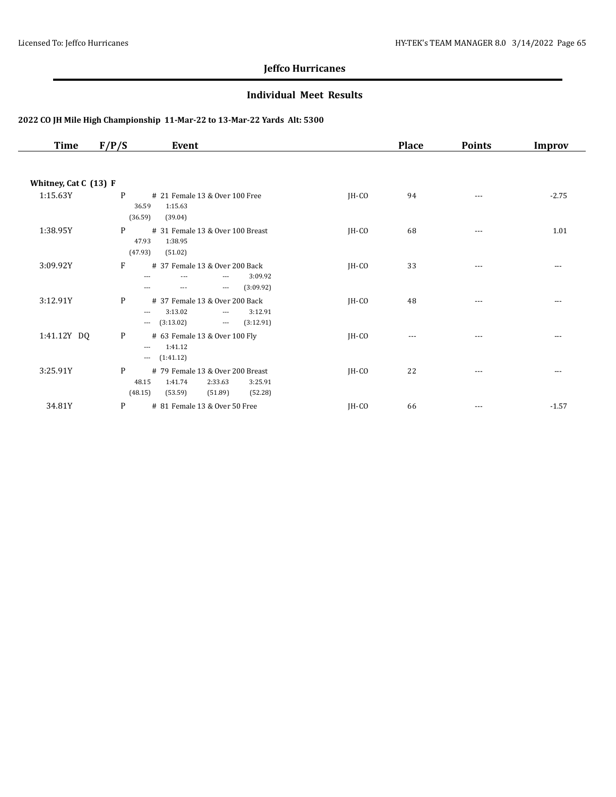#### **Individual Meet Results**

| <b>Time</b>           | F/P/S<br>Event                                                                                                                                                             |         | <b>Place</b> | <b>Points</b> | Improv  |
|-----------------------|----------------------------------------------------------------------------------------------------------------------------------------------------------------------------|---------|--------------|---------------|---------|
|                       |                                                                                                                                                                            |         |              |               |         |
| Whitney, Cat C (13) F |                                                                                                                                                                            |         |              |               |         |
| 1:15.63Y              | P<br># 21 Female 13 & Over 100 Free<br>36.59<br>1:15.63<br>(36.59)<br>(39.04)                                                                                              | JH-CO   | 94           | $---$         | $-2.75$ |
| 1:38.95Y              | P<br># 31 Female 13 & Over 100 Breast<br>47.93<br>1:38.95<br>(47.93)<br>(51.02)                                                                                            | JH-CO   | 68           | $- - -$       | 1.01    |
| 3:09.92Y              | F<br># 37 Female 13 & Over 200 Back<br>3:09.92<br>---<br>---<br>---<br>(3:09.92)<br>$\qquad \qquad - -$<br>$\cdots$<br>---                                                 | $IH-CO$ | 33           | $---$         | $- - -$ |
| 3:12.91Y              | P<br># 37 Female 13 & Over 200 Back<br>3:12.91<br>3:13.02<br>$\qquad \qquad - -$<br>$\overline{\phantom{a}}$<br>(3:13.02)<br>(3:12.91)<br>$\scriptstyle\cdots$<br>$\cdots$ | $IH-CO$ | 48           | $---$         | $---$   |
| 1:41.12Y DQ           | P<br># 63 Female 13 & Over 100 Fly<br>1:41.12<br>$\cdots$<br>(1:41.12)<br>$\cdots$                                                                                         | JH-CO   | $---$        | ---           | $- - -$ |
| 3:25.91Y              | P<br># 79 Female 13 & Over 200 Breast<br>1:41.74<br>2:33.63<br>48.15<br>3:25.91<br>(48.15)<br>(53.59)<br>(51.89)<br>(52.28)                                                | JH-CO   | 22           | ---           | ---     |
| 34.81Y                | P<br># 81 Female 13 & Over 50 Free                                                                                                                                         | JH-CO   | 66           | $---$         | $-1.57$ |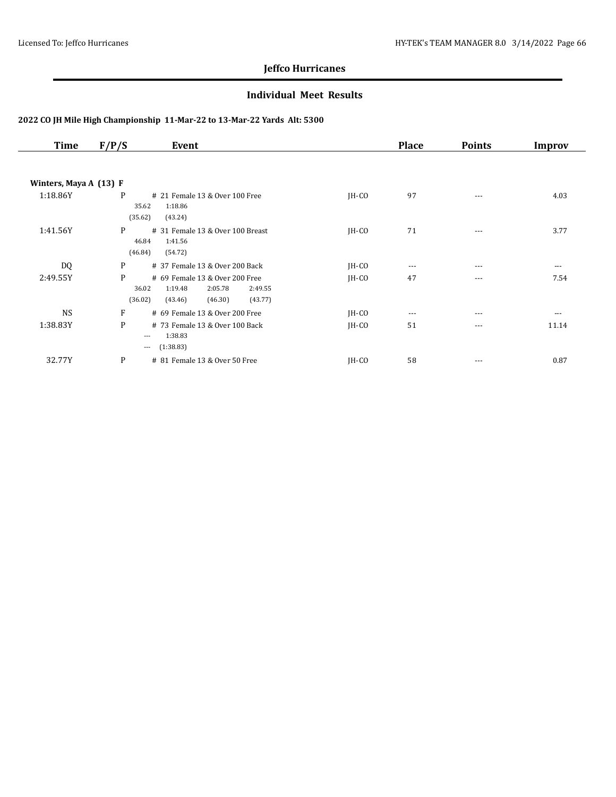#### **Individual Meet Results**

| Time                   | F/P/S<br>Event                                                                                                            |         | <b>Place</b> | <b>Points</b> | Improv   |
|------------------------|---------------------------------------------------------------------------------------------------------------------------|---------|--------------|---------------|----------|
|                        |                                                                                                                           |         |              |               |          |
| Winters, Maya A (13) F |                                                                                                                           |         |              |               |          |
| 1:18.86Y               | P<br># 21 Female 13 & Over 100 Free<br>35.62<br>1:18.86<br>(35.62)<br>(43.24)                                             | $IH-CO$ | 97           | $---$         | 4.03     |
| 1:41.56Y               | P<br># 31 Female 13 & Over 100 Breast<br>46.84<br>1:41.56<br>(46.84)<br>(54.72)                                           | $IH-CO$ | 71           | $\cdots$      | 3.77     |
| DQ                     | P<br># 37 Female 13 & Over 200 Back                                                                                       | $IH-CO$ | $---$        | $- - -$       | $\cdots$ |
| 2:49.55Y               | P<br># 69 Female 13 & Over 200 Free<br>36.02<br>1:19.48<br>2:05.78<br>2:49.55<br>(43.77)<br>(36.02)<br>(43.46)<br>(46.30) | $IH-CO$ | 47           | $\cdots$      | 7.54     |
| <b>NS</b>              | F<br># 69 Female 13 & Over 200 Free                                                                                       | $IH-CO$ | ---          | $---$         | $\cdots$ |
| 1:38.83Y               | P<br># 73 Female 13 & Over 100 Back<br>1:38.83<br>$\cdots$<br>(1:38.83)<br>$---$                                          | JH-CO   | 51           | $---$         | 11.14    |
| 32.77Y                 | P<br># 81 Female 13 & Over 50 Free                                                                                        | $IH-CO$ | 58           | ---           | 0.87     |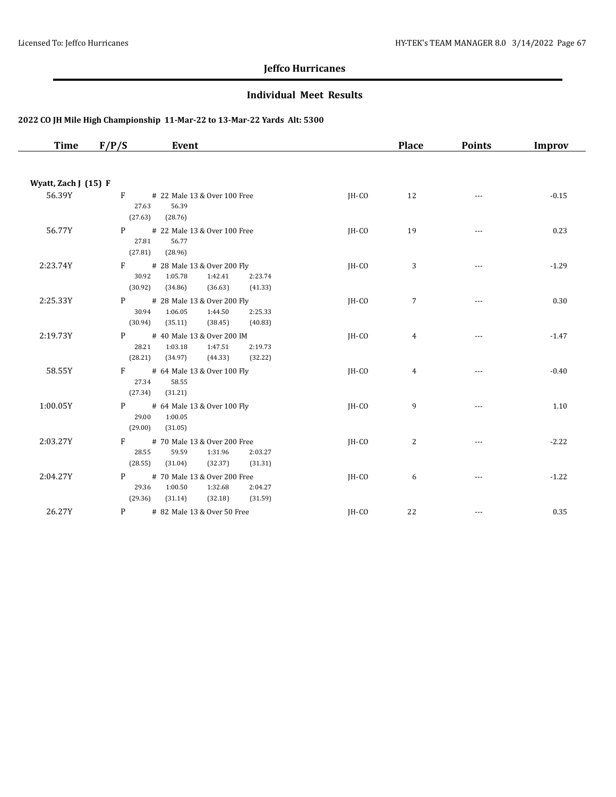#### **Individual Meet Results**

| <b>Time</b>          | F/P/S<br>Event                                                                                                   |                               | <b>Place</b>   | <b>Points</b>            | <b>Improv</b> |
|----------------------|------------------------------------------------------------------------------------------------------------------|-------------------------------|----------------|--------------------------|---------------|
|                      |                                                                                                                  |                               |                |                          |               |
| Wyatt, Zach J (15) F |                                                                                                                  |                               |                |                          |               |
| 56.39Y               | F # 22 Male 13 & Over 100 Free<br>56.39<br>27.63<br>(27.63)<br>(28.76)                                           | JH-CO                         | 12             |                          | $-0.15$       |
| 56.77Y               | P <sub>2</sub><br># 22 Male 13 & Over 100 Free<br>27.81<br>56.77<br>(27.81)<br>(28.96)                           | JH-CO                         | 19             | $\cdots$                 | 0.23          |
| 2:23.74Y             | $F =$<br># 28 Male 13 & Over 200 Fly<br>1:05.78<br>30.92<br>1:42.41<br>(30.92)<br>(34.86)<br>(36.63)             | JH-CO<br>2:23.74<br>(41.33)   | 3              | $\sim$ $\sim$ $\sim$     | $-1.29$       |
| 2:25.33Y             | $P \qquad \qquad$<br># 28 Male 13 & Over 200 Fly<br>30.94<br>1:06.05<br>1:44.50<br>(30.94)<br>(35.11)<br>(38.45) | JH-CO<br>2:25.33<br>(40.83)   | $\overline{7}$ | $---$                    | 0.30          |
| 2:19.73Y             | P <sub>2</sub><br># 40 Male 13 & Over 200 IM<br>28.21<br>1:03.18<br>1:47.51<br>(28.21)<br>(34.97)<br>(44.33)     | $IH-CO$<br>2:19.73<br>(32.22) | 4              | ---                      | $-1.47$       |
| 58.55Y               | $F$ and $F$<br># 64 Male 13 & Over 100 Fly<br>27.34<br>58.55<br>(27.34)<br>(31.21)                               | $IH-CO$                       | 4              | ---                      | $-0.40$       |
| 1:00.05Y             | $P \qquad \qquad$<br># 64 Male 13 & Over 100 Fly<br>29.00<br>1:00.05<br>(29.00)<br>(31.05)                       | $IH-CO$                       | 9              |                          | 1.10          |
| 2:03.27Y             | $F =$<br># 70 Male 13 & Over 200 Free<br>28.55<br>59.59<br>1:31.96<br>(28.55)<br>(31.04)<br>(32.37)              | IH-CO<br>2:03.27<br>(31.31)   | $\overline{c}$ | $\cdots$                 | $-2.22$       |
| 2:04.27Y             | # 70 Male 13 & Over 200 Free<br>P <sub>2</sub><br>29.36<br>1:00.50<br>1:32.68<br>(29.36)<br>(32.18)<br>(31.14)   | IH-CO<br>2:04.27<br>(31.59)   | 6              | $\cdots$                 | $-1.22$       |
| 26.27Y               | P # 82 Male 13 & Over 50 Free                                                                                    | JH-CO                         | 22             | $\overline{\phantom{a}}$ | 0.35          |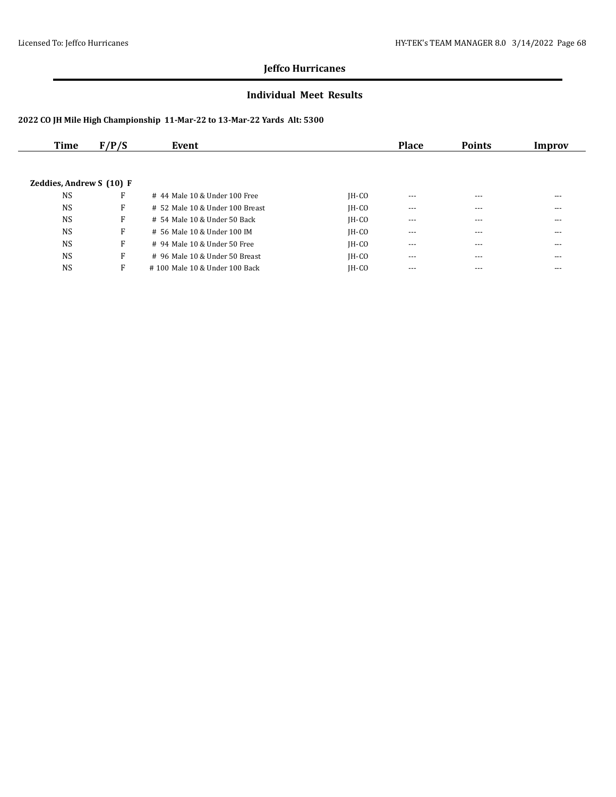#### **Individual Meet Results**

| Time                     | F/P/S | Event                           |         | <b>Place</b> | <b>Points</b> | Improv |
|--------------------------|-------|---------------------------------|---------|--------------|---------------|--------|
|                          |       |                                 |         |              |               |        |
|                          |       |                                 |         |              |               |        |
| Zeddies, Andrew S (10) F |       |                                 |         |              |               |        |
| <b>NS</b>                | F     | # 44 Male 10 & Under 100 Free   | $IH-CO$ | ---          | $---$         | ---    |
| <b>NS</b>                | F     | # 52 Male 10 & Under 100 Breast | $IH-CO$ | $---$        | $---$         | ---    |
| <b>NS</b>                | F     | # 54 Male 10 & Under 50 Back    | $IH-CO$ | ---          | ---           | ---    |
| <b>NS</b>                | F     | # 56 Male 10 & Under 100 IM     | $IH-CO$ | $- - -$      | $---$         | ---    |
| <b>NS</b>                | F     | # 94 Male 10 & Under 50 Free    | $IH-CO$ | $---$        | ---           | ---    |
| <b>NS</b>                | F     | # 96 Male 10 & Under 50 Breast  | $IH-CO$ | $---$        | $---$         | ---    |
| <b>NS</b>                | F     | #100 Male 10 & Under 100 Back   | $IH-CO$ | $---$        | $---$         | ---    |